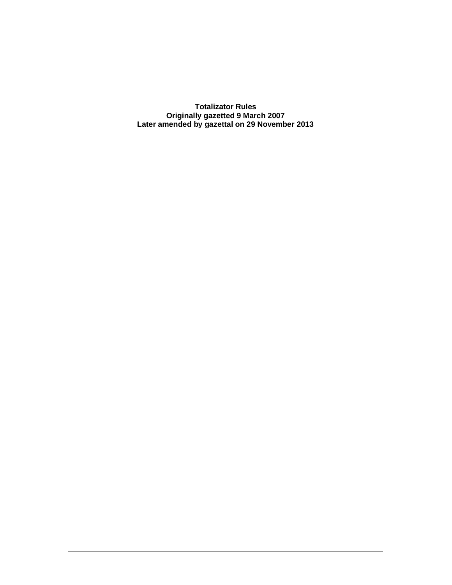**Totalizator Rules Originally gazetted 9 March 2007 Later amended by gazettal on 29 November 2013**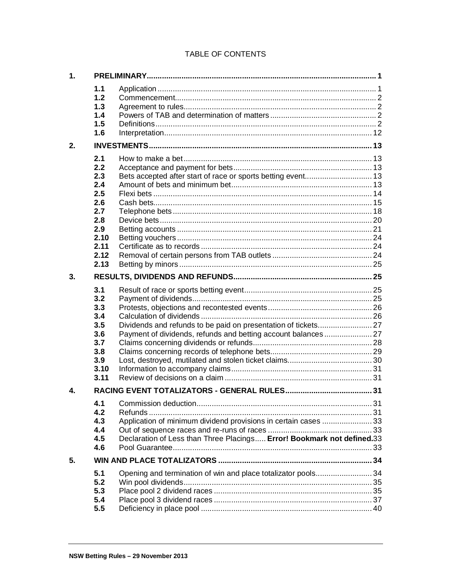# TABLE OF CONTENTS

| 1. |                                                                                             |                                                                                                                                           |  |
|----|---------------------------------------------------------------------------------------------|-------------------------------------------------------------------------------------------------------------------------------------------|--|
|    | 1.1<br>1.2<br>1.3<br>1.4<br>1.5<br>1.6                                                      |                                                                                                                                           |  |
| 2. |                                                                                             |                                                                                                                                           |  |
|    | 2.1<br>2.2<br>2.3<br>2.4<br>2.5<br>2.6<br>2.7<br>2.8<br>2.9<br>2.10<br>2.11<br>2.12<br>2.13 | Bets accepted after start of race or sports betting event 13                                                                              |  |
| 3. |                                                                                             |                                                                                                                                           |  |
|    | 3.1<br>3.2<br>3.3<br>3.4<br>3.5<br>3.6<br>3.7<br>3.8<br>3.9<br>3.10<br>3.11                 | Payment of dividends, refunds and betting account balances 27                                                                             |  |
| 4. |                                                                                             |                                                                                                                                           |  |
|    | 4.1<br>4.2<br>4.3<br>4.4<br>4.5<br>4.6                                                      | Application of minimum dividend provisions in certain cases  33<br>Declaration of Less than Three Placings Error! Bookmark not defined.33 |  |
| 5. |                                                                                             |                                                                                                                                           |  |
|    | 5.1<br>5.2<br>5.3<br>5.4<br>5.5                                                             | Opening and termination of win and place totalizator pools 34                                                                             |  |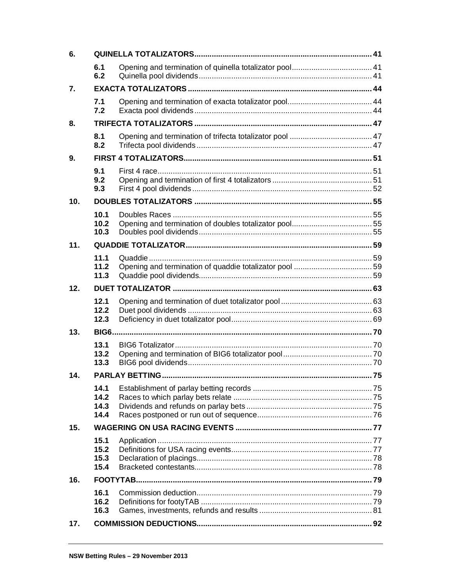| 6.  |                              |  |  |
|-----|------------------------------|--|--|
|     | 6.1<br>6.2                   |  |  |
| 7.  |                              |  |  |
|     | 7.1<br>7.2                   |  |  |
| 8.  |                              |  |  |
|     | 8.1<br>8.2                   |  |  |
| 9.  |                              |  |  |
|     | 9.1<br>9.2<br>9.3            |  |  |
| 10. |                              |  |  |
|     | 10.1<br>10.2<br>10.3         |  |  |
| 11. |                              |  |  |
|     | 11.1<br>11.2<br>11.3         |  |  |
| 12. |                              |  |  |
|     | 12.1<br>12.2<br>12.3         |  |  |
| 13. |                              |  |  |
|     | 13.1<br>13.2<br>13.3         |  |  |
| 14. |                              |  |  |
|     | 14.1<br>14.2<br>14.3<br>14.4 |  |  |
| 15. |                              |  |  |
|     | 15.1<br>15.2<br>15.3<br>15.4 |  |  |
| 16. |                              |  |  |
|     | 16.1<br>16.2<br>16.3         |  |  |
| 17. |                              |  |  |
|     |                              |  |  |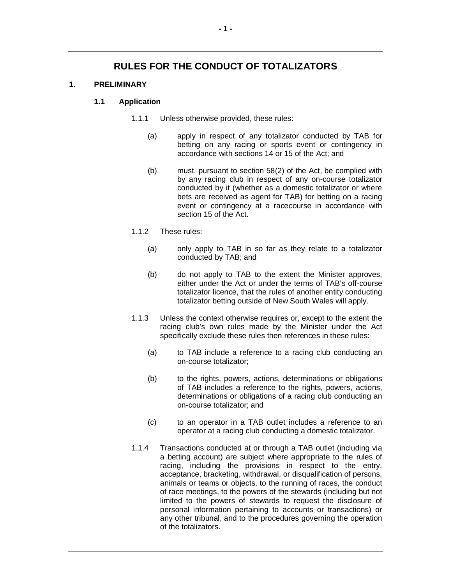# **RULES FOR THE CONDUCT OF TOTALIZATORS**

# **1. PRELIMINARY**

## **1.1 Application**

- 1.1.1 Unless otherwise provided, these rules:
	- (a) apply in respect of any totalizator conducted by TAB for betting on any racing or sports event or contingency in accordance with sections 14 or 15 of the Act; and
	- (b) must, pursuant to section 58(2) of the Act, be complied with by any racing club in respect of any on-course totalizator conducted by it (whether as a domestic totalizator or where bets are received as agent for TAB) for betting on a racing event or contingency at a racecourse in accordance with section 15 of the Act.
- 1.1.2 These rules:
	- (a) only apply to TAB in so far as they relate to a totalizator conducted by TAB; and
	- (b) do not apply to TAB to the extent the Minister approves, either under the Act or under the terms of TAB's off-course totalizator licence, that the rules of another entity conducting totalizator betting outside of New South Wales will apply.
- 1.1.3 Unless the context otherwise requires or, except to the extent the racing club's own rules made by the Minister under the Act specifically exclude these rules then references in these rules:
	- (a) to TAB include a reference to a racing club conducting an on-course totalizator;
	- (b) to the rights, powers, actions, determinations or obligations of TAB includes a reference to the rights, powers, actions, determinations or obligations of a racing club conducting an on-course totalizator; and
	- (c) to an operator in a TAB outlet includes a reference to an operator at a racing club conducting a domestic totalizator.
- 1.1.4 Transactions conducted at or through a TAB outlet (including via a betting account) are subject where appropriate to the rules of racing, including the provisions in respect to the entry, acceptance, bracketing, withdrawal, or disqualification of persons, animals or teams or objects, to the running of races, the conduct of race meetings, to the powers of the stewards (including but not limited to the powers of stewards to request the disclosure of personal information pertaining to accounts or transactions) or any other tribunal, and to the procedures governing the operation of the totalizators.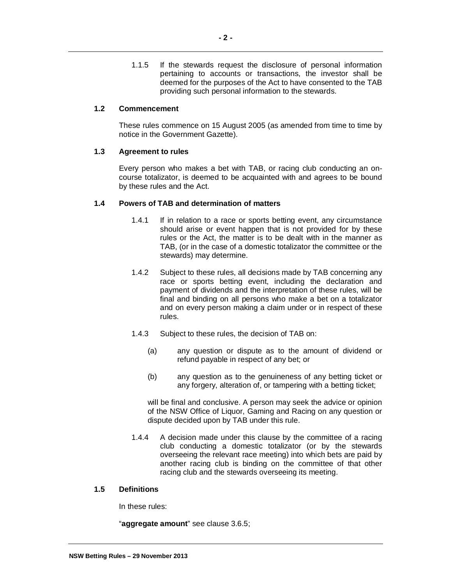1.1.5 If the stewards request the disclosure of personal information pertaining to accounts or transactions, the investor shall be deemed for the purposes of the Act to have consented to the TAB providing such personal information to the stewards.

## **1.2 Commencement**

These rules commence on 15 August 2005 (as amended from time to time by notice in the Government Gazette).

## **1.3 Agreement to rules**

Every person who makes a bet with TAB, or racing club conducting an oncourse totalizator, is deemed to be acquainted with and agrees to be bound by these rules and the Act.

## **1.4 Powers of TAB and determination of matters**

- 1.4.1 If in relation to a race or sports betting event, any circumstance should arise or event happen that is not provided for by these rules or the Act, the matter is to be dealt with in the manner as TAB, (or in the case of a domestic totalizator the committee or the stewards) may determine.
- 1.4.2 Subject to these rules, all decisions made by TAB concerning any race or sports betting event, including the declaration and payment of dividends and the interpretation of these rules, will be final and binding on all persons who make a bet on a totalizator and on every person making a claim under or in respect of these rules.
- 1.4.3 Subject to these rules, the decision of TAB on:
	- (a) any question or dispute as to the amount of dividend or refund payable in respect of any bet; or
	- (b) any question as to the genuineness of any betting ticket or any forgery, alteration of, or tampering with a betting ticket;

will be final and conclusive. A person may seek the advice or opinion of the NSW Office of Liquor, Gaming and Racing on any question or dispute decided upon by TAB under this rule.

1.4.4 A decision made under this clause by the committee of a racing club conducting a domestic totalizator (or by the stewards overseeing the relevant race meeting) into which bets are paid by another racing club is binding on the committee of that other racing club and the stewards overseeing its meeting.

## **1.5 Definitions**

In these rules:

"**aggregate amount**" see clause 3.6.5;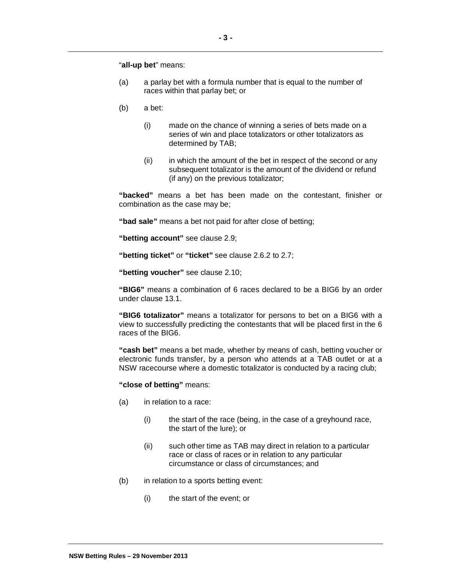"**all-up bet**" means:

- (a) a parlay bet with a formula number that is equal to the number of races within that parlay bet; or
- (b) a bet:
	- (i) made on the chance of winning a series of bets made on a series of win and place totalizators or other totalizators as determined by TAB;
	- (ii) in which the amount of the bet in respect of the second or any subsequent totalizator is the amount of the dividend or refund (if any) on the previous totalizator;

**"backed"** means a bet has been made on the contestant, finisher or combination as the case may be;

**"bad sale"** means a bet not paid for after close of betting;

**"betting account"** see clause 2.9;

**"betting ticket"** or **"ticket"** see clause 2.6.2 to 2.7;

**"betting voucher"** see clause 2.10;

**"BIG6"** means a combination of 6 races declared to be a BIG6 by an order under clause 13.1.

**"BIG6 totalizator"** means a totalizator for persons to bet on a BIG6 with a view to successfully predicting the contestants that will be placed first in the 6 races of the BIG6.

**"cash bet"** means a bet made, whether by means of cash, betting voucher or electronic funds transfer, by a person who attends at a TAB outlet or at a NSW racecourse where a domestic totalizator is conducted by a racing club;

**"close of betting"** means:

- (a) in relation to a race:
	- (i) the start of the race (being, in the case of a greyhound race, the start of the lure); or
	- (ii) such other time as TAB may direct in relation to a particular race or class of races or in relation to any particular circumstance or class of circumstances; and
- (b) in relation to a sports betting event:
	- (i) the start of the event; or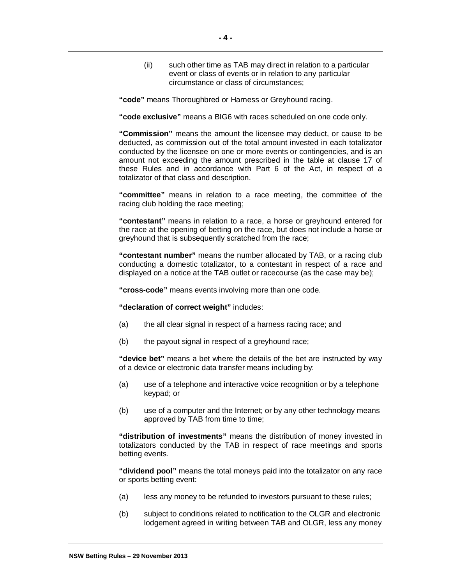(ii) such other time as TAB may direct in relation to a particular event or class of events or in relation to any particular circumstance or class of circumstances;

**"code"** means Thoroughbred or Harness or Greyhound racing.

**"code exclusive"** means a BIG6 with races scheduled on one code only.

**"Commission"** means the amount the licensee may deduct, or cause to be deducted, as commission out of the total amount invested in each totalizator conducted by the licensee on one or more events or contingencies, and is an amount not exceeding the amount prescribed in the table at clause 17 of these Rules and in accordance with Part 6 of the Act, in respect of a totalizator of that class and description.

**"committee"** means in relation to a race meeting, the committee of the racing club holding the race meeting;

**"contestant"** means in relation to a race, a horse or greyhound entered for the race at the opening of betting on the race, but does not include a horse or greyhound that is subsequently scratched from the race;

**"contestant number"** means the number allocated by TAB, or a racing club conducting a domestic totalizator, to a contestant in respect of a race and displayed on a notice at the TAB outlet or racecourse (as the case may be);

**"cross-code"** means events involving more than one code.

**"declaration of correct weight"** includes:

- (a) the all clear signal in respect of a harness racing race; and
- (b) the payout signal in respect of a greyhound race;

**"device bet"** means a bet where the details of the bet are instructed by way of a device or electronic data transfer means including by:

- (a) use of a telephone and interactive voice recognition or by a telephone keypad; or
- (b) use of a computer and the Internet; or by any other technology means approved by TAB from time to time;

**"distribution of investments"** means the distribution of money invested in totalizators conducted by the TAB in respect of race meetings and sports betting events.

**"dividend pool"** means the total moneys paid into the totalizator on any race or sports betting event:

- (a) less any money to be refunded to investors pursuant to these rules;
- (b) subject to conditions related to notification to the OLGR and electronic lodgement agreed in writing between TAB and OLGR, less any money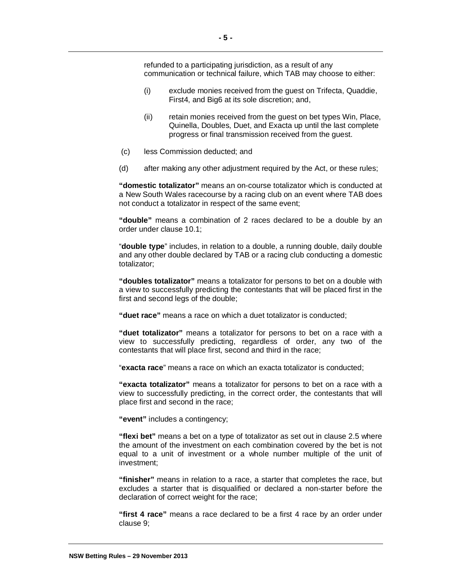refunded to a participating jurisdiction, as a result of any communication or technical failure, which TAB may choose to either:

- (i) exclude monies received from the guest on Trifecta, Quaddie, First4, and Big6 at its sole discretion; and,
- (ii) retain monies received from the guest on bet types Win, Place, Quinella, Doubles, Duet, and Exacta up until the last complete progress or final transmission received from the guest.
- (c) less Commission deducted; and
- (d) after making any other adjustment required by the Act, or these rules;

**"domestic totalizator"** means an on-course totalizator which is conducted at a New South Wales racecourse by a racing club on an event where TAB does not conduct a totalizator in respect of the same event;

**"double"** means a combination of 2 races declared to be a double by an order under clause 10.1;

"**double type**" includes, in relation to a double, a running double, daily double and any other double declared by TAB or a racing club conducting a domestic totalizator;

**"doubles totalizator"** means a totalizator for persons to bet on a double with a view to successfully predicting the contestants that will be placed first in the first and second legs of the double;

**"duet race"** means a race on which a duet totalizator is conducted;

**"duet totalizator"** means a totalizator for persons to bet on a race with a view to successfully predicting, regardless of order, any two of the contestants that will place first, second and third in the race;

"**exacta race**" means a race on which an exacta totalizator is conducted;

**"exacta totalizator"** means a totalizator for persons to bet on a race with a view to successfully predicting, in the correct order, the contestants that will place first and second in the race;

**"event"** includes a contingency;

**"flexi bet"** means a bet on a type of totalizator as set out in clause 2.5 where the amount of the investment on each combination covered by the bet is not equal to a unit of investment or a whole number multiple of the unit of investment;

**"finisher"** means in relation to a race, a starter that completes the race, but excludes a starter that is disqualified or declared a non-starter before the declaration of correct weight for the race;

**"first 4 race"** means a race declared to be a first 4 race by an order under clause 9;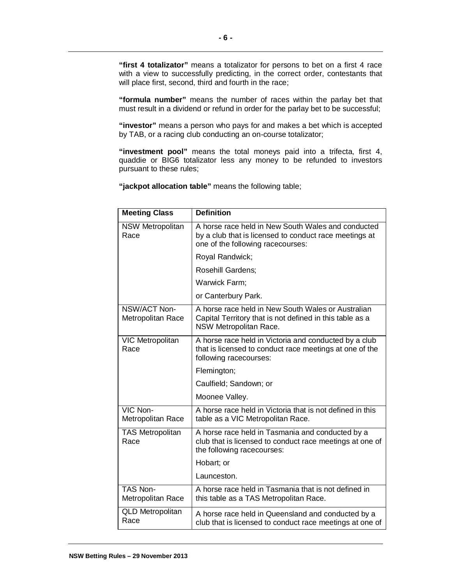**"first 4 totalizator"** means a totalizator for persons to bet on a first 4 race with a view to successfully predicting, in the correct order, contestants that will place first, second, third and fourth in the race;

**"formula number"** means the number of races within the parlay bet that must result in a dividend or refund in order for the parlay bet to be successful;

**"investor"** means a person who pays for and makes a bet which is accepted by TAB, or a racing club conducting an on-course totalizator;

**"investment pool"** means the total moneys paid into a trifecta, first 4, quaddie or BIG6 totalizator less any money to be refunded to investors pursuant to these rules;

**"jackpot allocation table"** means the following table;

| <b>Meeting Class</b>                     | <b>Definition</b>                                                                                                                                 |  |  |
|------------------------------------------|---------------------------------------------------------------------------------------------------------------------------------------------------|--|--|
| <b>NSW Metropolitan</b><br>Race          | A horse race held in New South Wales and conducted<br>by a club that is licensed to conduct race meetings at<br>one of the following racecourses: |  |  |
|                                          | Royal Randwick;                                                                                                                                   |  |  |
|                                          | <b>Rosehill Gardens:</b>                                                                                                                          |  |  |
|                                          | Warwick Farm;                                                                                                                                     |  |  |
|                                          | or Canterbury Park.                                                                                                                               |  |  |
| NSW/ACT Non-<br><b>Metropolitan Race</b> | A horse race held in New South Wales or Australian<br>Capital Territory that is not defined in this table as a<br><b>NSW Metropolitan Race.</b>   |  |  |
| VIC Metropolitan<br>Race                 | A horse race held in Victoria and conducted by a club<br>that is licensed to conduct race meetings at one of the<br>following racecourses:        |  |  |
|                                          | Flemington;                                                                                                                                       |  |  |
|                                          | Caulfield; Sandown; or                                                                                                                            |  |  |
|                                          | Moonee Valley.                                                                                                                                    |  |  |
| VIC Non-<br>Metropolitan Race            | A horse race held in Victoria that is not defined in this<br>table as a VIC Metropolitan Race.                                                    |  |  |
| <b>TAS Metropolitan</b><br>Race          | A horse race held in Tasmania and conducted by a<br>club that is licensed to conduct race meetings at one of<br>the following racecourses:        |  |  |
|                                          | Hobart; or                                                                                                                                        |  |  |
|                                          | Launceston.                                                                                                                                       |  |  |
| TAS Non-<br>Metropolitan Race            | A horse race held in Tasmania that is not defined in<br>this table as a TAS Metropolitan Race.                                                    |  |  |
| <b>QLD Metropolitan</b><br>Race          | A horse race held in Queensland and conducted by a<br>club that is licensed to conduct race meetings at one of                                    |  |  |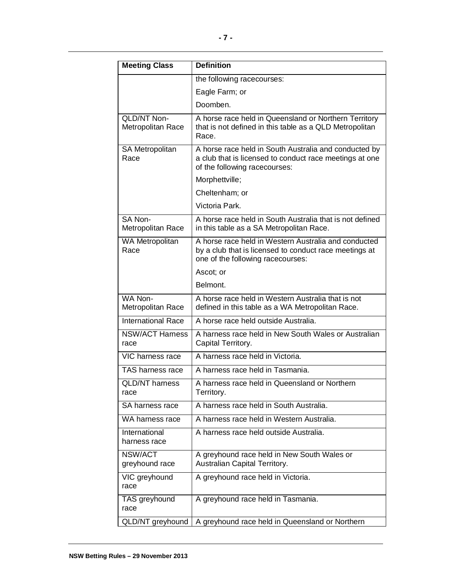| <b>Meeting Class</b>             | <b>Definition</b>                                                                                                                                   |  |  |  |
|----------------------------------|-----------------------------------------------------------------------------------------------------------------------------------------------------|--|--|--|
|                                  | the following racecourses:                                                                                                                          |  |  |  |
|                                  | Eagle Farm; or                                                                                                                                      |  |  |  |
|                                  | Doomben.                                                                                                                                            |  |  |  |
| QLD/NT Non-<br>Metropolitan Race | A horse race held in Queensland or Northern Territory<br>that is not defined in this table as a QLD Metropolitan<br>Race.                           |  |  |  |
| SA Metropolitan<br>Race          | A horse race held in South Australia and conducted by<br>a club that is licensed to conduct race meetings at one<br>of the following racecourses:   |  |  |  |
|                                  | Morphettville;                                                                                                                                      |  |  |  |
|                                  | Cheltenham; or                                                                                                                                      |  |  |  |
|                                  | Victoria Park.                                                                                                                                      |  |  |  |
| SA Non-<br>Metropolitan Race     | A horse race held in South Australia that is not defined<br>in this table as a SA Metropolitan Race.                                                |  |  |  |
| WA Metropolitan<br>Race          | A horse race held in Western Australia and conducted<br>by a club that is licensed to conduct race meetings at<br>one of the following racecourses: |  |  |  |
|                                  | Ascot; or                                                                                                                                           |  |  |  |
|                                  | Belmont.                                                                                                                                            |  |  |  |
| WA Non-<br>Metropolitan Race     | A horse race held in Western Australia that is not<br>defined in this table as a WA Metropolitan Race.                                              |  |  |  |
| <b>International Race</b>        | A horse race held outside Australia.                                                                                                                |  |  |  |
| <b>NSW/ACT Harness</b><br>race   | A harness race held in New South Wales or Australian<br>Capital Territory.                                                                          |  |  |  |
| VIC harness race                 | A harness race held in Victoria.                                                                                                                    |  |  |  |
| TAS harness race                 | A harness race held in Tasmania.                                                                                                                    |  |  |  |
| <b>QLD/NT</b> harness<br>race    | A harness race held in Queensland or Northern<br>Territory.                                                                                         |  |  |  |
| SA harness race                  | A harness race held in South Australia.                                                                                                             |  |  |  |
| WA harness race                  | A harness race held in Western Australia.                                                                                                           |  |  |  |
| International<br>harness race    | A harness race held outside Australia.                                                                                                              |  |  |  |
| NSW/ACT<br>greyhound race        | A greyhound race held in New South Wales or<br>Australian Capital Territory.                                                                        |  |  |  |
| VIC greyhound<br>race            | A greyhound race held in Victoria.                                                                                                                  |  |  |  |
| TAS greyhound<br>race            | A greyhound race held in Tasmania.                                                                                                                  |  |  |  |
| QLD/NT greyhound                 | A greyhound race held in Queensland or Northern                                                                                                     |  |  |  |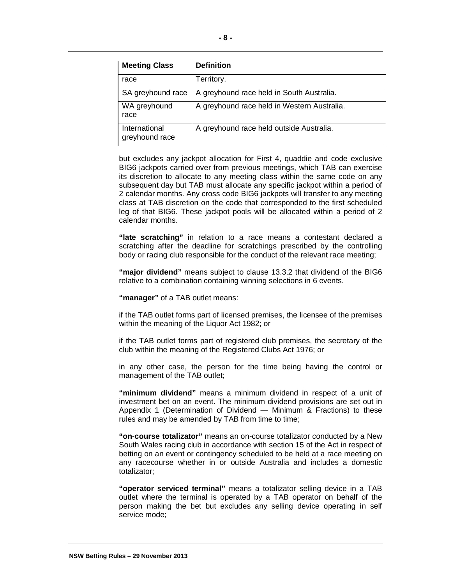| <b>Meeting Class</b>            | <b>Definition</b>                           |
|---------------------------------|---------------------------------------------|
| race                            | Territory.                                  |
| SA greyhound race               | A greyhound race held in South Australia.   |
| WA greyhound<br>race            | A greyhound race held in Western Australia. |
| International<br>greyhound race | A greyhound race held outside Australia.    |

but excludes any jackpot allocation for First 4, quaddie and code exclusive BIG6 jackpots carried over from previous meetings, which TAB can exercise its discretion to allocate to any meeting class within the same code on any subsequent day but TAB must allocate any specific jackpot within a period of 2 calendar months. Any cross code BIG6 jackpots will transfer to any meeting class at TAB discretion on the code that corresponded to the first scheduled leg of that BIG6. These jackpot pools will be allocated within a period of 2 calendar months.

**"late scratching"** in relation to a race means a contestant declared a scratching after the deadline for scratchings prescribed by the controlling body or racing club responsible for the conduct of the relevant race meeting;

**"major dividend"** means subject to clause 13.3.2 that dividend of the BIG6 relative to a combination containing winning selections in 6 events.

**"manager"** of a TAB outlet means:

if the TAB outlet forms part of licensed premises, the licensee of the premises within the meaning of the Liquor Act 1982; or

if the TAB outlet forms part of registered club premises, the secretary of the club within the meaning of the Registered Clubs Act 1976; or

in any other case, the person for the time being having the control or management of the TAB outlet;

**"minimum dividend"** means a minimum dividend in respect of a unit of investment bet on an event. The minimum dividend provisions are set out in Appendix 1 (Determination of Dividend — Minimum & Fractions) to these rules and may be amended by TAB from time to time;

**"on-course totalizator"** means an on-course totalizator conducted by a New South Wales racing club in accordance with section 15 of the Act in respect of betting on an event or contingency scheduled to be held at a race meeting on any racecourse whether in or outside Australia and includes a domestic totalizator;

**"operator serviced terminal"** means a totalizator selling device in a TAB outlet where the terminal is operated by a TAB operator on behalf of the person making the bet but excludes any selling device operating in self service mode;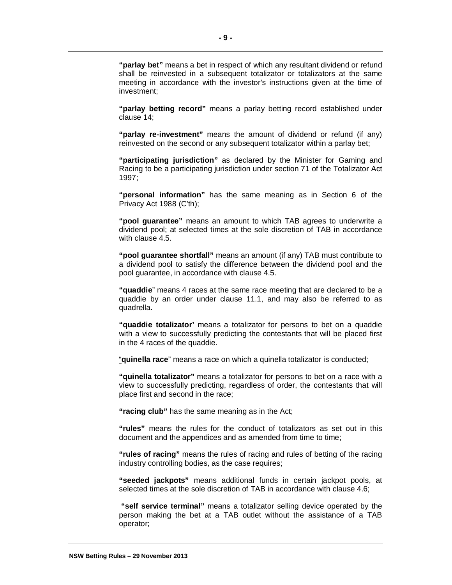**"parlay bet"** means a bet in respect of which any resultant dividend or refund shall be reinvested in a subsequent totalizator or totalizators at the same meeting in accordance with the investor's instructions given at the time of investment;

**"parlay betting record"** means a parlay betting record established under clause 14;

**"parlay re-investment"** means the amount of dividend or refund (if any) reinvested on the second or any subsequent totalizator within a parlay bet;

**"participating jurisdiction"** as declared by the Minister for Gaming and Racing to be a participating jurisdiction under section 71 of the Totalizator Act 1997;

**"personal information"** has the same meaning as in Section 6 of the Privacy Act 1988 (C'th);

**"pool guarantee"** means an amount to which TAB agrees to underwrite a dividend pool; at selected times at the sole discretion of TAB in accordance with clause 4.5.

**"pool guarantee shortfall"** means an amount (if any) TAB must contribute to a dividend pool to satisfy the difference between the dividend pool and the pool guarantee, in accordance with clause 4.5.

**"quaddie**" means 4 races at the same race meeting that are declared to be a quaddie by an order under clause 11.1, and may also be referred to as quadrella.

**"quaddie totalizator'** means a totalizator for persons to bet on a quaddie with a view to successfully predicting the contestants that will be placed first in the 4 races of the quaddie.

"**quinella race**" means a race on which a quinella totalizator is conducted;

**"quinella totalizator"** means a totalizator for persons to bet on a race with a view to successfully predicting, regardless of order, the contestants that will place first and second in the race;

**"racing club"** has the same meaning as in the Act;

**"rules"** means the rules for the conduct of totalizators as set out in this document and the appendices and as amended from time to time;

**"rules of racing"** means the rules of racing and rules of betting of the racing industry controlling bodies, as the case requires;

**"seeded jackpots"** means additional funds in certain jackpot pools, at selected times at the sole discretion of TAB in accordance with clause 4.6;

**"self service terminal"** means a totalizator selling device operated by the person making the bet at a TAB outlet without the assistance of a TAB operator;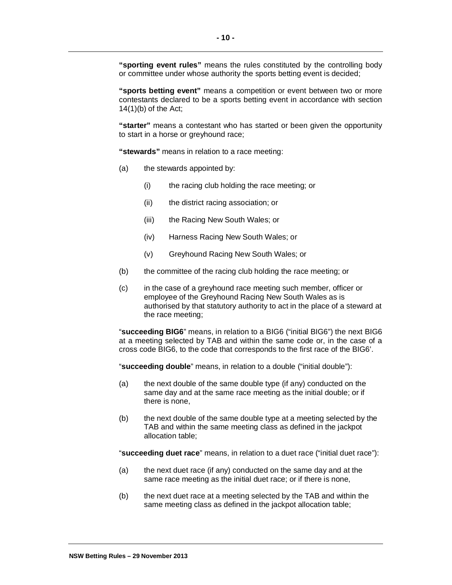**"sporting event rules"** means the rules constituted by the controlling body or committee under whose authority the sports betting event is decided;

**"sports betting event"** means a competition or event between two or more contestants declared to be a sports betting event in accordance with section  $14(1)$ (b) of the Act;

**"starter"** means a contestant who has started or been given the opportunity to start in a horse or greyhound race;

**"stewards"** means in relation to a race meeting:

- (a) the stewards appointed by:
	- (i) the racing club holding the race meeting; or
	- (ii) the district racing association; or
	- (iii) the Racing New South Wales; or
	- (iv) Harness Racing New South Wales; or
	- (v) Greyhound Racing New South Wales; or
- (b) the committee of the racing club holding the race meeting; or
- (c) in the case of a greyhound race meeting such member, officer or employee of the Greyhound Racing New South Wales as is authorised by that statutory authority to act in the place of a steward at the race meeting;

"**succeeding BIG6**" means, in relation to a BIG6 ("initial BIG6") the next BIG6 at a meeting selected by TAB and within the same code or, in the case of a cross code BIG6, to the code that corresponds to the first race of the BIG6'.

"**succeeding double**" means, in relation to a double ("initial double"):

- (a) the next double of the same double type (if any) conducted on the same day and at the same race meeting as the initial double; or if there is none,
- (b) the next double of the same double type at a meeting selected by the TAB and within the same meeting class as defined in the jackpot allocation table;

"**succeeding duet race**" means, in relation to a duet race ("initial duet race"):

- (a) the next duet race (if any) conducted on the same day and at the same race meeting as the initial duet race; or if there is none,
- (b) the next duet race at a meeting selected by the TAB and within the same meeting class as defined in the jackpot allocation table;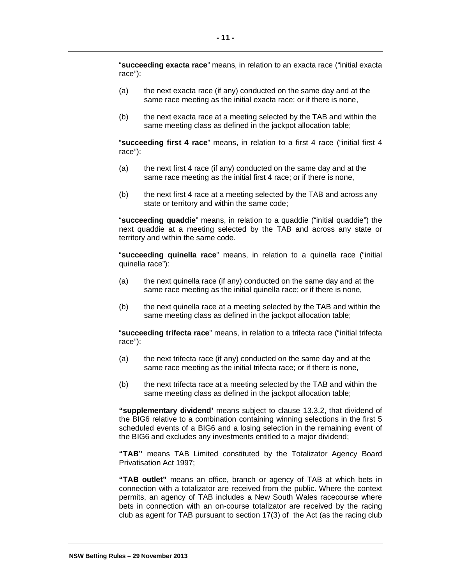"**succeeding exacta race**" means, in relation to an exacta race ("initial exacta race"):

- (a) the next exacta race (if any) conducted on the same day and at the same race meeting as the initial exacta race; or if there is none,
- (b) the next exacta race at a meeting selected by the TAB and within the same meeting class as defined in the jackpot allocation table;

"**succeeding first 4 race**" means, in relation to a first 4 race ("initial first 4 race"):

- (a) the next first 4 race (if any) conducted on the same day and at the same race meeting as the initial first 4 race; or if there is none,
- (b) the next first 4 race at a meeting selected by the TAB and across any state or territory and within the same code;

"**succeeding quaddie**" means, in relation to a quaddie ("initial quaddie") the next quaddie at a meeting selected by the TAB and across any state or territory and within the same code.

"**succeeding quinella race**" means, in relation to a quinella race ("initial quinella race"):

- (a) the next quinella race (if any) conducted on the same day and at the same race meeting as the initial quinella race; or if there is none,
- (b) the next quinella race at a meeting selected by the TAB and within the same meeting class as defined in the jackpot allocation table;

"**succeeding trifecta race**" means, in relation to a trifecta race ("initial trifecta race"):

- (a) the next trifecta race (if any) conducted on the same day and at the same race meeting as the initial trifecta race; or if there is none,
- (b) the next trifecta race at a meeting selected by the TAB and within the same meeting class as defined in the jackpot allocation table;

**"supplementary dividend'** means subject to clause 13.3.2, that dividend of the BIG6 relative to a combination containing winning selections in the first 5 scheduled events of a BIG6 and a losing selection in the remaining event of the BIG6 and excludes any investments entitled to a major dividend;

**"TAB"** means TAB Limited constituted by the Totalizator Agency Board Privatisation Act 1997;

**"TAB outlet"** means an office, branch or agency of TAB at which bets in connection with a totalizator are received from the public. Where the context permits, an agency of TAB includes a New South Wales racecourse where bets in connection with an on-course totalizator are received by the racing club as agent for TAB pursuant to section 17(3) of the Act (as the racing club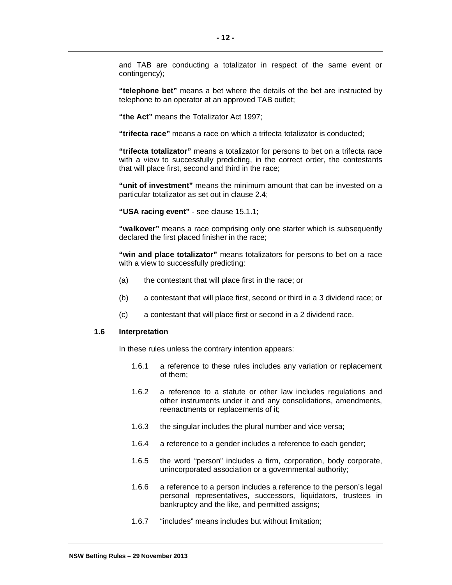and TAB are conducting a totalizator in respect of the same event or contingency);

**"telephone bet"** means a bet where the details of the bet are instructed by telephone to an operator at an approved TAB outlet;

**"the Act"** means the Totalizator Act 1997;

**"trifecta race"** means a race on which a trifecta totalizator is conducted;

**"trifecta totalizator"** means a totalizator for persons to bet on a trifecta race with a view to successfully predicting, in the correct order, the contestants that will place first, second and third in the race;

**"unit of investment"** means the minimum amount that can be invested on a particular totalizator as set out in clause 2.4;

**"USA racing event"** - see clause 15.1.1;

**"walkover"** means a race comprising only one starter which is subsequently declared the first placed finisher in the race;

**"win and place totalizator"** means totalizators for persons to bet on a race with a view to successfully predicting:

- (a) the contestant that will place first in the race; or
- (b) a contestant that will place first, second or third in a 3 dividend race; or
- (c) a contestant that will place first or second in a 2 dividend race.

#### **1.6 Interpretation**

In these rules unless the contrary intention appears:

- 1.6.1 a reference to these rules includes any variation or replacement of them;
- 1.6.2 a reference to a statute or other law includes regulations and other instruments under it and any consolidations, amendments, reenactments or replacements of it;
- 1.6.3 the singular includes the plural number and vice versa;
- 1.6.4 a reference to a gender includes a reference to each gender;
- 1.6.5 the word "person" includes a firm, corporation, body corporate, unincorporated association or a governmental authority;
- 1.6.6 a reference to a person includes a reference to the person's legal personal representatives, successors, liquidators, trustees in bankruptcy and the like, and permitted assigns;
- 1.6.7 "includes" means includes but without limitation;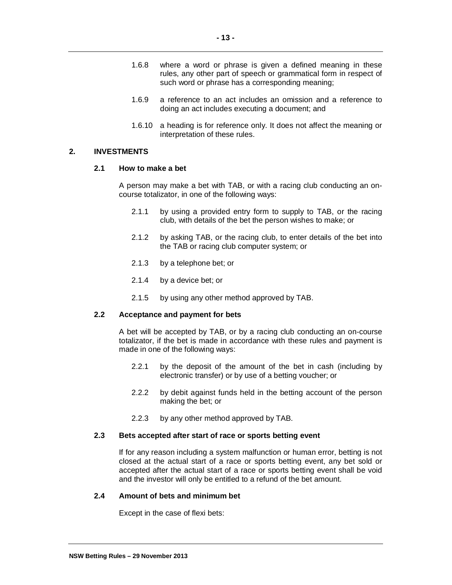- 1.6.8 where a word or phrase is given a defined meaning in these rules, any other part of speech or grammatical form in respect of such word or phrase has a corresponding meaning;
- 1.6.9 a reference to an act includes an omission and a reference to doing an act includes executing a document; and
- 1.6.10 a heading is for reference only. It does not affect the meaning or interpretation of these rules.

#### **2. INVESTMENTS**

#### **2.1 How to make a bet**

A person may make a bet with TAB, or with a racing club conducting an oncourse totalizator, in one of the following ways:

- 2.1.1 by using a provided entry form to supply to TAB, or the racing club, with details of the bet the person wishes to make; or
- 2.1.2 by asking TAB, or the racing club, to enter details of the bet into the TAB or racing club computer system; or
- 2.1.3 by a telephone bet; or
- 2.1.4 by a device bet; or
- 2.1.5 by using any other method approved by TAB.

#### **2.2 Acceptance and payment for bets**

A bet will be accepted by TAB, or by a racing club conducting an on-course totalizator, if the bet is made in accordance with these rules and payment is made in one of the following ways:

- 2.2.1 by the deposit of the amount of the bet in cash (including by electronic transfer) or by use of a betting voucher; or
- 2.2.2 by debit against funds held in the betting account of the person making the bet; or
- 2.2.3 by any other method approved by TAB.

#### **2.3 Bets accepted after start of race or sports betting event**

If for any reason including a system malfunction or human error, betting is not closed at the actual start of a race or sports betting event, any bet sold or accepted after the actual start of a race or sports betting event shall be void and the investor will only be entitled to a refund of the bet amount.

## **2.4 Amount of bets and minimum bet**

Except in the case of flexi bets: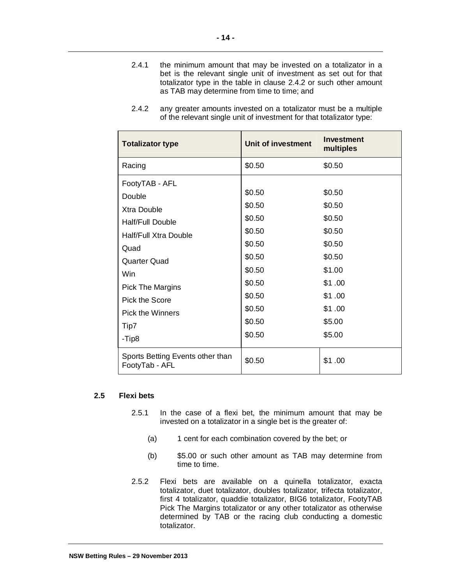2.4.1 the minimum amount that may be invested on a totalizator in a bet is the relevant single unit of investment as set out for that totalizator type in the table in clause 2.4.2 or such other amount as TAB may determine from time to time; and

| <b>Totalizator type</b>                            | Unit of investment | <b>Investment</b><br>multiples |
|----------------------------------------------------|--------------------|--------------------------------|
| Racing                                             | \$0.50             | \$0.50                         |
| FootyTAB - AFL                                     |                    |                                |
| Double                                             | \$0.50             | \$0.50                         |
| Xtra Double                                        | \$0.50             | \$0.50                         |
| Half/Full Double                                   | \$0.50             | \$0.50                         |
| <b>Half/Full Xtra Double</b>                       | \$0.50             | \$0.50                         |
| Quad                                               | \$0.50             | \$0.50                         |
| Quarter Quad                                       | \$0.50             | \$0.50                         |
| Win                                                | \$0.50             | \$1.00                         |
| <b>Pick The Margins</b>                            | \$0.50             | \$1.00                         |
| Pick the Score                                     | \$0.50             | \$1.00                         |
| Pick the Winners                                   | \$0.50             | \$1.00                         |
| Tip7                                               | \$0.50             | \$5.00                         |
| -Tip8                                              | \$0.50             | \$5.00                         |
| Sports Betting Events other than<br>FootyTab - AFL | \$0.50             | \$1.00                         |

2.4.2 any greater amounts invested on a totalizator must be a multiple of the relevant single unit of investment for that totalizator type:

#### **2.5 Flexi bets**

- 2.5.1 In the case of a flexi bet, the minimum amount that may be invested on a totalizator in a single bet is the greater of:
	- (a) 1 cent for each combination covered by the bet; or
	- (b) \$5.00 or such other amount as TAB may determine from time to time.
- 2.5.2 Flexi bets are available on a quinella totalizator, exacta totalizator, duet totalizator, doubles totalizator, trifecta totalizator, first 4 totalizator, quaddie totalizator, BIG6 totalizator, FootyTAB Pick The Margins totalizator or any other totalizator as otherwise determined by TAB or the racing club conducting a domestic totalizator.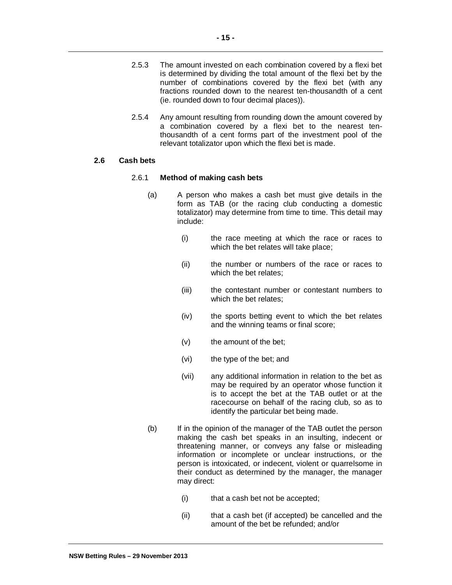**- 15 -**

- 2.5.3 The amount invested on each combination covered by a flexi bet is determined by dividing the total amount of the flexi bet by the number of combinations covered by the flexi bet (with any fractions rounded down to the nearest ten-thousandth of a cent (ie. rounded down to four decimal places)).
- 2.5.4 Any amount resulting from rounding down the amount covered by a combination covered by a flexi bet to the nearest tenthousandth of a cent forms part of the investment pool of the relevant totalizator upon which the flexi bet is made.

## **2.6 Cash bets**

#### 2.6.1 **Method of making cash bets**

- (a) A person who makes a cash bet must give details in the form as TAB (or the racing club conducting a domestic totalizator) may determine from time to time. This detail may include:
	- (i) the race meeting at which the race or races to which the bet relates will take place;
	- (ii) the number or numbers of the race or races to which the bet relates;
	- (iii) the contestant number or contestant numbers to which the bet relates:
	- (iv) the sports betting event to which the bet relates and the winning teams or final score;
	- (v) the amount of the bet;
	- (vi) the type of the bet; and
	- (vii) any additional information in relation to the bet as may be required by an operator whose function it is to accept the bet at the TAB outlet or at the racecourse on behalf of the racing club, so as to identify the particular bet being made.
- (b) If in the opinion of the manager of the TAB outlet the person making the cash bet speaks in an insulting, indecent or threatening manner, or conveys any false or misleading information or incomplete or unclear instructions, or the person is intoxicated, or indecent, violent or quarrelsome in their conduct as determined by the manager, the manager may direct:
	- (i) that a cash bet not be accepted;
	- (ii) that a cash bet (if accepted) be cancelled and the amount of the bet be refunded; and/or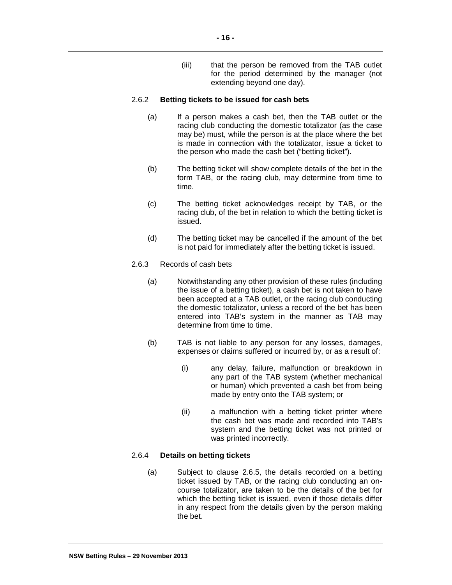(iii) that the person be removed from the TAB outlet for the period determined by the manager (not extending beyond one day).

#### 2.6.2 **Betting tickets to be issued for cash bets**

- (a) If a person makes a cash bet, then the TAB outlet or the racing club conducting the domestic totalizator (as the case may be) must, while the person is at the place where the bet is made in connection with the totalizator, issue a ticket to the person who made the cash bet ("betting ticket").
- (b) The betting ticket will show complete details of the bet in the form TAB, or the racing club, may determine from time to time.
- (c) The betting ticket acknowledges receipt by TAB, or the racing club, of the bet in relation to which the betting ticket is issued.
- (d) The betting ticket may be cancelled if the amount of the bet is not paid for immediately after the betting ticket is issued.
- 2.6.3 Records of cash bets
	- (a) Notwithstanding any other provision of these rules (including the issue of a betting ticket), a cash bet is not taken to have been accepted at a TAB outlet, or the racing club conducting the domestic totalizator, unless a record of the bet has been entered into TAB's system in the manner as TAB may determine from time to time.
	- (b) TAB is not liable to any person for any losses, damages, expenses or claims suffered or incurred by, or as a result of:
		- (i) any delay, failure, malfunction or breakdown in any part of the TAB system (whether mechanical or human) which prevented a cash bet from being made by entry onto the TAB system; or
		- (ii) a malfunction with a betting ticket printer where the cash bet was made and recorded into TAB's system and the betting ticket was not printed or was printed incorrectly.

# 2.6.4 **Details on betting tickets**

(a) Subject to clause 2.6.5, the details recorded on a betting ticket issued by TAB, or the racing club conducting an oncourse totalizator, are taken to be the details of the bet for which the betting ticket is issued, even if those details differ in any respect from the details given by the person making the bet.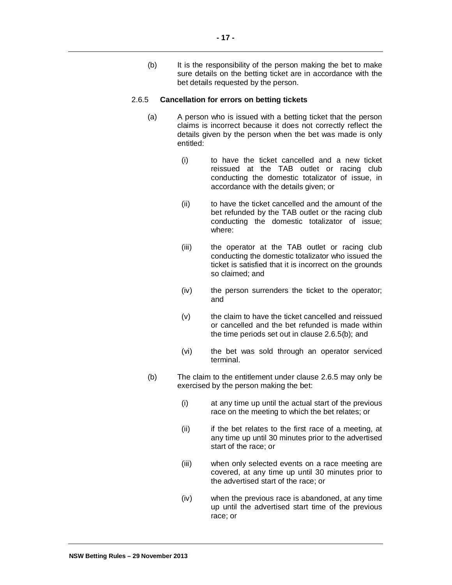(b) It is the responsibility of the person making the bet to make sure details on the betting ticket are in accordance with the bet details requested by the person.

#### 2.6.5 **Cancellation for errors on betting tickets**

- (a) A person who is issued with a betting ticket that the person claims is incorrect because it does not correctly reflect the details given by the person when the bet was made is only entitled:
	- (i) to have the ticket cancelled and a new ticket reissued at the TAB outlet or racing club conducting the domestic totalizator of issue, in accordance with the details given; or
	- (ii) to have the ticket cancelled and the amount of the bet refunded by the TAB outlet or the racing club conducting the domestic totalizator of issue; where:
	- (iii) the operator at the TAB outlet or racing club conducting the domestic totalizator who issued the ticket is satisfied that it is incorrect on the grounds so claimed; and
	- (iv) the person surrenders the ticket to the operator; and
	- (v) the claim to have the ticket cancelled and reissued or cancelled and the bet refunded is made within the time periods set out in clause 2.6.5(b); and
	- (vi) the bet was sold through an operator serviced terminal.
- (b) The claim to the entitlement under clause 2.6.5 may only be exercised by the person making the bet:
	- (i) at any time up until the actual start of the previous race on the meeting to which the bet relates; or
	- (ii) if the bet relates to the first race of a meeting, at any time up until 30 minutes prior to the advertised start of the race; or
	- (iii) when only selected events on a race meeting are covered, at any time up until 30 minutes prior to the advertised start of the race; or
	- (iv) when the previous race is abandoned, at any time up until the advertised start time of the previous race; or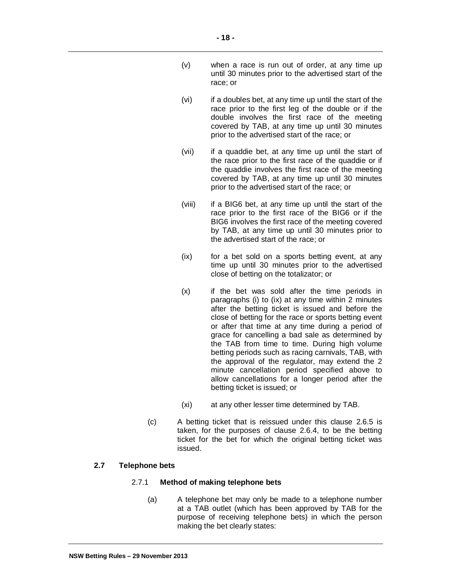- (v) when a race is run out of order, at any time up until 30 minutes prior to the advertised start of the race; or
- (vi) if a doubles bet, at any time up until the start of the race prior to the first leg of the double or if the double involves the first race of the meeting covered by TAB, at any time up until 30 minutes prior to the advertised start of the race; or
- (vii) if a quaddie bet, at any time up until the start of the race prior to the first race of the quaddie or if the quaddie involves the first race of the meeting covered by TAB, at any time up until 30 minutes prior to the advertised start of the race; or
- (viii) if a BIG6 bet, at any time up until the start of the race prior to the first race of the BIG6 or if the BIG6 involves the first race of the meeting covered by TAB, at any time up until 30 minutes prior to the advertised start of the race; or
- (ix) for a bet sold on a sports betting event, at any time up until 30 minutes prior to the advertised close of betting on the totalizator; or
- $(x)$  if the bet was sold after the time periods in paragraphs (i) to (ix) at any time within 2 minutes after the betting ticket is issued and before the close of betting for the race or sports betting event or after that time at any time during a period of grace for cancelling a bad sale as determined by the TAB from time to time. During high volume betting periods such as racing carnivals, TAB, with the approval of the regulator, may extend the 2 minute cancellation period specified above to allow cancellations for a longer period after the betting ticket is issued; or
- (xi) at any other lesser time determined by TAB.
- (c) A betting ticket that is reissued under this clause 2.6.5 is taken, for the purposes of clause 2.6.4, to be the betting ticket for the bet for which the original betting ticket was issued.

# **2.7 Telephone bets**

#### 2.7.1 **Method of making telephone bets**

(a) A telephone bet may only be made to a telephone number at a TAB outlet (which has been approved by TAB for the purpose of receiving telephone bets) in which the person making the bet clearly states: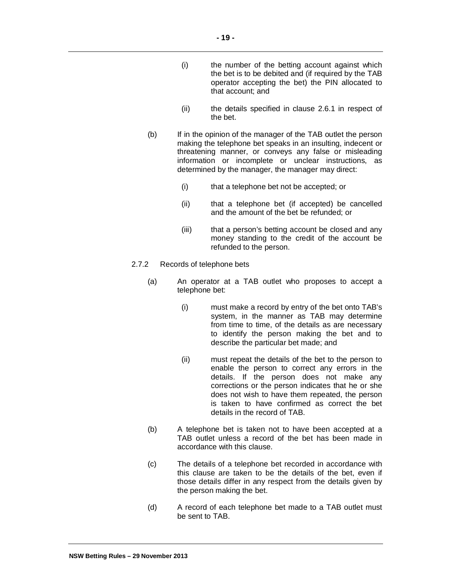- (i) the number of the betting account against which the bet is to be debited and (if required by the TAB operator accepting the bet) the PIN allocated to that account; and
- (ii) the details specified in clause 2.6.1 in respect of the bet.
- (b) If in the opinion of the manager of the TAB outlet the person making the telephone bet speaks in an insulting, indecent or threatening manner, or conveys any false or misleading information or incomplete or unclear instructions, as determined by the manager, the manager may direct:
	- (i) that a telephone bet not be accepted; or
	- (ii) that a telephone bet (if accepted) be cancelled and the amount of the bet be refunded; or
	- (iii) that a person's betting account be closed and any money standing to the credit of the account be refunded to the person.
- 2.7.2 Records of telephone bets
	- (a) An operator at a TAB outlet who proposes to accept a telephone bet:
		- (i) must make a record by entry of the bet onto TAB's system, in the manner as TAB may determine from time to time, of the details as are necessary to identify the person making the bet and to describe the particular bet made; and
		- (ii) must repeat the details of the bet to the person to enable the person to correct any errors in the details. If the person does not make any corrections or the person indicates that he or she does not wish to have them repeated, the person is taken to have confirmed as correct the bet details in the record of TAB.
	- (b) A telephone bet is taken not to have been accepted at a TAB outlet unless a record of the bet has been made in accordance with this clause.
	- (c) The details of a telephone bet recorded in accordance with this clause are taken to be the details of the bet, even if those details differ in any respect from the details given by the person making the bet.
	- (d) A record of each telephone bet made to a TAB outlet must be sent to TAB.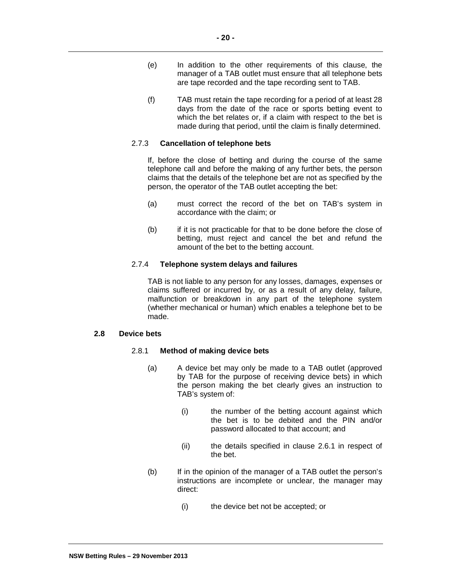- (e) In addition to the other requirements of this clause, the manager of a TAB outlet must ensure that all telephone bets are tape recorded and the tape recording sent to TAB.
- (f) TAB must retain the tape recording for a period of at least 28 days from the date of the race or sports betting event to which the bet relates or, if a claim with respect to the bet is made during that period, until the claim is finally determined.

#### 2.7.3 **Cancellation of telephone bets**

If, before the close of betting and during the course of the same telephone call and before the making of any further bets, the person claims that the details of the telephone bet are not as specified by the person, the operator of the TAB outlet accepting the bet:

- (a) must correct the record of the bet on TAB's system in accordance with the claim; or
- (b) if it is not practicable for that to be done before the close of betting, must reject and cancel the bet and refund the amount of the bet to the betting account.

## 2.7.4 **Telephone system delays and failures**

TAB is not liable to any person for any losses, damages, expenses or claims suffered or incurred by, or as a result of any delay, failure, malfunction or breakdown in any part of the telephone system (whether mechanical or human) which enables a telephone bet to be made.

#### **2.8 Device bets**

#### 2.8.1 **Method of making device bets**

- (a) A device bet may only be made to a TAB outlet (approved by TAB for the purpose of receiving device bets) in which the person making the bet clearly gives an instruction to TAB's system of:
	- (i) the number of the betting account against which the bet is to be debited and the PIN and/or password allocated to that account; and
	- (ii) the details specified in clause 2.6.1 in respect of the bet.
- (b) If in the opinion of the manager of a TAB outlet the person's instructions are incomplete or unclear, the manager may direct:
	- (i) the device bet not be accepted; or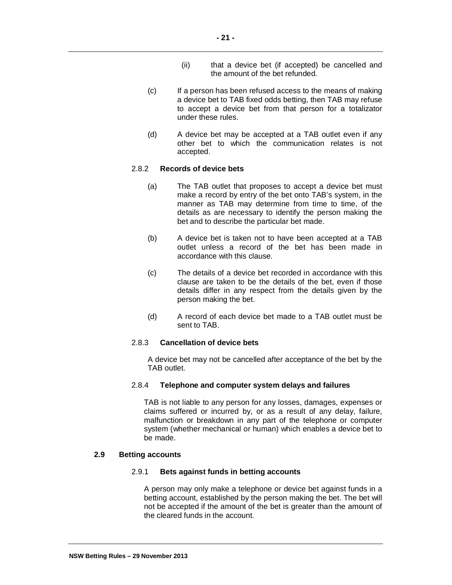- (ii) that a device bet (if accepted) be cancelled and the amount of the bet refunded.
- (c) If a person has been refused access to the means of making a device bet to TAB fixed odds betting, then TAB may refuse to accept a device bet from that person for a totalizator under these rules.
- (d) A device bet may be accepted at a TAB outlet even if any other bet to which the communication relates is not accepted.

## 2.8.2 **Records of device bets**

- (a) The TAB outlet that proposes to accept a device bet must make a record by entry of the bet onto TAB's system, in the manner as TAB may determine from time to time, of the details as are necessary to identify the person making the bet and to describe the particular bet made.
- (b) A device bet is taken not to have been accepted at a TAB outlet unless a record of the bet has been made in accordance with this clause.
- (c) The details of a device bet recorded in accordance with this clause are taken to be the details of the bet, even if those details differ in any respect from the details given by the person making the bet.
- (d) A record of each device bet made to a TAB outlet must be sent to TAB.

## 2.8.3 **Cancellation of device bets**

A device bet may not be cancelled after acceptance of the bet by the TAB outlet.

#### 2.8.4 **Telephone and computer system delays and failures**

TAB is not liable to any person for any losses, damages, expenses or claims suffered or incurred by, or as a result of any delay, failure, malfunction or breakdown in any part of the telephone or computer system (whether mechanical or human) which enables a device bet to be made.

# **2.9 Betting accounts**

#### 2.9.1 **Bets against funds in betting accounts**

A person may only make a telephone or device bet against funds in a betting account, established by the person making the bet. The bet will not be accepted if the amount of the bet is greater than the amount of the cleared funds in the account.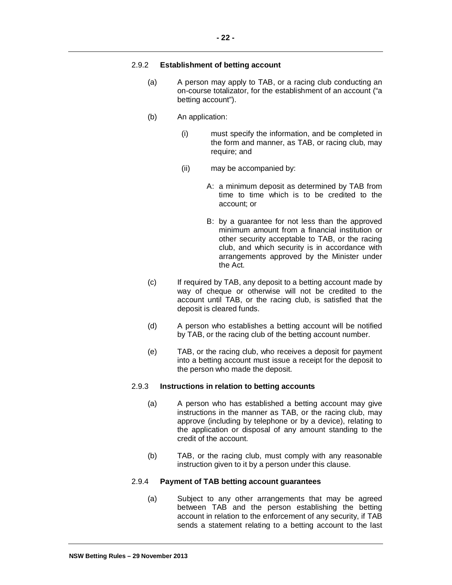## 2.9.2 **Establishment of betting account**

- (a) A person may apply to TAB, or a racing club conducting an on-course totalizator, for the establishment of an account ("a betting account").
- (b) An application:
	- (i) must specify the information, and be completed in the form and manner, as TAB, or racing club, may require; and
	- (ii) may be accompanied by:
		- A: a minimum deposit as determined by TAB from time to time which is to be credited to the account; or
		- B: by a guarantee for not less than the approved minimum amount from a financial institution or other security acceptable to TAB, or the racing club, and which security is in accordance with arrangements approved by the Minister under the Act.
- (c) If required by TAB, any deposit to a betting account made by way of cheque or otherwise will not be credited to the account until TAB, or the racing club, is satisfied that the deposit is cleared funds.
- (d) A person who establishes a betting account will be notified by TAB, or the racing club of the betting account number.
- (e) TAB, or the racing club, who receives a deposit for payment into a betting account must issue a receipt for the deposit to the person who made the deposit.

# 2.9.3 **Instructions in relation to betting accounts**

- (a) A person who has established a betting account may give instructions in the manner as TAB, or the racing club, may approve (including by telephone or by a device), relating to the application or disposal of any amount standing to the credit of the account.
- (b) TAB, or the racing club, must comply with any reasonable instruction given to it by a person under this clause.

#### 2.9.4 **Payment of TAB betting account guarantees**

(a) Subject to any other arrangements that may be agreed between TAB and the person establishing the betting account in relation to the enforcement of any security, if TAB sends a statement relating to a betting account to the last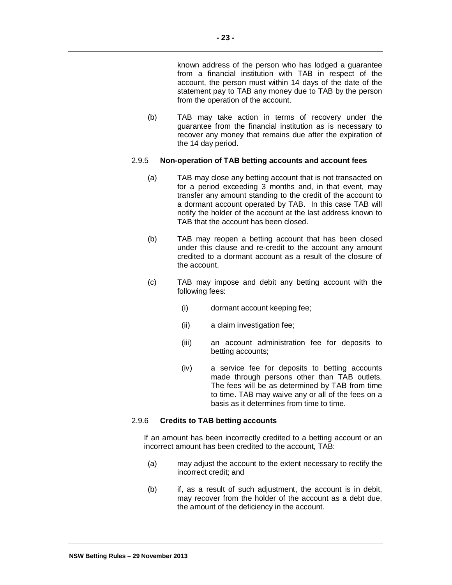known address of the person who has lodged a guarantee from a financial institution with TAB in respect of the account, the person must within 14 days of the date of the statement pay to TAB any money due to TAB by the person from the operation of the account.

(b) TAB may take action in terms of recovery under the guarantee from the financial institution as is necessary to recover any money that remains due after the expiration of the 14 day period.

## 2.9.5 **Non-operation of TAB betting accounts and account fees**

- (a) TAB may close any betting account that is not transacted on for a period exceeding 3 months and, in that event, may transfer any amount standing to the credit of the account to a dormant account operated by TAB. In this case TAB will notify the holder of the account at the last address known to TAB that the account has been closed.
- (b) TAB may reopen a betting account that has been closed under this clause and re-credit to the account any amount credited to a dormant account as a result of the closure of the account.
- (c) TAB may impose and debit any betting account with the following fees:
	- (i) dormant account keeping fee;
	- (ii) a claim investigation fee;
	- (iii) an account administration fee for deposits to betting accounts;
	- (iv) a service fee for deposits to betting accounts made through persons other than TAB outlets. The fees will be as determined by TAB from time to time. TAB may waive any or all of the fees on a basis as it determines from time to time.

# 2.9.6 **Credits to TAB betting accounts**

If an amount has been incorrectly credited to a betting account or an incorrect amount has been credited to the account, TAB:

- (a) may adjust the account to the extent necessary to rectify the incorrect credit; and
- (b) if, as a result of such adjustment, the account is in debit, may recover from the holder of the account as a debt due, the amount of the deficiency in the account.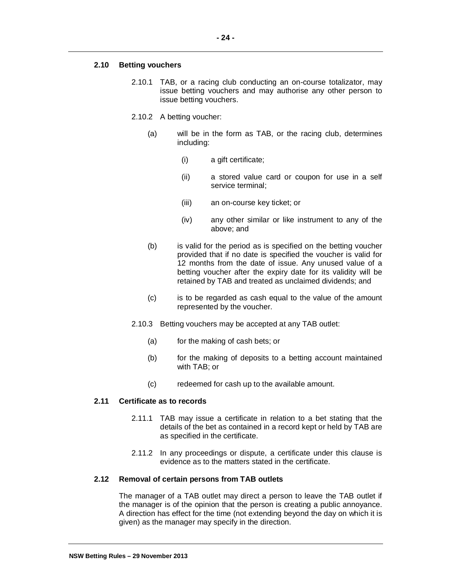## **2.10 Betting vouchers**

- 2.10.1 TAB, or a racing club conducting an on-course totalizator, may issue betting vouchers and may authorise any other person to issue betting vouchers.
- 2.10.2 A betting voucher:
	- (a) will be in the form as TAB, or the racing club, determines including:
		- (i) a gift certificate;
		- (ii) a stored value card or coupon for use in a self service terminal;
		- (iii) an on-course key ticket; or
		- (iv) any other similar or like instrument to any of the above; and
	- (b) is valid for the period as is specified on the betting voucher provided that if no date is specified the voucher is valid for 12 months from the date of issue. Any unused value of a betting voucher after the expiry date for its validity will be retained by TAB and treated as unclaimed dividends; and
	- (c) is to be regarded as cash equal to the value of the amount represented by the voucher.
- 2.10.3 Betting vouchers may be accepted at any TAB outlet:
	- (a) for the making of cash bets; or
	- (b) for the making of deposits to a betting account maintained with TAB; or
	- (c) redeemed for cash up to the available amount.

#### **2.11 Certificate as to records**

- 2.11.1 TAB may issue a certificate in relation to a bet stating that the details of the bet as contained in a record kept or held by TAB are as specified in the certificate.
- 2.11.2 In any proceedings or dispute, a certificate under this clause is evidence as to the matters stated in the certificate.

#### **2.12 Removal of certain persons from TAB outlets**

The manager of a TAB outlet may direct a person to leave the TAB outlet if the manager is of the opinion that the person is creating a public annoyance. A direction has effect for the time (not extending beyond the day on which it is given) as the manager may specify in the direction.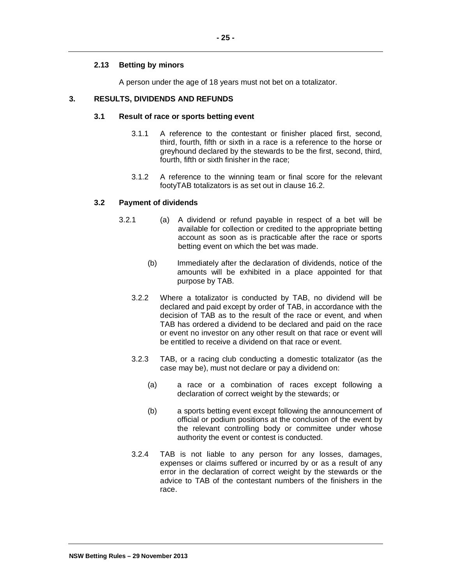# **2.13 Betting by minors**

A person under the age of 18 years must not bet on a totalizator.

## **3. RESULTS, DIVIDENDS AND REFUNDS**

## **3.1 Result of race or sports betting event**

- 3.1.1 A reference to the contestant or finisher placed first, second, third, fourth, fifth or sixth in a race is a reference to the horse or greyhound declared by the stewards to be the first, second, third, fourth, fifth or sixth finisher in the race;
- 3.1.2 A reference to the winning team or final score for the relevant footyTAB totalizators is as set out in clause 16.2.

## **3.2 Payment of dividends**

- 3.2.1 (a) A dividend or refund payable in respect of a bet will be available for collection or credited to the appropriate betting account as soon as is practicable after the race or sports betting event on which the bet was made.
	- (b) Immediately after the declaration of dividends, notice of the amounts will be exhibited in a place appointed for that purpose by TAB.
	- 3.2.2 Where a totalizator is conducted by TAB, no dividend will be declared and paid except by order of TAB, in accordance with the decision of TAB as to the result of the race or event, and when TAB has ordered a dividend to be declared and paid on the race or event no investor on any other result on that race or event will be entitled to receive a dividend on that race or event.
	- 3.2.3 TAB, or a racing club conducting a domestic totalizator (as the case may be), must not declare or pay a dividend on:
		- (a) a race or a combination of races except following a declaration of correct weight by the stewards; or
		- (b) a sports betting event except following the announcement of official or podium positions at the conclusion of the event by the relevant controlling body or committee under whose authority the event or contest is conducted.
	- 3.2.4 TAB is not liable to any person for any losses, damages, expenses or claims suffered or incurred by or as a result of any error in the declaration of correct weight by the stewards or the advice to TAB of the contestant numbers of the finishers in the race.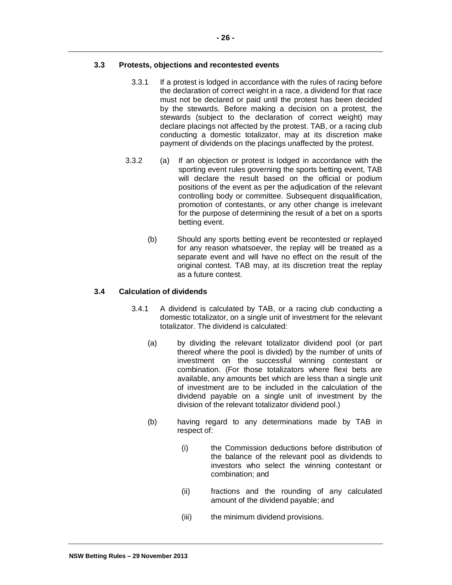## **3.3 Protests, objections and recontested events**

- 3.3.1 If a protest is lodged in accordance with the rules of racing before the declaration of correct weight in a race, a dividend for that race must not be declared or paid until the protest has been decided by the stewards. Before making a decision on a protest, the stewards (subject to the declaration of correct weight) may declare placings not affected by the protest. TAB, or a racing club conducting a domestic totalizator, may at its discretion make payment of dividends on the placings unaffected by the protest.
- 3.3.2 (a) If an objection or protest is lodged in accordance with the sporting event rules governing the sports betting event, TAB will declare the result based on the official or podium positions of the event as per the adjudication of the relevant controlling body or committee. Subsequent disqualification, promotion of contestants, or any other change is irrelevant for the purpose of determining the result of a bet on a sports betting event.
	- (b) Should any sports betting event be recontested or replayed for any reason whatsoever, the replay will be treated as a separate event and will have no effect on the result of the original contest. TAB may, at its discretion treat the replay as a future contest.

## **3.4 Calculation of dividends**

- 3.4.1 A dividend is calculated by TAB, or a racing club conducting a domestic totalizator, on a single unit of investment for the relevant totalizator. The dividend is calculated:
	- (a) by dividing the relevant totalizator dividend pool (or part thereof where the pool is divided) by the number of units of investment on the successful winning contestant or combination. (For those totalizators where flexi bets are available, any amounts bet which are less than a single unit of investment are to be included in the calculation of the dividend payable on a single unit of investment by the division of the relevant totalizator dividend pool.)
	- (b) having regard to any determinations made by TAB in respect of:
		- (i) the Commission deductions before distribution of the balance of the relevant pool as dividends to investors who select the winning contestant or combination; and
		- (ii) fractions and the rounding of any calculated amount of the dividend payable; and
		- (iii) the minimum dividend provisions.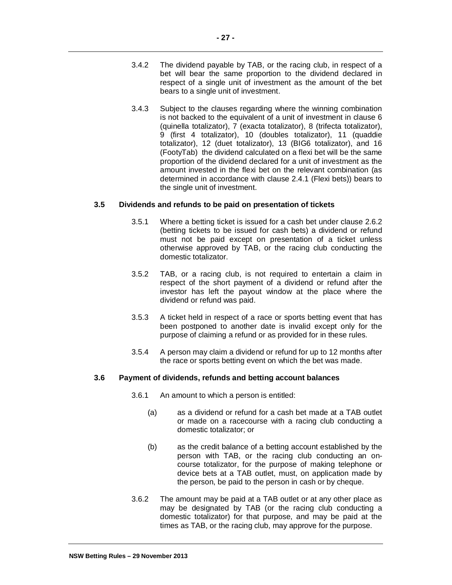- 3.4.2 The dividend payable by TAB, or the racing club, in respect of a bet will bear the same proportion to the dividend declared in respect of a single unit of investment as the amount of the bet bears to a single unit of investment.
- 3.4.3 Subject to the clauses regarding where the winning combination is not backed to the equivalent of a unit of investment in clause 6 (quinella totalizator), 7 (exacta totalizator), 8 (trifecta totalizator), 9 (first 4 totalizator), 10 (doubles totalizator), 11 (quaddie totalizator), 12 (duet totalizator), 13 (BIG6 totalizator), and 16 (FootyTab) the dividend calculated on a flexi bet will be the same proportion of the dividend declared for a unit of investment as the amount invested in the flexi bet on the relevant combination (as determined in accordance with clause 2.4.1 (Flexi bets)) bears to the single unit of investment.

## **3.5 Dividends and refunds to be paid on presentation of tickets**

- 3.5.1 Where a betting ticket is issued for a cash bet under clause 2.6.2 (betting tickets to be issued for cash bets) a dividend or refund must not be paid except on presentation of a ticket unless otherwise approved by TAB, or the racing club conducting the domestic totalizator.
- 3.5.2 TAB, or a racing club, is not required to entertain a claim in respect of the short payment of a dividend or refund after the investor has left the payout window at the place where the dividend or refund was paid.
- 3.5.3 A ticket held in respect of a race or sports betting event that has been postponed to another date is invalid except only for the purpose of claiming a refund or as provided for in these rules.
- 3.5.4 A person may claim a dividend or refund for up to 12 months after the race or sports betting event on which the bet was made.

## **3.6 Payment of dividends, refunds and betting account balances**

- 3.6.1 An amount to which a person is entitled:
	- (a) as a dividend or refund for a cash bet made at a TAB outlet or made on a racecourse with a racing club conducting a domestic totalizator; or
	- (b) as the credit balance of a betting account established by the person with TAB, or the racing club conducting an oncourse totalizator, for the purpose of making telephone or device bets at a TAB outlet, must, on application made by the person, be paid to the person in cash or by cheque.
- 3.6.2 The amount may be paid at a TAB outlet or at any other place as may be designated by TAB (or the racing club conducting a domestic totalizator) for that purpose, and may be paid at the times as TAB, or the racing club, may approve for the purpose.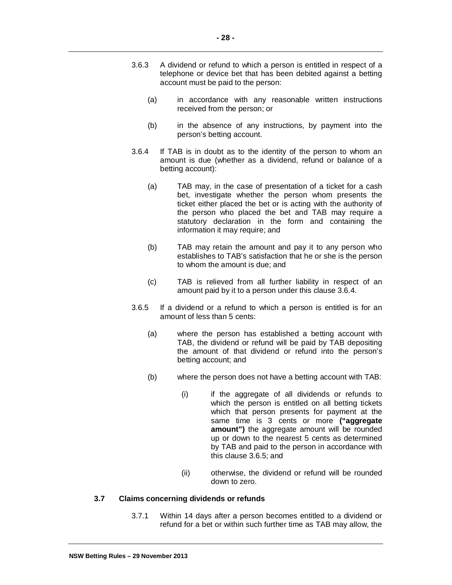- 3.6.3 A dividend or refund to which a person is entitled in respect of a telephone or device bet that has been debited against a betting account must be paid to the person:
	- (a) in accordance with any reasonable written instructions received from the person; or
	- (b) in the absence of any instructions, by payment into the person's betting account.
- 3.6.4 If TAB is in doubt as to the identity of the person to whom an amount is due (whether as a dividend, refund or balance of a betting account):
	- (a) TAB may, in the case of presentation of a ticket for a cash bet, investigate whether the person whom presents the ticket either placed the bet or is acting with the authority of the person who placed the bet and TAB may require a statutory declaration in the form and containing the information it may require; and
	- (b) TAB may retain the amount and pay it to any person who establishes to TAB's satisfaction that he or she is the person to whom the amount is due; and
	- (c) TAB is relieved from all further liability in respect of an amount paid by it to a person under this clause 3.6.4.
- 3.6.5 If a dividend or a refund to which a person is entitled is for an amount of less than 5 cents:
	- (a) where the person has established a betting account with TAB, the dividend or refund will be paid by TAB depositing the amount of that dividend or refund into the person's betting account; and
	- (b) where the person does not have a betting account with TAB:
		- (i) if the aggregate of all dividends or refunds to which the person is entitled on all betting tickets which that person presents for payment at the same time is 3 cents or more **("aggregate amount")** the aggregate amount will be rounded up or down to the nearest 5 cents as determined by TAB and paid to the person in accordance with this clause 3.6.5; and
		- (ii) otherwise, the dividend or refund will be rounded down to zero.

#### **3.7 Claims concerning dividends or refunds**

3.7.1 Within 14 days after a person becomes entitled to a dividend or refund for a bet or within such further time as TAB may allow, the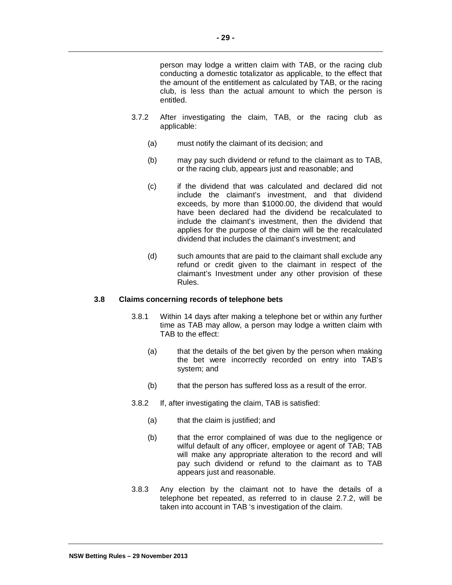person may lodge a written claim with TAB, or the racing club conducting a domestic totalizator as applicable, to the effect that the amount of the entitlement as calculated by TAB, or the racing club, is less than the actual amount to which the person is entitled.

- 3.7.2 After investigating the claim, TAB, or the racing club as applicable:
	- (a) must notify the claimant of its decision; and
	- (b) may pay such dividend or refund to the claimant as to TAB, or the racing club, appears just and reasonable; and
	- (c) if the dividend that was calculated and declared did not include the claimant's investment, and that dividend exceeds, by more than \$1000.00, the dividend that would have been declared had the dividend be recalculated to include the claimant's investment, then the dividend that applies for the purpose of the claim will be the recalculated dividend that includes the claimant's investment; and
	- (d) such amounts that are paid to the claimant shall exclude any refund or credit given to the claimant in respect of the claimant's Investment under any other provision of these Rules.

# **3.8 Claims concerning records of telephone bets**

- 3.8.1 Within 14 days after making a telephone bet or within any further time as TAB may allow, a person may lodge a written claim with TAB to the effect:
	- (a) that the details of the bet given by the person when making the bet were incorrectly recorded on entry into TAB's system; and
	- (b) that the person has suffered loss as a result of the error.
- 3.8.2 If, after investigating the claim, TAB is satisfied:
	- (a) that the claim is justified; and
	- (b) that the error complained of was due to the negligence or wilful default of any officer, employee or agent of TAB; TAB will make any appropriate alteration to the record and will pay such dividend or refund to the claimant as to TAB appears just and reasonable.
- 3.8.3 Any election by the claimant not to have the details of a telephone bet repeated, as referred to in clause 2.7.2, will be taken into account in TAB 's investigation of the claim.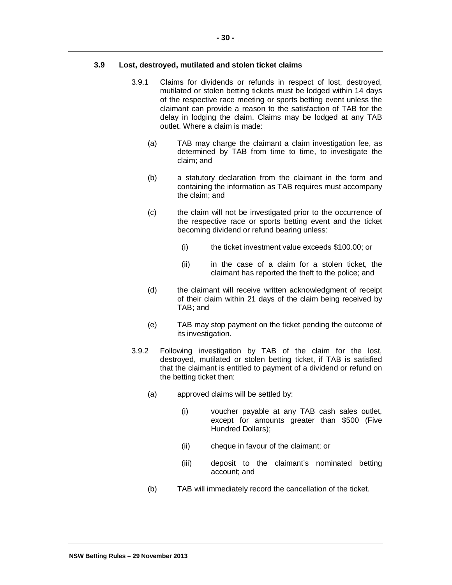## **3.9 Lost, destroyed, mutilated and stolen ticket claims**

- 3.9.1 Claims for dividends or refunds in respect of lost, destroyed, mutilated or stolen betting tickets must be lodged within 14 days of the respective race meeting or sports betting event unless the claimant can provide a reason to the satisfaction of TAB for the delay in lodging the claim. Claims may be lodged at any TAB outlet. Where a claim is made:
	- (a) TAB may charge the claimant a claim investigation fee, as determined by TAB from time to time, to investigate the claim; and
	- (b) a statutory declaration from the claimant in the form and containing the information as TAB requires must accompany the claim; and
	- (c) the claim will not be investigated prior to the occurrence of the respective race or sports betting event and the ticket becoming dividend or refund bearing unless:
		- (i) the ticket investment value exceeds \$100.00; or
		- (ii) in the case of a claim for a stolen ticket, the claimant has reported the theft to the police; and
	- (d) the claimant will receive written acknowledgment of receipt of their claim within 21 days of the claim being received by TAB; and
	- (e) TAB may stop payment on the ticket pending the outcome of its investigation.
- 3.9.2 Following investigation by TAB of the claim for the lost, destroyed, mutilated or stolen betting ticket, if TAB is satisfied that the claimant is entitled to payment of a dividend or refund on the betting ticket then:
	- (a) approved claims will be settled by:
		- (i) voucher payable at any TAB cash sales outlet, except for amounts greater than \$500 (Five Hundred Dollars);
		- (ii) cheque in favour of the claimant; or
		- (iii) deposit to the claimant's nominated betting account; and
	- (b) TAB will immediately record the cancellation of the ticket.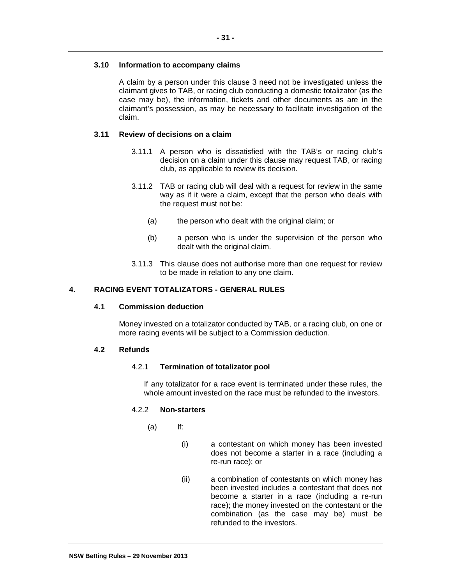# **3.10 Information to accompany claims**

A claim by a person under this clause 3 need not be investigated unless the claimant gives to TAB, or racing club conducting a domestic totalizator (as the case may be), the information, tickets and other documents as are in the claimant's possession, as may be necessary to facilitate investigation of the claim.

## **3.11 Review of decisions on a claim**

- 3.11.1 A person who is dissatisfied with the TAB's or racing club's decision on a claim under this clause may request TAB, or racing club, as applicable to review its decision.
- 3.11.2 TAB or racing club will deal with a request for review in the same way as if it were a claim, except that the person who deals with the request must not be:
	- (a) the person who dealt with the original claim; or
	- (b) a person who is under the supervision of the person who dealt with the original claim.
- 3.11.3 This clause does not authorise more than one request for review to be made in relation to any one claim.

# **4. RACING EVENT TOTALIZATORS - GENERAL RULES**

#### **4.1 Commission deduction**

Money invested on a totalizator conducted by TAB, or a racing club, on one or more racing events will be subject to a Commission deduction.

#### **4.2 Refunds**

#### 4.2.1 **Termination of totalizator pool**

If any totalizator for a race event is terminated under these rules, the whole amount invested on the race must be refunded to the investors.

#### 4.2.2 **Non-starters**

- (a) If:
	- (i) a contestant on which money has been invested does not become a starter in a race (including a re-run race); or
	- (ii) a combination of contestants on which money has been invested includes a contestant that does not become a starter in a race (including a re-run race); the money invested on the contestant or the combination (as the case may be) must be refunded to the investors.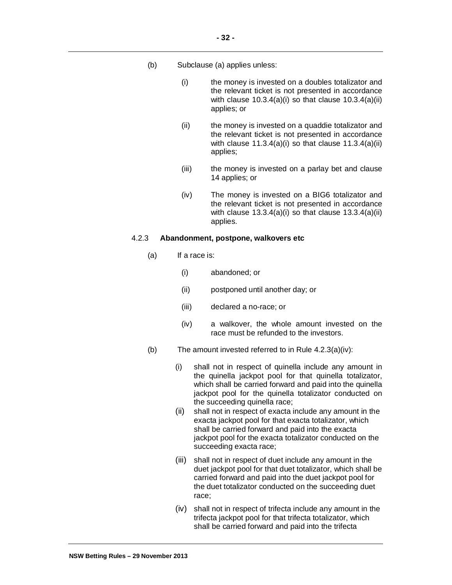- (b) Subclause (a) applies unless:
	- (i) the money is invested on a doubles totalizator and the relevant ticket is not presented in accordance with clause  $10.3.4(a)(i)$  so that clause  $10.3.4(a)(ii)$ applies; or
	- (ii) the money is invested on a quaddie totalizator and the relevant ticket is not presented in accordance with clause  $11.3.4(a)(i)$  so that clause  $11.3.4(a)(ii)$ applies;
	- (iii) the money is invested on a parlay bet and clause 14 applies; or
	- (iv) The money is invested on a BIG6 totalizator and the relevant ticket is not presented in accordance with clause  $13.3.4(a)(i)$  so that clause  $13.3.4(a)(ii)$ applies.

#### 4.2.3 **Abandonment, postpone, walkovers etc**

- (a) If a race is:
	- (i) abandoned; or
	- (ii) postponed until another day; or
	- (iii) declared a no-race; or
	- (iv) a walkover, the whole amount invested on the race must be refunded to the investors.
- (b) The amount invested referred to in Rule 4.2.3(a)(iv):
	- (i) shall not in respect of quinella include any amount in the quinella jackpot pool for that quinella totalizator, which shall be carried forward and paid into the quinella jackpot pool for the quinella totalizator conducted on the succeeding quinella race;
	- (ii) shall not in respect of exacta include any amount in the exacta jackpot pool for that exacta totalizator, which shall be carried forward and paid into the exacta jackpot pool for the exacta totalizator conducted on the succeeding exacta race;
	- (iii) shall not in respect of duet include any amount in the duet jackpot pool for that duet totalizator, which shall be carried forward and paid into the duet jackpot pool for the duet totalizator conducted on the succeeding duet race;
	- (iv) shall not in respect of trifecta include any amount in the trifecta jackpot pool for that trifecta totalizator, which shall be carried forward and paid into the trifecta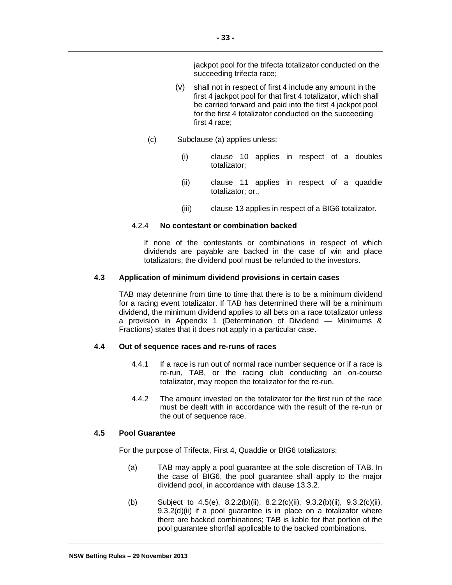jackpot pool for the trifecta totalizator conducted on the succeeding trifecta race;

- (v) shall not in respect of first 4 include any amount in the first 4 jackpot pool for that first 4 totalizator, which shall be carried forward and paid into the first 4 jackpot pool for the first 4 totalizator conducted on the succeeding first 4 race;
- (c) Subclause (a) applies unless:

**- 33 -**

- (i) clause 10 applies in respect of a doubles totalizator;
- (ii) clause 11 applies in respect of a quaddie totalizator; or.,
- (iii) clause 13 applies in respect of a BIG6 totalizator.

# 4.2.4 **No contestant or combination backed**

If none of the contestants or combinations in respect of which dividends are payable are backed in the case of win and place totalizators, the dividend pool must be refunded to the investors.

# **4.3 Application of minimum dividend provisions in certain cases**

TAB may determine from time to time that there is to be a minimum dividend for a racing event totalizator. If TAB has determined there will be a minimum dividend, the minimum dividend applies to all bets on a race totalizator unless a provision in Appendix 1 (Determination of Dividend — Minimums & Fractions) states that it does not apply in a particular case.

## **4.4 Out of sequence races and re-runs of races**

- 4.4.1 If a race is run out of normal race number sequence or if a race is re-run, TAB, or the racing club conducting an on-course totalizator, may reopen the totalizator for the re-run.
- 4.4.2 The amount invested on the totalizator for the first run of the race must be dealt with in accordance with the result of the re-run or the out of sequence race.

# **4.5 Pool Guarantee**

For the purpose of Trifecta, First 4, Quaddie or BIG6 totalizators:

- (a) TAB may apply a pool guarantee at the sole discretion of TAB. In the case of BIG6, the pool guarantee shall apply to the major dividend pool, in accordance with clause 13.3.2.
- (b) Subject to 4.5(e), 8.2.2(b)(ii), 8.2.2(c)(ii), 9.3.2(b)(ii), 9.3.2(c)(ii), 9.3.2(d)(ii) if a pool guarantee is in place on a totalizator where there are backed combinations; TAB is liable for that portion of the pool guarantee shortfall applicable to the backed combinations.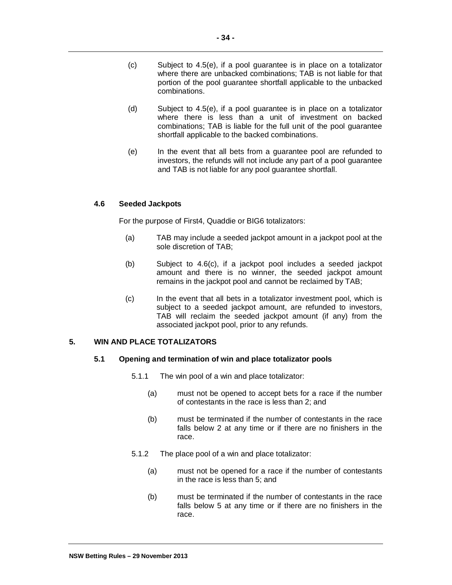- (c) Subject to 4.5(e), if a pool guarantee is in place on a totalizator where there are unbacked combinations; TAB is not liable for that portion of the pool guarantee shortfall applicable to the unbacked combinations.
- (d) Subject to 4.5(e), if a pool guarantee is in place on a totalizator where there is less than a unit of investment on backed combinations; TAB is liable for the full unit of the pool guarantee shortfall applicable to the backed combinations.
- (e) In the event that all bets from a guarantee pool are refunded to investors, the refunds will not include any part of a pool guarantee and TAB is not liable for any pool guarantee shortfall.

# **4.6 Seeded Jackpots**

For the purpose of First4, Quaddie or BIG6 totalizators:

- (a) TAB may include a seeded jackpot amount in a jackpot pool at the sole discretion of TAB;
- (b) Subject to 4.6(c), if a jackpot pool includes a seeded jackpot amount and there is no winner, the seeded jackpot amount remains in the jackpot pool and cannot be reclaimed by TAB;
- (c) In the event that all bets in a totalizator investment pool, which is subject to a seeded jackpot amount, are refunded to investors, TAB will reclaim the seeded jackpot amount (if any) from the associated jackpot pool, prior to any refunds.

# **5. WIN AND PLACE TOTALIZATORS**

## **5.1 Opening and termination of win and place totalizator pools**

- 5.1.1 The win pool of a win and place totalizator:
	- (a) must not be opened to accept bets for a race if the number of contestants in the race is less than 2; and
	- (b) must be terminated if the number of contestants in the race falls below 2 at any time or if there are no finishers in the race.
- 5.1.2 The place pool of a win and place totalizator:
	- (a) must not be opened for a race if the number of contestants in the race is less than 5; and
	- (b) must be terminated if the number of contestants in the race falls below 5 at any time or if there are no finishers in the race.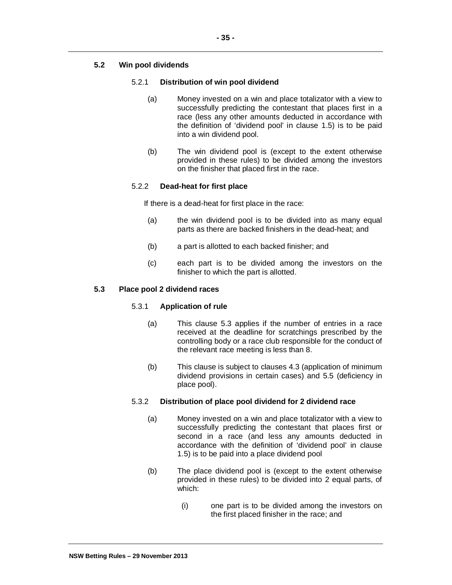# **5.2 Win pool dividends**

# 5.2.1 **Distribution of win pool dividend**

- (a) Money invested on a win and place totalizator with a view to successfully predicting the contestant that places first in a race (less any other amounts deducted in accordance with the definition of 'dividend pool' in clause 1.5) is to be paid into a win dividend pool.
- (b) The win dividend pool is (except to the extent otherwise provided in these rules) to be divided among the investors on the finisher that placed first in the race.

# 5.2.2 **Dead-heat for first place**

If there is a dead-heat for first place in the race:

- (a) the win dividend pool is to be divided into as many equal parts as there are backed finishers in the dead-heat; and
- (b) a part is allotted to each backed finisher; and
- (c) each part is to be divided among the investors on the finisher to which the part is allotted.

# **5.3 Place pool 2 dividend races**

# 5.3.1 **Application of rule**

- (a) This clause 5.3 applies if the number of entries in a race received at the deadline for scratchings prescribed by the controlling body or a race club responsible for the conduct of the relevant race meeting is less than 8.
- (b) This clause is subject to clauses 4.3 (application of minimum dividend provisions in certain cases) and 5.5 (deficiency in place pool).

# 5.3.2 **Distribution of place pool dividend for 2 dividend race**

- (a) Money invested on a win and place totalizator with a view to successfully predicting the contestant that places first or second in a race (and less any amounts deducted in accordance with the definition of 'dividend pool' in clause 1.5) is to be paid into a place dividend pool
- (b) The place dividend pool is (except to the extent otherwise provided in these rules) to be divided into 2 equal parts, of which:
	- (i) one part is to be divided among the investors on the first placed finisher in the race; and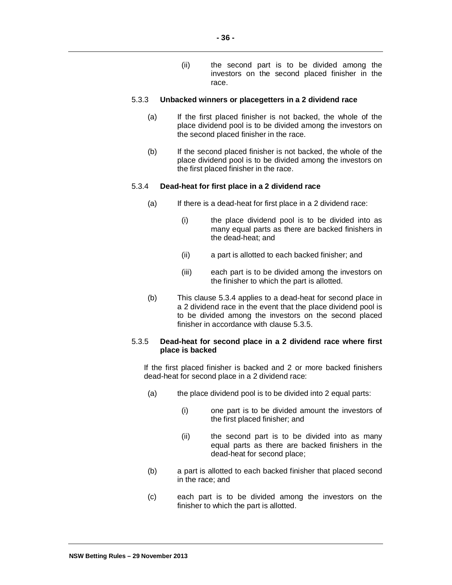(ii) the second part is to be divided among the investors on the second placed finisher in the race.

### 5.3.3 **Unbacked winners or placegetters in a 2 dividend race**

- (a) If the first placed finisher is not backed, the whole of the place dividend pool is to be divided among the investors on the second placed finisher in the race.
- (b) If the second placed finisher is not backed, the whole of the place dividend pool is to be divided among the investors on the first placed finisher in the race.

# 5.3.4 **Dead-heat for first place in a 2 dividend race**

- $(a)$  If there is a dead-heat for first place in a 2 dividend race:
	- (i) the place dividend pool is to be divided into as many equal parts as there are backed finishers in the dead-heat; and
	- (ii) a part is allotted to each backed finisher; and
	- (iii) each part is to be divided among the investors on the finisher to which the part is allotted.
- (b) This clause 5.3.4 applies to a dead-heat for second place in a 2 dividend race in the event that the place dividend pool is to be divided among the investors on the second placed finisher in accordance with clause 5.3.5.

# 5.3.5 **Dead-heat for second place in a 2 dividend race where first place is backed**

If the first placed finisher is backed and 2 or more backed finishers dead-heat for second place in a 2 dividend race:

- (a) the place dividend pool is to be divided into 2 equal parts:
	- (i) one part is to be divided amount the investors of the first placed finisher; and
	- (ii) the second part is to be divided into as many equal parts as there are backed finishers in the dead-heat for second place;
- (b) a part is allotted to each backed finisher that placed second in the race; and
- (c) each part is to be divided among the investors on the finisher to which the part is allotted.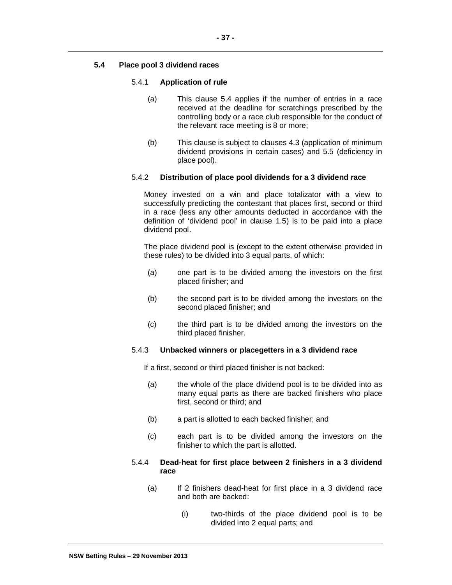# **5.4 Place pool 3 dividend races**

## 5.4.1 **Application of rule**

- (a) This clause 5.4 applies if the number of entries in a race received at the deadline for scratchings prescribed by the controlling body or a race club responsible for the conduct of the relevant race meeting is 8 or more;
- (b) This clause is subject to clauses 4.3 (application of minimum dividend provisions in certain cases) and 5.5 (deficiency in place pool).

## 5.4.2 **Distribution of place pool dividends for a 3 dividend race**

Money invested on a win and place totalizator with a view to successfully predicting the contestant that places first, second or third in a race (less any other amounts deducted in accordance with the definition of 'dividend pool' in clause 1.5) is to be paid into a place dividend pool.

The place dividend pool is (except to the extent otherwise provided in these rules) to be divided into 3 equal parts, of which:

- (a) one part is to be divided among the investors on the first placed finisher; and
- (b) the second part is to be divided among the investors on the second placed finisher; and
- (c) the third part is to be divided among the investors on the third placed finisher.

## 5.4.3 **Unbacked winners or placegetters in a 3 dividend race**

If a first, second or third placed finisher is not backed:

- (a) the whole of the place dividend pool is to be divided into as many equal parts as there are backed finishers who place first, second or third; and
- (b) a part is allotted to each backed finisher; and
- (c) each part is to be divided among the investors on the finisher to which the part is allotted.

## 5.4.4 **Dead-heat for first place between 2 finishers in a 3 dividend race**

- (a) If 2 finishers dead-heat for first place in a 3 dividend race and both are backed:
	- (i) two-thirds of the place dividend pool is to be divided into 2 equal parts; and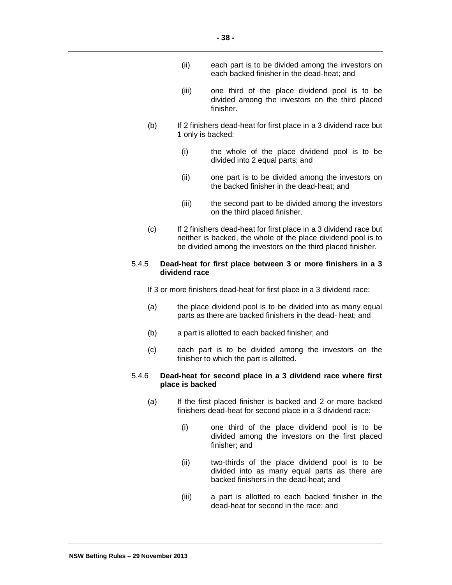- (ii) each part is to be divided among the investors on each backed finisher in the dead-heat; and
- (iii) one third of the place dividend pool is to be divided among the investors on the third placed finisher.
- (b) If 2 finishers dead-heat for first place in a 3 dividend race but 1 only is backed:
	- (i) the whole of the place dividend pool is to be divided into 2 equal parts; and
	- (ii) one part is to be divided among the investors on the backed finisher in the dead-heat; and
	- (iii) the second part to be divided among the investors on the third placed finisher.
- (c) If 2 finishers dead-heat for first place in a 3 dividend race but neither is backed, the whole of the place dividend pool is to be divided among the investors on the third placed finisher.

## 5.4.5 **Dead-heat for first place between 3 or more finishers in a 3 dividend race**

If 3 or more finishers dead-heat for first place in a 3 dividend race:

- (a) the place dividend pool is to be divided into as many equal parts as there are backed finishers in the dead- heat; and
- (b) a part is allotted to each backed finisher; and
- (c) each part is to be divided among the investors on the finisher to which the part is allotted.

### 5.4.6 **Dead-heat for second place in a 3 dividend race where first place is backed**

- (a) If the first placed finisher is backed and 2 or more backed finishers dead-heat for second place in a 3 dividend race:
	- (i) one third of the place dividend pool is to be divided among the investors on the first placed finisher; and
	- (ii) two-thirds of the place dividend pool is to be divided into as many equal parts as there are backed finishers in the dead-heat; and
	- (iii) a part is allotted to each backed finisher in the dead-heat for second in the race; and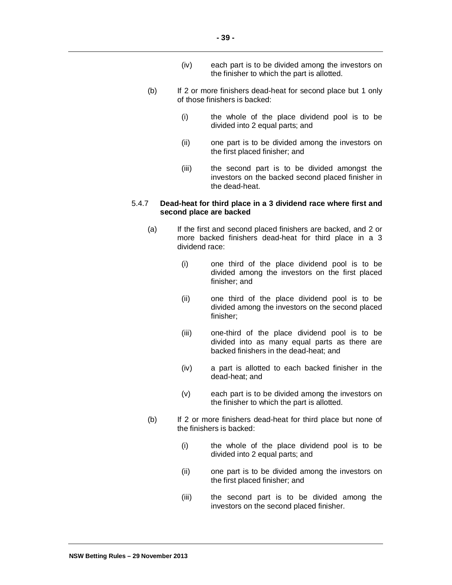- (iv) each part is to be divided among the investors on the finisher to which the part is allotted.
- (b) If 2 or more finishers dead-heat for second place but 1 only of those finishers is backed:
	- (i) the whole of the place dividend pool is to be divided into 2 equal parts; and
	- (ii) one part is to be divided among the investors on the first placed finisher; and
	- (iii) the second part is to be divided amongst the investors on the backed second placed finisher in the dead-heat.

## 5.4.7 **Dead-heat for third place in a 3 dividend race where first and second place are backed**

- (a) If the first and second placed finishers are backed, and 2 or more backed finishers dead-heat for third place in a 3 dividend race:
	- (i) one third of the place dividend pool is to be divided among the investors on the first placed finisher; and
	- (ii) one third of the place dividend pool is to be divided among the investors on the second placed finisher;
	- (iii) one-third of the place dividend pool is to be divided into as many equal parts as there are backed finishers in the dead-heat; and
	- (iv) a part is allotted to each backed finisher in the dead-heat; and
	- (v) each part is to be divided among the investors on the finisher to which the part is allotted.
- (b) If 2 or more finishers dead-heat for third place but none of the finishers is backed:
	- (i) the whole of the place dividend pool is to be divided into 2 equal parts; and
	- (ii) one part is to be divided among the investors on the first placed finisher; and
	- (iii) the second part is to be divided among the investors on the second placed finisher.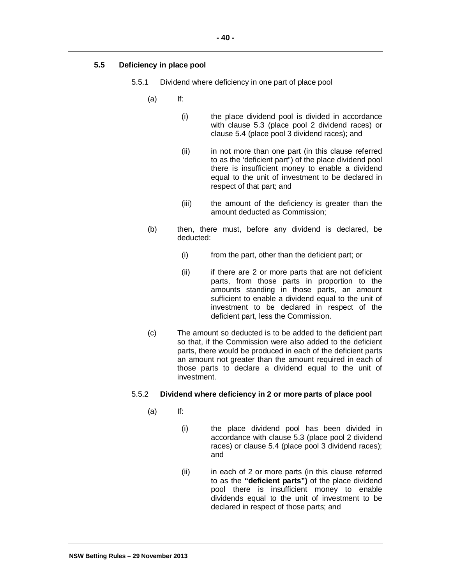# **5.5 Deficiency in place pool**

- 5.5.1 Dividend where deficiency in one part of place pool
	- (a) If:
		- (i) the place dividend pool is divided in accordance with clause 5.3 (place pool 2 dividend races) or clause 5.4 (place pool 3 dividend races); and
		- (ii) in not more than one part (in this clause referred to as the 'deficient part") of the place dividend pool there is insufficient money to enable a dividend equal to the unit of investment to be declared in respect of that part; and
		- (iii) the amount of the deficiency is greater than the amount deducted as Commission;
	- (b) then, there must, before any dividend is declared, be deducted:
		- (i) from the part, other than the deficient part; or
		- (ii) if there are 2 or more parts that are not deficient parts, from those parts in proportion to the amounts standing in those parts, an amount sufficient to enable a dividend equal to the unit of investment to be declared in respect of the deficient part, less the Commission.
	- (c) The amount so deducted is to be added to the deficient part so that, if the Commission were also added to the deficient parts, there would be produced in each of the deficient parts an amount not greater than the amount required in each of those parts to declare a dividend equal to the unit of investment.

## 5.5.2 **Dividend where deficiency in 2 or more parts of place pool**

- (a) If:
	- (i) the place dividend pool has been divided in accordance with clause 5.3 (place pool 2 dividend races) or clause 5.4 (place pool 3 dividend races); and
	- (ii) in each of 2 or more parts (in this clause referred to as the **"deficient parts")** of the place dividend pool there is insufficient money to enable dividends equal to the unit of investment to be declared in respect of those parts; and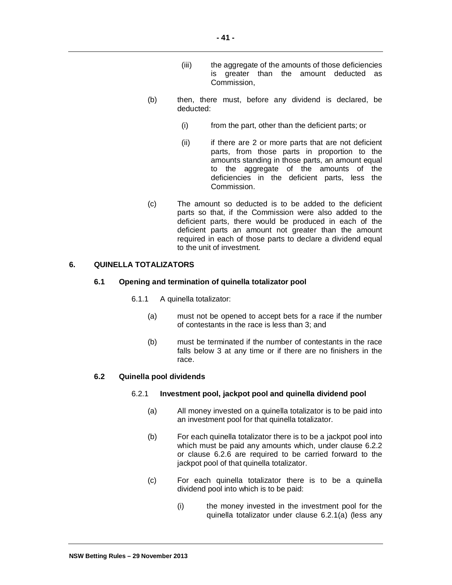- (iii) the aggregate of the amounts of those deficiencies is greater than the amount deducted as Commission,
- (b) then, there must, before any dividend is declared, be deducted:
	- (i) from the part, other than the deficient parts; or
	- (ii) if there are 2 or more parts that are not deficient parts, from those parts in proportion to the amounts standing in those parts, an amount equal to the aggregate of the amounts of the deficiencies in the deficient parts, less the Commission.
- (c) The amount so deducted is to be added to the deficient parts so that, if the Commission were also added to the deficient parts, there would be produced in each of the deficient parts an amount not greater than the amount required in each of those parts to declare a dividend equal to the unit of investment.

# **6. QUINELLA TOTALIZATORS**

## **6.1 Opening and termination of quinella totalizator pool**

- 6.1.1 A quinella totalizator:
	- (a) must not be opened to accept bets for a race if the number of contestants in the race is less than 3; and
	- (b) must be terminated if the number of contestants in the race falls below 3 at any time or if there are no finishers in the race.

## **6.2 Quinella pool dividends**

## 6.2.1 **Investment pool, jackpot pool and quinella dividend pool**

- (a) All money invested on a quinella totalizator is to be paid into an investment pool for that quinella totalizator.
- (b) For each quinella totalizator there is to be a jackpot pool into which must be paid any amounts which, under clause 6.2.2 or clause 6.2.6 are required to be carried forward to the jackpot pool of that quinella totalizator.
- (c) For each quinella totalizator there is to be a quinella dividend pool into which is to be paid:
	- (i) the money invested in the investment pool for the quinella totalizator under clause 6.2.1(a) (less any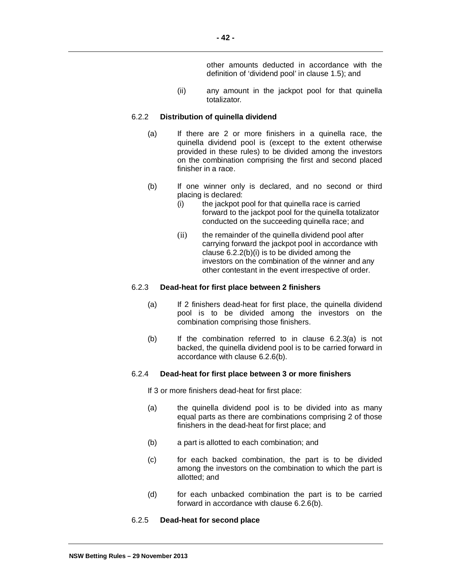other amounts deducted in accordance with the definition of 'dividend pool' in clause 1.5); and

(ii) any amount in the jackpot pool for that quinella totalizator*.*

#### 6.2.2 **Distribution of quinella dividend**

- (a) If there are 2 or more finishers in a quinella race, the quinella dividend pool is (except to the extent otherwise provided in these rules) to be divided among the investors on the combination comprising the first and second placed finisher in a race.
- (b) If one winner only is declared, and no second or third placing is declared:
	- (i) the jackpot pool for that quinella race is carried forward to the jackpot pool for the quinella totalizator conducted on the succeeding quinella race; and
	- (ii) the remainder of the quinella dividend pool after carrying forward the jackpot pool in accordance with clause 6.2.2(b)(i) is to be divided among the investors on the combination of the winner and any other contestant in the event irrespective of order.

#### 6.2.3 **Dead-heat for first place between 2 finishers**

- (a) If 2 finishers dead-heat for first place, the quinella dividend pool is to be divided among the investors on the combination comprising those finishers.
- $(b)$  If the combination referred to in clause  $6.2.3(a)$  is not backed, the quinella dividend pool is to be carried forward in accordance with clause 6.2.6(b).

# 6.2.4 **Dead-heat for first place between 3 or more finishers**

If 3 or more finishers dead-heat for first place:

- (a) the quinella dividend pool is to be divided into as many equal parts as there are combinations comprising 2 of those finishers in the dead-heat for first place; and
- (b) a part is allotted to each combination; and
- (c) for each backed combination, the part is to be divided among the investors on the combination to which the part is allotted; and
- (d) for each unbacked combination the part is to be carried forward in accordance with clause 6.2.6(b).

## 6.2.5 **Dead-heat for second place**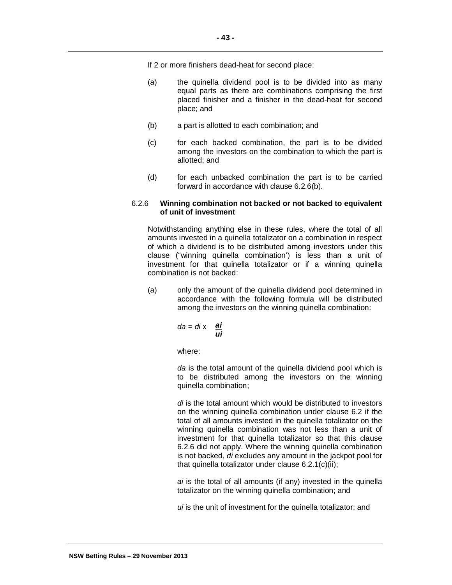If 2 or more finishers dead-heat for second place:

- (a) the quinella dividend pool is to be divided into as many equal parts as there are combinations comprising the first placed finisher and a finisher in the dead-heat for second place; and
- (b) a part is allotted to each combination; and
- (c) for each backed combination, the part is to be divided among the investors on the combination to which the part is allotted; and
- (d) for each unbacked combination the part is to be carried forward in accordance with clause 6.2.6(b).

## 6.2.6 **Winning combination not backed or not backed to equivalent of unit of investment**

Notwithstanding anything else in these rules, where the total of all amounts invested in a quinella totalizator on a combination in respect of which a dividend is to be distributed among investors under this clause ("winning quinella combination') is less than a unit of investment for that quinella totalizator or if a winning quinella combination is not backed:

(a) only the amount of the quinella dividend pool determined in accordance with the following formula will be distributed among the investors on the winning quinella combination:

$$
da = di \times \frac{ai}{ui}
$$

where:

*da* is the total amount of the quinella dividend pool which is to be distributed among the investors on the winning quinella combination;

*di* is the total amount which would be distributed to investors on the winning quinella combination under clause 6.2 if the total of all amounts invested in the quinella totalizator on the winning quinella combination was not less than a unit of investment for that quinella totalizator so that this clause 6.2.6 did not apply. Where the winning quinella combination is not backed, *di* excludes any amount in the jackpot pool for that quinella totalizator under clause 6.2.1(c)(ii);

*ai* is the total of all amounts (if any) invested in the quinella totalizator on the winning quinella combination; and

*ui* is the unit of investment for the quinella totalizator; and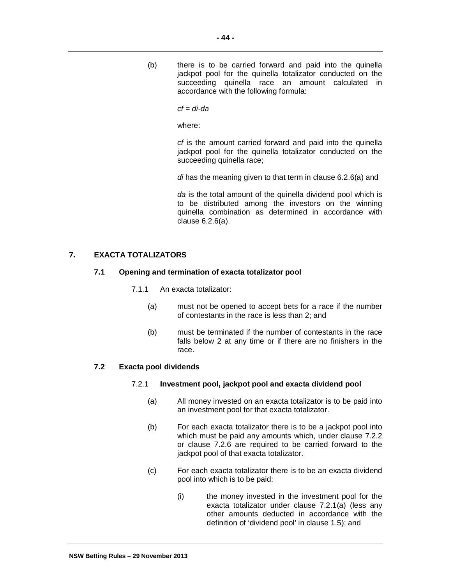(b) there is to be carried forward and paid into the quinella jackpot pool for the quinella totalizator conducted on the succeeding quinella race an amount calculated in accordance with the following formula:

*cf = di-da* 

where:

*cf* is the amount carried forward and paid into the quinella jackpot pool for the quinella totalizator conducted on the succeeding quinella race;

*di* has the meaning given to that term in clause 6.2.6(a) and

*da* is the total amount of the quinella dividend pool which is to be distributed among the investors on the winning quinella combination as determined in accordance with clause 6.2.6(a).

# **7. EXACTA TOTALIZATORS**

# **7.1 Opening and termination of exacta totalizator pool**

- 7.1.1 An exacta totalizator:
	- (a) must not be opened to accept bets for a race if the number of contestants in the race is less than 2; and
	- (b) must be terminated if the number of contestants in the race falls below 2 at any time or if there are no finishers in the race.

## **7.2 Exacta pool dividends**

## 7.2.1 **Investment pool, jackpot pool and exacta dividend pool**

- (a) All money invested on an exacta totalizator is to be paid into an investment pool for that exacta totalizator.
- (b) For each exacta totalizator there is to be a jackpot pool into which must be paid any amounts which, under clause 7.2.2 or clause 7.2.6 are required to be carried forward to the jackpot pool of that exacta totalizator.
- (c) For each exacta totalizator there is to be an exacta dividend pool into which is to be paid:
	- (i) the money invested in the investment pool for the exacta totalizator under clause 7.2.1(a) (less any other amounts deducted in accordance with the definition of 'dividend pool' in clause 1.5); and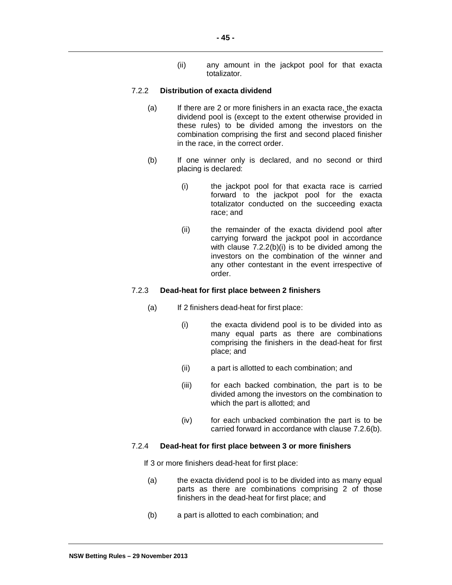(ii) any amount in the jackpot pool for that exacta totalizator.

## 7.2.2 **Distribution of exacta dividend**

- (a) If there are 2 or more finishers in an exacta race, the exacta dividend pool is (except to the extent otherwise provided in these rules) to be divided among the investors on the combination comprising the first and second placed finisher in the race, in the correct order.
- (b) If one winner only is declared, and no second or third placing is declared:
	- (i) the jackpot pool for that exacta race is carried forward to the jackpot pool for the exacta totalizator conducted on the succeeding exacta race; and
	- (ii) the remainder of the exacta dividend pool after carrying forward the jackpot pool in accordance with clause 7.2.2(b)(i) is to be divided among the investors on the combination of the winner and any other contestant in the event irrespective of order.

### 7.2.3 **Dead-heat for first place between 2 finishers**

- (a) If 2 finishers dead-heat for first place:
	- (i) the exacta dividend pool is to be divided into as many equal parts as there are combinations comprising the finishers in the dead-heat for first place; and
	- (ii) a part is allotted to each combination; and
	- (iii) for each backed combination, the part is to be divided among the investors on the combination to which the part is allotted; and
	- (iv) for each unbacked combination the part is to be carried forward in accordance with clause 7.2.6(b).

#### 7.2.4 **Dead-heat for first place between 3 or more finishers**

If 3 or more finishers dead-heat for first place:

- (a) the exacta dividend pool is to be divided into as many equal parts as there are combinations comprising 2 of those finishers in the dead-heat for first place; and
- (b) a part is allotted to each combination; and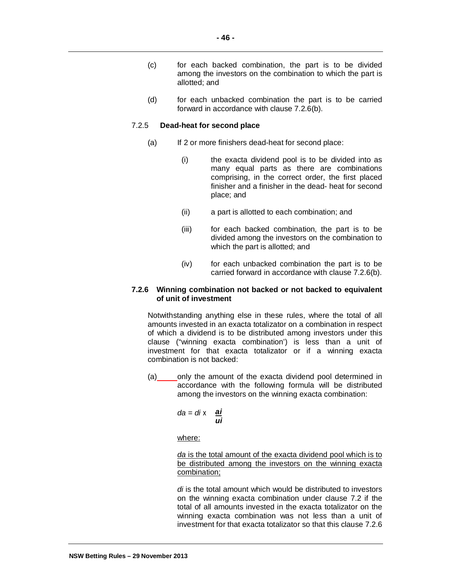- (c) for each backed combination, the part is to be divided among the investors on the combination to which the part is allotted; and
- (d) for each unbacked combination the part is to be carried forward in accordance with clause 7.2.6(b).

#### 7.2.5 **Dead-heat for second place**

- (a) If 2 or more finishers dead-heat for second place:
	- (i) the exacta dividend pool is to be divided into as many equal parts as there are combinations comprising, in the correct order, the first placed finisher and a finisher in the dead- heat for second place; and
	- (ii) a part is allotted to each combination; and
	- (iii) for each backed combination, the part is to be divided among the investors on the combination to which the part is allotted; and
	- (iv) for each unbacked combination the part is to be carried forward in accordance with clause 7.2.6(b).

### **7.2.6 Winning combination not backed or not backed to equivalent of unit of investment**

Notwithstanding anything else in these rules, where the total of all amounts invested in an exacta totalizator on a combination in respect of which a dividend is to be distributed among investors under this clause ("winning exacta combination') is less than a unit of investment for that exacta totalizator or if a winning exacta combination is not backed:

(a) only the amount of the exacta dividend pool determined in accordance with the following formula will be distributed among the investors on the winning exacta combination:

*da = di x ai ui*

where:

*da* is the total amount of the exacta dividend pool which is to be distributed among the investors on the winning exacta combination;

*di* is the total amount which would be distributed to investors on the winning exacta combination under clause 7.2 if the total of all amounts invested in the exacta totalizator on the winning exacta combination was not less than a unit of investment for that exacta totalizator so that this clause 7.2.6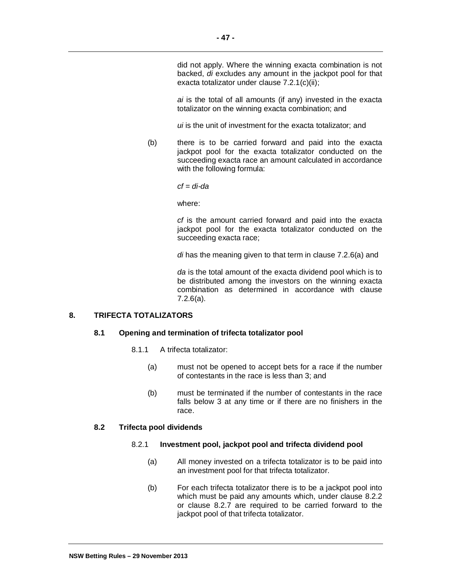*ai* is the total of all amounts (if any) invested in the exacta totalizator on the winning exacta combination; and

*ui* is the unit of investment for the exacta totalizator; and

(b) there is to be carried forward and paid into the exacta jackpot pool for the exacta totalizator conducted on the succeeding exacta race an amount calculated in accordance with the following formula:

*cf = di-da* 

where:

*cf* is the amount carried forward and paid into the exacta jackpot pool for the exacta totalizator conducted on the succeeding exacta race;

*di* has the meaning given to that term in clause 7.2.6(a) and

*da* is the total amount of the exacta dividend pool which is to be distributed among the investors on the winning exacta combination as determined in accordance with clause 7.2.6(a).

# **8. TRIFECTA TOTALIZATORS**

# **8.1 Opening and termination of trifecta totalizator pool**

- 8.1.1 A trifecta totalizator:
	- (a) must not be opened to accept bets for a race if the number of contestants in the race is less than 3; and
	- (b) must be terminated if the number of contestants in the race falls below 3 at any time or if there are no finishers in the race.

# **8.2 Trifecta pool dividends**

# 8.2.1 **Investment pool, jackpot pool and trifecta dividend pool**

- (a) All money invested on a trifecta totalizator is to be paid into an investment pool for that trifecta totalizator.
- (b) For each trifecta totalizator there is to be a jackpot pool into which must be paid any amounts which, under clause 8.2.2 or clause 8.2.7 are required to be carried forward to the jackpot pool of that trifecta totalizator.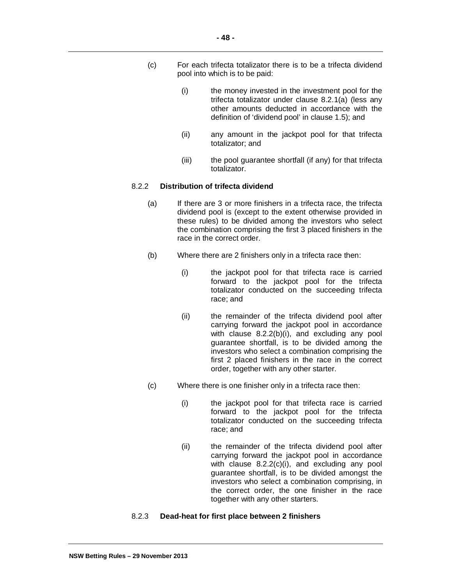- (c) For each trifecta totalizator there is to be a trifecta dividend pool into which is to be paid:
	- (i) the money invested in the investment pool for the trifecta totalizator under clause 8.2.1(a) (less any other amounts deducted in accordance with the definition of 'dividend pool' in clause 1.5); and
	- (ii) any amount in the jackpot pool for that trifecta totalizator; and
	- (iii) the pool guarantee shortfall (if any) for that trifecta totalizator.

# 8.2.2 **Distribution of trifecta dividend**

- (a) If there are 3 or more finishers in a trifecta race, the trifecta dividend pool is (except to the extent otherwise provided in these rules) to be divided among the investors who select the combination comprising the first 3 placed finishers in the race in the correct order.
- (b) Where there are 2 finishers only in a trifecta race then:
	- (i) the jackpot pool for that trifecta race is carried forward to the jackpot pool for the trifecta totalizator conducted on the succeeding trifecta race; and
	- (ii) the remainder of the trifecta dividend pool after carrying forward the jackpot pool in accordance with clause 8.2.2(b)(i), and excluding any pool guarantee shortfall, is to be divided among the investors who select a combination comprising the first 2 placed finishers in the race in the correct order, together with any other starter.
- (c) Where there is one finisher only in a trifecta race then:
	- (i) the jackpot pool for that trifecta race is carried forward to the jackpot pool for the trifecta totalizator conducted on the succeeding trifecta race; and
	- (ii) the remainder of the trifecta dividend pool after carrying forward the jackpot pool in accordance with clause 8.2.2(c)(i), and excluding any pool guarantee shortfall, is to be divided amongst the investors who select a combination comprising, in the correct order, the one finisher in the race together with any other starters.

# 8.2.3 **Dead-heat for first place between 2 finishers**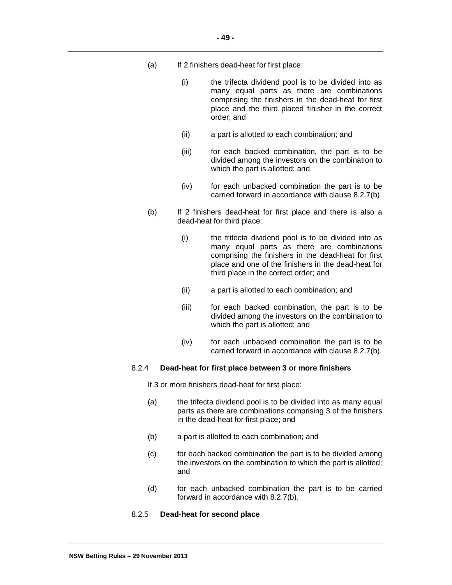- (a) If 2 finishers dead-heat for first place:
	- (i) the trifecta dividend pool is to be divided into as many equal parts as there are combinations comprising the finishers in the dead-heat for first place and the third placed finisher in the correct order; and
	- (ii) a part is allotted to each combination; and
	- (iii) for each backed combination, the part is to be divided among the investors on the combination to which the part is allotted; and
	- (iv) for each unbacked combination the part is to be carried forward in accordance with clause 8.2.7(b)
- (b) If 2 finishers dead-heat for first place and there is also a dead-heat for third place:
	- (i) the trifecta dividend pool is to be divided into as many equal parts as there are combinations comprising the finishers in the dead-heat for first place and one of the finishers in the dead-heat for third place in the correct order; and
	- (ii) a part is allotted to each combination; and
	- (iii) for each backed combination, the part is to be divided among the investors on the combination to which the part is allotted; and
	- (iv) for each unbacked combination the part is to be carried forward in accordance with clause 8.2.7(b).

## 8.2.4 **Dead-heat for first place between 3 or more finishers**

If 3 or more finishers dead-heat for first place:

- (a) the trifecta dividend pool is to be divided into as many equal parts as there are combinations comprising 3 of the finishers in the dead-heat for first place; and
- (b) a part is allotted to each combination; and
- (c) for each backed combination the part is to be divided among the investors on the combination to which the part is allotted; and
- (d) for each unbacked combination the part is to be carried forward in accordance with 8.2.7(b).

#### 8.2.5 **Dead-heat for second place**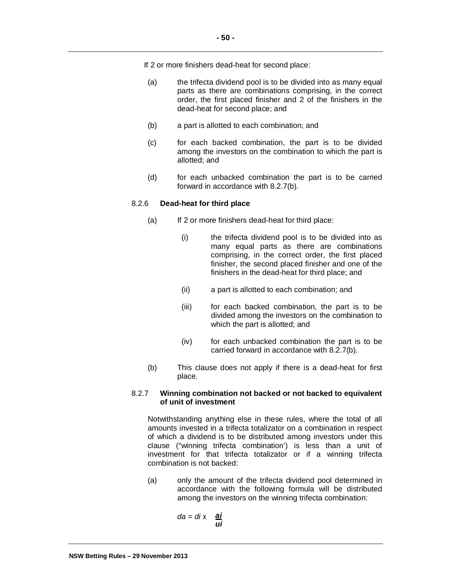If 2 or more finishers dead-heat for second place:

- (a) the trifecta dividend pool is to be divided into as many equal parts as there are combinations comprising, in the correct order, the first placed finisher and 2 of the finishers in the dead-heat for second place; and
- (b) a part is allotted to each combination; and
- (c) for each backed combination, the part is to be divided among the investors on the combination to which the part is allotted; and
- (d) for each unbacked combination the part is to be carried forward in accordance with 8.2.7(b).

# 8.2.6 **Dead-heat for third place**

- (a) If 2 or more finishers dead-heat for third place:
	- (i) the trifecta dividend pool is to be divided into as many equal parts as there are combinations comprising, in the correct order, the first placed finisher, the second placed finisher and one of the finishers in the dead-heat for third place; and
	- (ii) a part is allotted to each combination; and
	- (iii) for each backed combination, the part is to be divided among the investors on the combination to which the part is allotted; and
	- (iv) for each unbacked combination the part is to be carried forward in accordance with 8.2.7(b).
- (b) This clause does not apply if there is a dead-heat for first place.

## 8.2.7 **Winning combination not backed or not backed to equivalent of unit of investment**

Notwithstanding anything else in these rules, where the total of all amounts invested in a trifecta totalizator on a combination in respect of which a dividend is to be distributed among investors under this clause ("winning trifecta combination') is less than a unit of investment for that trifecta totalizator or if a winning trifecta combination is not backed:

(a) only the amount of the trifecta dividend pool determined in accordance with the following formula will be distributed among the investors on the winning trifecta combination:

$$
da = di \times \frac{ai}{ui}
$$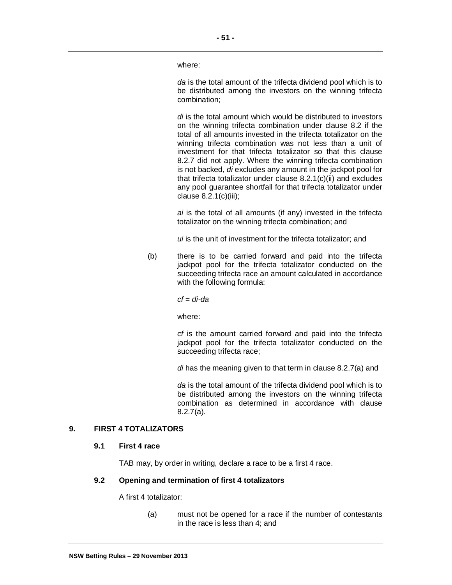where:

*da* is the total amount of the trifecta dividend pool which is to be distributed among the investors on the winning trifecta combination;

*di* is the total amount which would be distributed to investors on the winning trifecta combination under clause 8.2 if the total of all amounts invested in the trifecta totalizator on the winning trifecta combination was not less than a unit of investment for that trifecta totalizator so that this clause 8.2.7 did not apply. Where the winning trifecta combination is not backed, *di* excludes any amount in the jackpot pool for that trifecta totalizator under clause 8.2.1(c)(ii) and excludes any pool guarantee shortfall for that trifecta totalizator under clause 8.2.1(c)(iii);

*ai* is the total of all amounts (if any) invested in the trifecta totalizator on the winning trifecta combination; and

*ui* is the unit of investment for the trifecta totalizator; and

(b) there is to be carried forward and paid into the trifecta jackpot pool for the trifecta totalizator conducted on the succeeding trifecta race an amount calculated in accordance with the following formula:

*cf* = *di-da*

where:

*cf* is the amount carried forward and paid into the trifecta jackpot pool for the trifecta totalizator conducted on the succeeding trifecta race;

*di* has the meaning given to that term in clause 8.2.7(a) and

*da* is the total amount of the trifecta dividend pool which is to be distributed among the investors on the winning trifecta combination as determined in accordance with clause 8.2.7(a).

## **9. FIRST 4 TOTALIZATORS**

#### **9.1 First 4 race**

TAB may, by order in writing, declare a race to be a first 4 race.

# **9.2 Opening and termination of first 4 totalizators**

A first 4 totalizator:

(a) must not be opened for a race if the number of contestants in the race is less than 4; and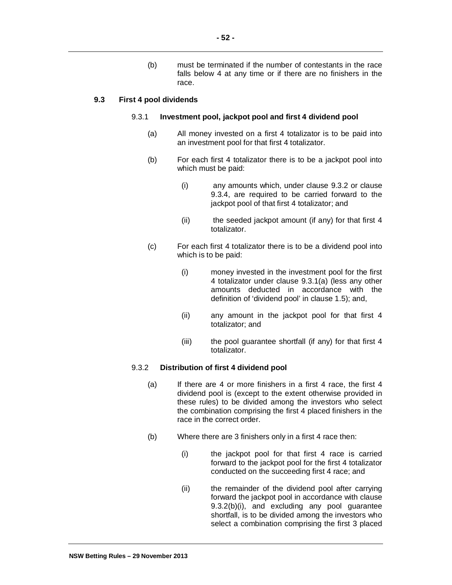(b) must be terminated if the number of contestants in the race falls below 4 at any time or if there are no finishers in the race.

## **9.3 First 4 pool dividends**

### 9.3.1 **Investment pool, jackpot pool and first 4 dividend pool**

- (a) All money invested on a first 4 totalizator is to be paid into an investment pool for that first 4 totalizator.
- (b) For each first 4 totalizator there is to be a jackpot pool into which must be paid:
	- (i) any amounts which, under clause 9.3.2 or clause 9.3.4, are required to be carried forward to the jackpot pool of that first 4 totalizator; and
	- (ii) the seeded jackpot amount (if any) for that first 4 totalizator.
- (c) For each first 4 totalizator there is to be a dividend pool into which is to be paid:
	- (i) money invested in the investment pool for the first 4 totalizator under clause 9.3.1(a) (less any other amounts deducted in accordance with the definition of 'dividend pool' in clause 1.5); and,
	- (ii) any amount in the jackpot pool for that first 4 totalizator; and
	- (iii) the pool guarantee shortfall (if any) for that first 4 totalizator.

## 9.3.2 **Distribution of first 4 dividend pool**

- (a) If there are 4 or more finishers in a first 4 race, the first 4 dividend pool is (except to the extent otherwise provided in these rules) to be divided among the investors who select the combination comprising the first 4 placed finishers in the race in the correct order.
- (b) Where there are 3 finishers only in a first 4 race then:
	- (i) the jackpot pool for that first 4 race is carried forward to the jackpot pool for the first 4 totalizator conducted on the succeeding first 4 race; and
	- (ii) the remainder of the dividend pool after carrying forward the jackpot pool in accordance with clause 9.3.2(b)(i), and excluding any pool guarantee shortfall, is to be divided among the investors who select a combination comprising the first 3 placed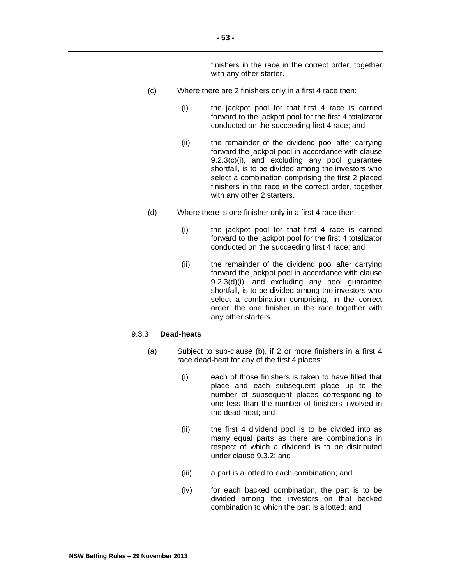finishers in the race in the correct order, together with any other starter.

- (c) Where there are 2 finishers only in a first 4 race then:
	- (i) the jackpot pool for that first 4 race is carried forward to the jackpot pool for the first 4 totalizator conducted on the succeeding first 4 race; and
	- (ii) the remainder of the dividend pool after carrying forward the jackpot pool in accordance with clause 9.2.3(c)(i), and excluding any pool guarantee shortfall, is to be divided among the investors who select a combination comprising the first 2 placed finishers in the race in the correct order, together with any other 2 starters.
- (d) Where there is one finisher only in a first 4 race then:
	- (i) the jackpot pool for that first 4 race is carried forward to the jackpot pool for the first 4 totalizator conducted on the succeeding first 4 race; and
	- (ii) the remainder of the dividend pool after carrying forward the jackpot pool in accordance with clause 9.2.3(d)(i), and excluding any pool guarantee shortfall, is to be divided among the investors who select a combination comprising, in the correct order, the one finisher in the race together with any other starters.

## 9.3.3 **Dead-heats**

- (a) Subject to sub-clause (b), if 2 or more finishers in a first 4 race dead-heat for any of the first 4 places:
	- (i) each of those finishers is taken to have filled that place and each subsequent place up to the number of subsequent places corresponding to one less than the number of finishers involved in the dead-heat; and
	- (ii) the first 4 dividend pool is to be divided into as many equal parts as there are combinations in respect of which a dividend is to be distributed under clause 9.3.2; and
	- (iii) a part is allotted to each combination; and
	- (iv) for each backed combination, the part is to be divided among the investors on that backed combination to which the part is allotted; and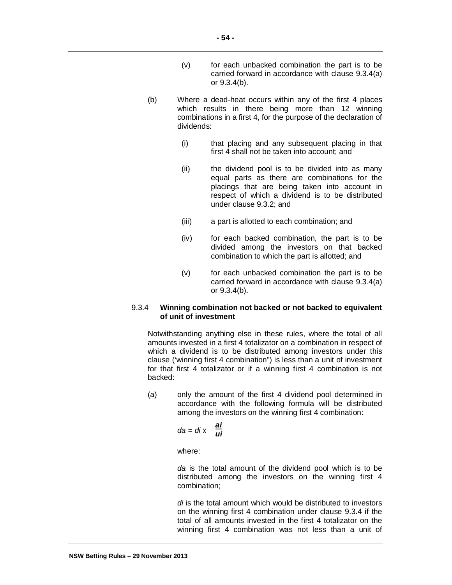- (v) for each unbacked combination the part is to be carried forward in accordance with clause 9.3.4(a) or 9.3.4(b).
- (b) Where a dead-heat occurs within any of the first 4 places which results in there being more than 12 winning combinations in a first 4, for the purpose of the declaration of dividends:
	- (i) that placing and any subsequent placing in that first 4 shall not be taken into account; and
	- (ii) the dividend pool is to be divided into as many equal parts as there are combinations for the placings that are being taken into account in respect of which a dividend is to be distributed under clause 9.3.2; and
	- (iii) a part is allotted to each combination; and
	- (iv) for each backed combination, the part is to be divided among the investors on that backed combination to which the part is allotted; and
	- (v) for each unbacked combination the part is to be carried forward in accordance with clause 9.3.4(a) or 9.3.4(b).

## 9.3.4 **Winning combination not backed or not backed to equivalent of unit of investment**

Notwithstanding anything else in these rules, where the total of all amounts invested in a first 4 totalizator on a combination in respect of which a dividend is to be distributed among investors under this clause ('winning first 4 combination") is less than a unit of investment for that first 4 totalizator or if a winning first 4 combination is not backed:

(a) only the amount of the first 4 dividend pool determined in accordance with the following formula will be distributed among the investors on the winning first 4 combination:

$$
da = di \times \frac{ai}{ui}
$$

where:

*da* is the total amount of the dividend pool which is to be distributed among the investors on the winning first 4 combination;

*di* is the total amount which would be distributed to investors on the winning first 4 combination under clause 9.3.4 if the total of all amounts invested in the first 4 totalizator on the winning first 4 combination was not less than a unit of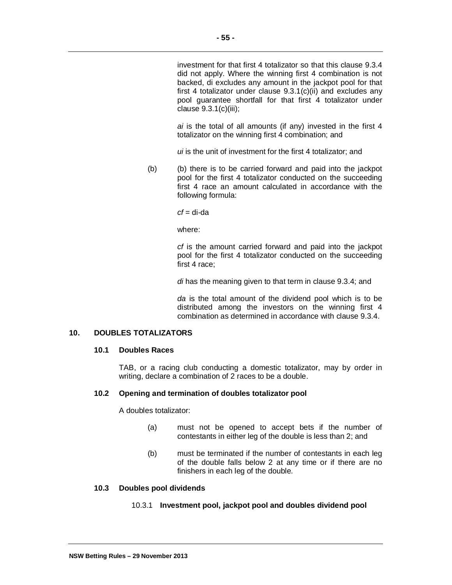investment for that first 4 totalizator so that this clause 9.3.4 did not apply. Where the winning first 4 combination is not backed, di excludes any amount in the jackpot pool for that first 4 totalizator under clause 9.3.1(c)(ii) and excludes any pool guarantee shortfall for that first 4 totalizator under clause 9.3.1(c)(iii);

*ai* is the total of all amounts (if any) invested in the first 4 totalizator on the winning first 4 combination; and

*ui* is the unit of investment for the first 4 totalizator; and

(b) (b) there is to be carried forward and paid into the jackpot pool for the first 4 totalizator conducted on the succeeding first 4 race an amount calculated in accordance with the following formula:

*cf* = di-da

where:

*cf* is the amount carried forward and paid into the jackpot pool for the first 4 totalizator conducted on the succeeding first 4 race;

*di* has the meaning given to that term in clause 9.3.4; and

*da* is the total amount of the dividend pool which is to be distributed among the investors on the winning first 4 combination as determined in accordance with clause 9.3.4.

# **10. DOUBLES TOTALIZATORS**

# **10.1 Doubles Races**

TAB, or a racing club conducting a domestic totalizator, may by order in writing, declare a combination of 2 races to be a double.

#### **10.2 Opening and termination of doubles totalizator pool**

A doubles totalizator:

- (a) must not be opened to accept bets if the number of contestants in either leg of the double is less than 2; and
- (b) must be terminated if the number of contestants in each leg of the double falls below 2 at any time or if there are no finishers in each leg of the double.

## **10.3 Doubles pool dividends**

## 10.3.1 **Investment pool, jackpot pool and doubles dividend pool**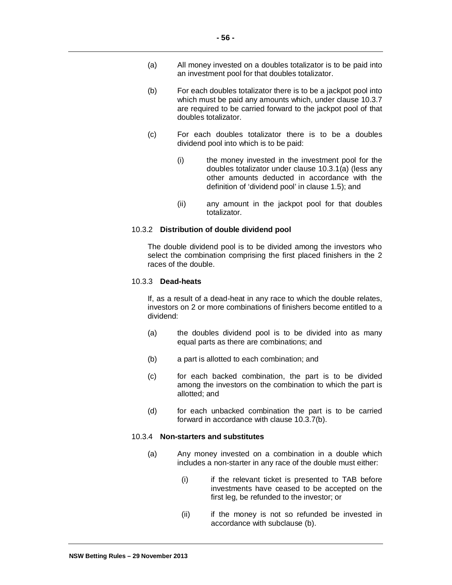- (a) All money invested on a doubles totalizator is to be paid into an investment pool for that doubles totalizator.
- (b) For each doubles totalizator there is to be a jackpot pool into which must be paid any amounts which, under clause 10.3.7 are required to be carried forward to the jackpot pool of that doubles totalizator.
- (c) For each doubles totalizator there is to be a doubles dividend pool into which is to be paid:
	- (i) the money invested in the investment pool for the doubles totalizator under clause 10.3.1(a) (less any other amounts deducted in accordance with the definition of 'dividend pool' in clause 1.5); and
	- (ii) any amount in the jackpot pool for that doubles totalizator.

#### 10.3.2 **Distribution of double dividend pool**

The double dividend pool is to be divided among the investors who select the combination comprising the first placed finishers in the 2 races of the double.

## 10.3.3 **Dead-heats**

If, as a result of a dead-heat in any race to which the double relates, investors on 2 or more combinations of finishers become entitled to a dividend:

- (a) the doubles dividend pool is to be divided into as many equal parts as there are combinations; and
- (b) a part is allotted to each combination; and
- (c) for each backed combination, the part is to be divided among the investors on the combination to which the part is allotted; and
- (d) for each unbacked combination the part is to be carried forward in accordance with clause 10.3.7(b).

# 10.3.4 **Non-starters and substitutes**

- (a) Any money invested on a combination in a double which includes a non-starter in any race of the double must either:
	- (i) if the relevant ticket is presented to TAB before investments have ceased to be accepted on the first leg, be refunded to the investor; or
	- (ii) if the money is not so refunded be invested in accordance with subclause (b).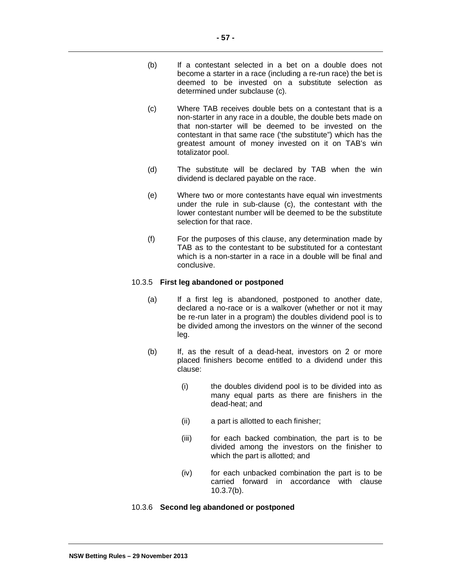- (b) If a contestant selected in a bet on a double does not become a starter in a race (including a re-run race) the bet is deemed to be invested on a substitute selection as determined under subclause (c).
- (c) Where TAB receives double bets on a contestant that is a non-starter in any race in a double, the double bets made on that non-starter will be deemed to be invested on the contestant in that same race ('the substitute") which has the greatest amount of money invested on it on TAB's win totalizator pool.
- (d) The substitute will be declared by TAB when the win dividend is declared payable on the race.
- (e) Where two or more contestants have equal win investments under the rule in sub-clause (c), the contestant with the lower contestant number will be deemed to be the substitute selection for that race.
- (f) For the purposes of this clause, any determination made by TAB as to the contestant to be substituted for a contestant which is a non-starter in a race in a double will be final and conclusive.

# 10.3.5 **First leg abandoned or postponed**

- (a) If a first leg is abandoned, postponed to another date, declared a no-race or is a walkover (whether or not it may be re-run later in a program) the doubles dividend pool is to be divided among the investors on the winner of the second leg.
- (b) If, as the result of a dead-heat, investors on 2 or more placed finishers become entitled to a dividend under this clause:
	- (i) the doubles dividend pool is to be divided into as many equal parts as there are finishers in the dead-heat; and
	- (ii) a part is allotted to each finisher;
	- (iii) for each backed combination, the part is to be divided among the investors on the finisher to which the part is allotted; and
	- (iv) for each unbacked combination the part is to be carried forward in accordance with clause 10.3.7(b).

# 10.3.6 **Second leg abandoned or postponed**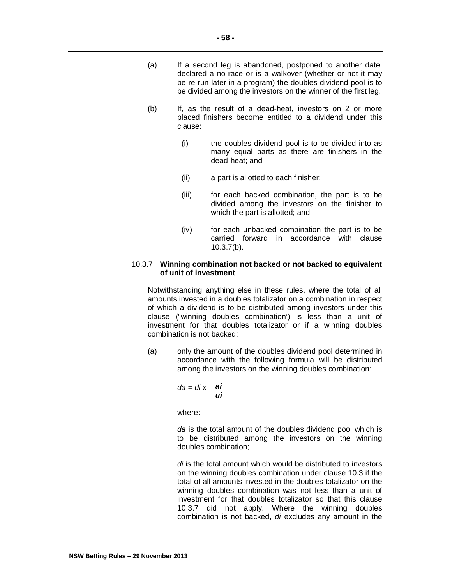- (a) If a second leg is abandoned, postponed to another date, declared a no-race or is a walkover (whether or not it may be re-run later in a program) the doubles dividend pool is to be divided among the investors on the winner of the first leg.
- (b) If, as the result of a dead-heat, investors on 2 or more placed finishers become entitled to a dividend under this clause:
	- (i) the doubles dividend pool is to be divided into as many equal parts as there are finishers in the dead-heat; and
	- (ii) a part is allotted to each finisher;
	- (iii) for each backed combination, the part is to be divided among the investors on the finisher to which the part is allotted; and
	- (iv) for each unbacked combination the part is to be carried forward in accordance with clause 10.3.7(b).

## 10.3.7 **Winning combination not backed or not backed to equivalent of unit of investment**

Notwithstanding anything else in these rules, where the total of all amounts invested in a doubles totalizator on a combination in respect of which a dividend is to be distributed among investors under this clause ("winning doubles combination') is less than a unit of investment for that doubles totalizator or if a winning doubles combination is not backed:

(a) only the amount of the doubles dividend pool determined in accordance with the following formula will be distributed among the investors on the winning doubles combination:

$$
da = di \times \frac{ai}{ui}
$$

where:

*da* is the total amount of the doubles dividend pool which is to be distributed among the investors on the winning doubles combination;

*di* is the total amount which would be distributed to investors on the winning doubles combination under clause 10.3 if the total of all amounts invested in the doubles totalizator on the winning doubles combination was not less than a unit of investment for that doubles totalizator so that this clause 10.3.7 did not apply. Where the winning doubles combination is not backed, *di* excludes any amount in the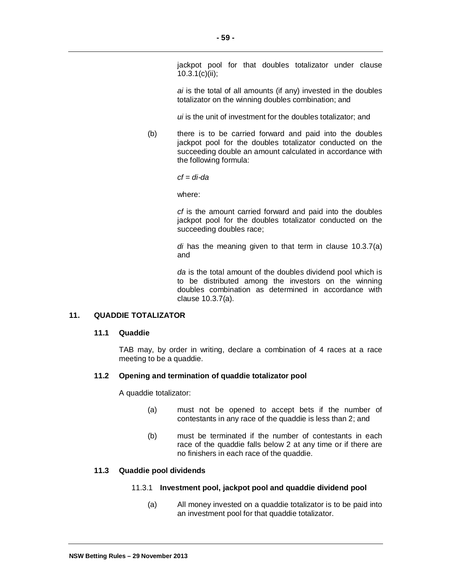jackpot pool for that doubles totalizator under clause 10.3.1(c)(ii);

*ai* is the total of all amounts (if any) invested in the doubles totalizator on the winning doubles combination; and

*ui* is the unit of investment for the doubles totalizator; and

(b) there is to be carried forward and paid into the doubles jackpot pool for the doubles totalizator conducted on the succeeding double an amount calculated in accordance with the following formula:

*cf = di-da* 

where:

*cf* is the amount carried forward and paid into the doubles jackpot pool for the doubles totalizator conducted on the succeeding doubles race;

*di* has the meaning given to that term in clause 10.3.7(a) and

*da* is the total amount of the doubles dividend pool which is to be distributed among the investors on the winning doubles combination as determined in accordance with clause 10.3.7(a).

# **11. QUADDIE TOTALIZATOR**

## **11.1 Quaddie**

TAB may, by order in writing, declare a combination of 4 races at a race meeting to be a quaddie.

## **11.2 Opening and termination of quaddie totalizator pool**

A quaddie totalizator:

- (a) must not be opened to accept bets if the number of contestants in any race of the quaddie is less than 2; and
- (b) must be terminated if the number of contestants in each race of the quaddie falls below 2 at any time or if there are no finishers in each race of the quaddie.

## **11.3 Quaddie pool dividends**

#### 11.3.1 **Investment pool, jackpot pool and quaddie dividend pool**

(a) All money invested on a quaddie totalizator is to be paid into an investment pool for that quaddie totalizator.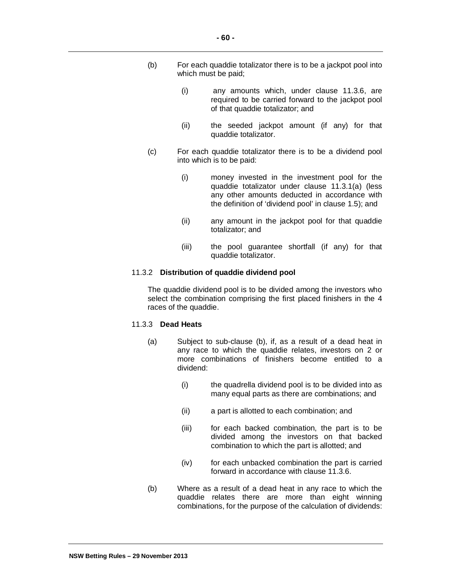- (b) For each quaddie totalizator there is to be a jackpot pool into which must be paid;
	- (i) any amounts which, under clause 11.3.6, are required to be carried forward to the jackpot pool of that quaddie totalizator; and
	- (ii) the seeded jackpot amount (if any) for that quaddie totalizator.
- (c) For each quaddie totalizator there is to be a dividend pool into which is to be paid:
	- (i) money invested in the investment pool for the quaddie totalizator under clause 11.3.1(a) (less any other amounts deducted in accordance with the definition of 'dividend pool' in clause 1.5); and
	- (ii) any amount in the jackpot pool for that quaddie totalizator; and
	- (iii) the pool guarantee shortfall (if any) for that quaddie totalizator.

#### 11.3.2 **Distribution of quaddie dividend pool**

The quaddie dividend pool is to be divided among the investors who select the combination comprising the first placed finishers in the 4 races of the quaddie.

#### 11.3.3 **Dead Heats**

- (a) Subject to sub-clause (b), if, as a result of a dead heat in any race to which the quaddie relates, investors on 2 or more combinations of finishers become entitled to a dividend:
	- (i) the quadrella dividend pool is to be divided into as many equal parts as there are combinations; and
	- (ii) a part is allotted to each combination; and
	- (iii) for each backed combination, the part is to be divided among the investors on that backed combination to which the part is allotted; and
	- (iv) for each unbacked combination the part is carried forward in accordance with clause 11.3.6.
- (b) Where as a result of a dead heat in any race to which the quaddie relates there are more than eight winning combinations, for the purpose of the calculation of dividends: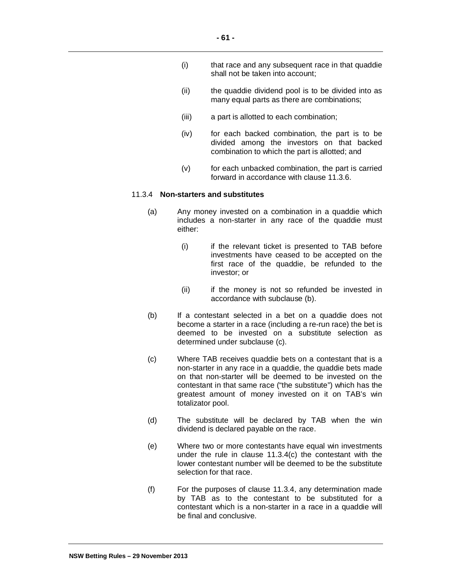- (i) that race and any subsequent race in that quaddie shall not be taken into account;
- (ii) the quaddie dividend pool is to be divided into as many equal parts as there are combinations;
- (iii) a part is allotted to each combination;
- (iv) for each backed combination, the part is to be divided among the investors on that backed combination to which the part is allotted; and
- (v) for each unbacked combination, the part is carried forward in accordance with clause 11.3.6.

# 11.3.4 **Non-starters and substitutes**

- (a) Any money invested on a combination in a quaddie which includes a non-starter in any race of the quaddie must either:
	- (i) if the relevant ticket is presented to TAB before investments have ceased to be accepted on the first race of the quaddie, be refunded to the investor; or
	- (ii) if the money is not so refunded be invested in accordance with subclause (b).
- (b) If a contestant selected in a bet on a quaddie does not become a starter in a race (including a re-run race) the bet is deemed to be invested on a substitute selection as determined under subclause (c).
- (c) Where TAB receives quaddie bets on a contestant that is a non-starter in any race in a quaddie, the quaddie bets made on that non-starter will be deemed to be invested on the contestant in that same race ("the substitute") which has the greatest amount of money invested on it on TAB's win totalizator pool.
- (d) The substitute will be declared by TAB when the win dividend is declared payable on the race.
- (e) Where two or more contestants have equal win investments under the rule in clause 11.3.4(c) the contestant with the lower contestant number will be deemed to be the substitute selection for that race.
- (f) For the purposes of clause 11.3.4, any determination made by TAB as to the contestant to be substituted for a contestant which is a non-starter in a race in a quaddie will be final and conclusive.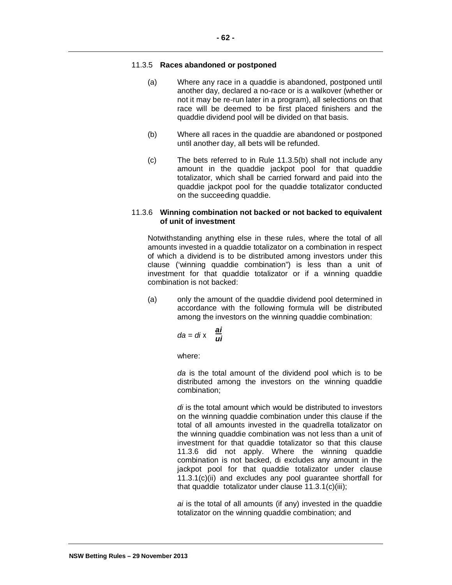# 11.3.5 **Races abandoned or postponed**

- (a) Where any race in a quaddie is abandoned, postponed until another day, declared a no-race or is a walkover (whether or not it may be re-run later in a program), all selections on that race will be deemed to be first placed finishers and the quaddie dividend pool will be divided on that basis.
- (b) Where all races in the quaddie are abandoned or postponed until another day, all bets will be refunded.
- (c) The bets referred to in Rule 11.3.5(b) shall not include any amount in the quaddie jackpot pool for that quaddie totalizator, which shall be carried forward and paid into the quaddie jackpot pool for the quaddie totalizator conducted on the succeeding quaddie.

# 11.3.6 **Winning combination not backed or not backed to equivalent of unit of investment**

Notwithstanding anything else in these rules, where the total of all amounts invested in a quaddie totalizator on a combination in respect of which a dividend is to be distributed among investors under this clause ('winning quaddie combination") is less than a unit of investment for that quaddie totalizator or if a winning quaddie combination is not backed:

(a) only the amount of the quaddie dividend pool determined in accordance with the following formula will be distributed among the investors on the winning quaddie combination:

$$
da = di \times \frac{ai}{ui}
$$

where:

*da* is the total amount of the dividend pool which is to be distributed among the investors on the winning quaddie combination;

*di* is the total amount which would be distributed to investors on the winning quaddie combination under this clause if the total of all amounts invested in the quadrella totalizator on the winning quaddie combination was not less than a unit of investment for that quaddie totalizator so that this clause 11.3.6 did not apply. Where the winning quaddie combination is not backed, di excludes any amount in the jackpot pool for that quaddie totalizator under clause 11.3.1(c)(ii) and excludes any pool guarantee shortfall for that quaddie totalizator under clause 11.3.1(c)(iii);

*ai* is the total of all amounts (if any) invested in the quaddie totalizator on the winning quaddie combination; and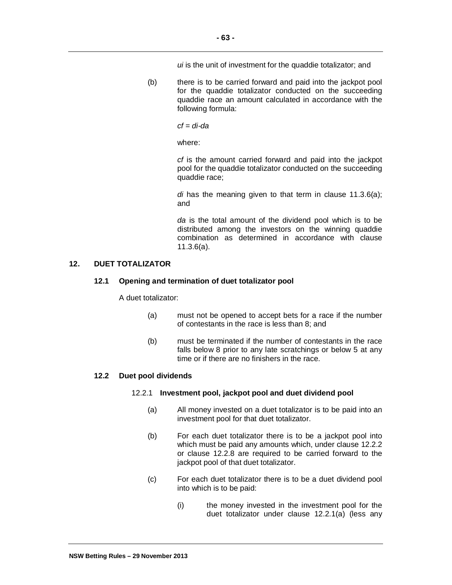*ui* is the unit of investment for the quaddie totalizator; and

(b) there is to be carried forward and paid into the jackpot pool for the quaddie totalizator conducted on the succeeding quaddie race an amount calculated in accordance with the following formula:

*cf = di-da* 

where:

*cf* is the amount carried forward and paid into the jackpot pool for the quaddie totalizator conducted on the succeeding quaddie race;

*di* has the meaning given to that term in clause 11.3.6(a); and

*da* is the total amount of the dividend pool which is to be distributed among the investors on the winning quaddie combination as determined in accordance with clause 11.3.6(a).

# **12. DUET TOTALIZATOR**

# **12.1 Opening and termination of duet totalizator pool**

A duet totalizator:

- (a) must not be opened to accept bets for a race if the number of contestants in the race is less than 8; and
- (b) must be terminated if the number of contestants in the race falls below 8 prior to any late scratchings or below 5 at any time or if there are no finishers in the race.

# **12.2 Duet pool dividends**

## 12.2.1 **Investment pool, jackpot pool and duet dividend pool**

- (a) All money invested on a duet totalizator is to be paid into an investment pool for that duet totalizator.
- (b) For each duet totalizator there is to be a jackpot pool into which must be paid any amounts which, under clause 12.2.2 or clause 12.2.8 are required to be carried forward to the jackpot pool of that duet totalizator.
- (c) For each duet totalizator there is to be a duet dividend pool into which is to be paid:
	- (i) the money invested in the investment pool for the duet totalizator under clause 12.2.1(a) (less any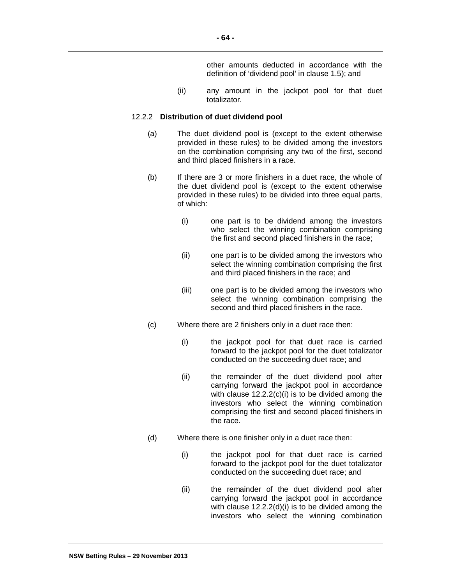other amounts deducted in accordance with the definition of 'dividend pool' in clause 1.5); and

(ii) any amount in the jackpot pool for that duet totalizator.

#### 12.2.2 **Distribution of duet dividend pool**

- (a) The duet dividend pool is (except to the extent otherwise provided in these rules) to be divided among the investors on the combination comprising any two of the first, second and third placed finishers in a race.
- (b) If there are 3 or more finishers in a duet race, the whole of the duet dividend pool is (except to the extent otherwise provided in these rules) to be divided into three equal parts, of which:
	- (i) one part is to be dividend among the investors who select the winning combination comprising the first and second placed finishers in the race;
	- (ii) one part is to be divided among the investors who select the winning combination comprising the first and third placed finishers in the race; and
	- (iii) one part is to be divided among the investors who select the winning combination comprising the second and third placed finishers in the race.
- (c) Where there are 2 finishers only in a duet race then:
	- (i) the jackpot pool for that duet race is carried forward to the jackpot pool for the duet totalizator conducted on the succeeding duet race; and
	- (ii) the remainder of the duet dividend pool after carrying forward the jackpot pool in accordance with clause 12.2.2(c)(i) is to be divided among the investors who select the winning combination comprising the first and second placed finishers in the race.
- (d) Where there is one finisher only in a duet race then:
	- (i) the jackpot pool for that duet race is carried forward to the jackpot pool for the duet totalizator conducted on the succeeding duet race; and
	- (ii) the remainder of the duet dividend pool after carrying forward the jackpot pool in accordance with clause 12.2.2(d)(i) is to be divided among the investors who select the winning combination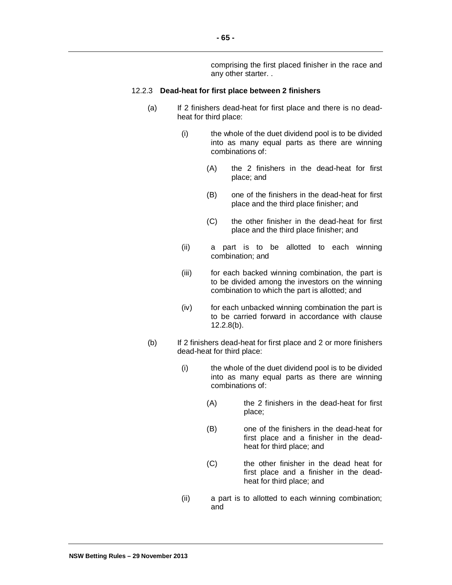comprising the first placed finisher in the race and any other starter. .

#### 12.2.3 **Dead-heat for first place between 2 finishers**

- (a) If 2 finishers dead-heat for first place and there is no deadheat for third place:
	- (i) the whole of the duet dividend pool is to be divided into as many equal parts as there are winning combinations of:
		- (A) the 2 finishers in the dead-heat for first place; and
		- (B) one of the finishers in the dead-heat for first place and the third place finisher; and
		- (C) the other finisher in the dead-heat for first place and the third place finisher; and
	- (ii) a part is to be allotted to each winning combination; and
	- (iii) for each backed winning combination, the part is to be divided among the investors on the winning combination to which the part is allotted; and
	- (iv) for each unbacked winning combination the part is to be carried forward in accordance with clause 12.2.8(b).
- (b) If 2 finishers dead-heat for first place and 2 or more finishers dead-heat for third place:
	- (i) the whole of the duet dividend pool is to be divided into as many equal parts as there are winning combinations of:
		- (A) the 2 finishers in the dead-heat for first place;
		- (B) one of the finishers in the dead-heat for first place and a finisher in the deadheat for third place; and
		- (C) the other finisher in the dead heat for first place and a finisher in the deadheat for third place; and
	- (ii) a part is to allotted to each winning combination; and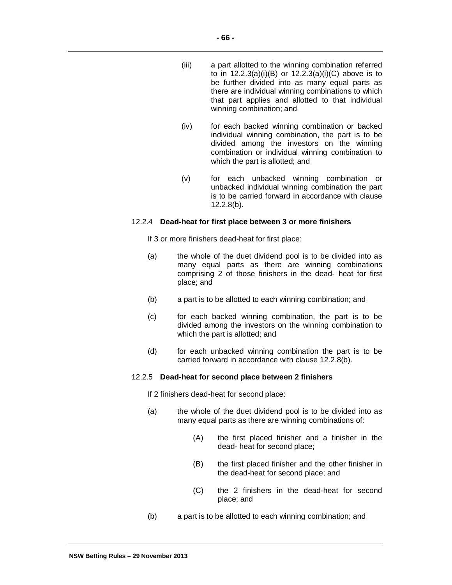- (iii) a part allotted to the winning combination referred to in  $12.2.3(a)(i)(B)$  or  $12.2.3(a)(i)(C)$  above is to be further divided into as many equal parts as there are individual winning combinations to which that part applies and allotted to that individual winning combination; and
- (iv) for each backed winning combination or backed individual winning combination, the part is to be divided among the investors on the winning combination or individual winning combination to which the part is allotted; and
- (v) for each unbacked winning combination or unbacked individual winning combination the part is to be carried forward in accordance with clause 12.2.8(b).

#### 12.2.4 **Dead-heat for first place between 3 or more finishers**

If 3 or more finishers dead-heat for first place:

- (a) the whole of the duet dividend pool is to be divided into as many equal parts as there are winning combinations comprising 2 of those finishers in the dead- heat for first place; and
- (b) a part is to be allotted to each winning combination; and
- (c) for each backed winning combination, the part is to be divided among the investors on the winning combination to which the part is allotted; and
- (d) for each unbacked winning combination the part is to be carried forward in accordance with clause 12.2.8(b).

#### 12.2.5 **Dead-heat for second place between 2 finishers**

If 2 finishers dead-heat for second place:

- (a) the whole of the duet dividend pool is to be divided into as many equal parts as there are winning combinations of:
	- (A) the first placed finisher and a finisher in the dead- heat for second place;
	- (B) the first placed finisher and the other finisher in the dead-heat for second place; and
	- (C) the 2 finishers in the dead-heat for second place; and
- (b) a part is to be allotted to each winning combination; and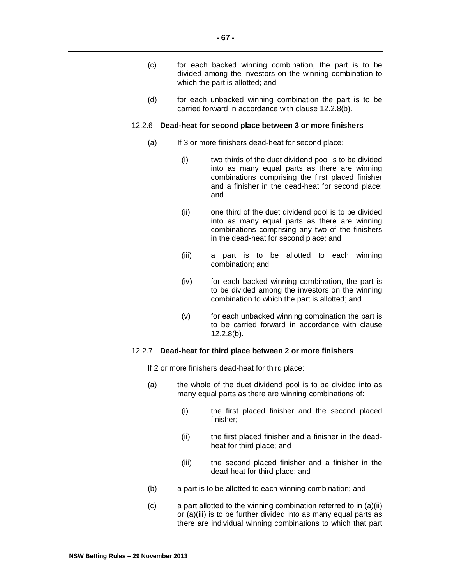- (c) for each backed winning combination, the part is to be divided among the investors on the winning combination to which the part is allotted; and
- (d) for each unbacked winning combination the part is to be carried forward in accordance with clause 12.2.8(b).

### 12.2.6 **Dead-heat for second place between 3 or more finishers**

- (a) If 3 or more finishers dead-heat for second place:
	- (i) two thirds of the duet dividend pool is to be divided into as many equal parts as there are winning combinations comprising the first placed finisher and a finisher in the dead-heat for second place; and
	- (ii) one third of the duet dividend pool is to be divided into as many equal parts as there are winning combinations comprising any two of the finishers in the dead-heat for second place; and
	- (iii) a part is to be allotted to each winning combination; and
	- (iv) for each backed winning combination, the part is to be divided among the investors on the winning combination to which the part is allotted; and
	- (v) for each unbacked winning combination the part is to be carried forward in accordance with clause 12.2.8(b).

## 12.2.7 **Dead-heat for third place between 2 or more finishers**

If 2 or more finishers dead-heat for third place:

- (a) the whole of the duet dividend pool is to be divided into as many equal parts as there are winning combinations of:
	- (i) the first placed finisher and the second placed finisher;
	- (ii) the first placed finisher and a finisher in the deadheat for third place; and
	- (iii) the second placed finisher and a finisher in the dead-heat for third place; and
- (b) a part is to be allotted to each winning combination; and
- (c) a part allotted to the winning combination referred to in (a)(ii) or (a)(iii) is to be further divided into as many equal parts as there are individual winning combinations to which that part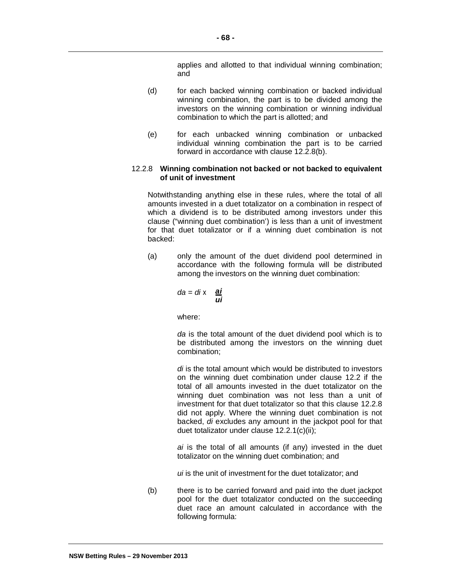applies and allotted to that individual winning combination; and

- (d) for each backed winning combination or backed individual winning combination, the part is to be divided among the investors on the winning combination or winning individual combination to which the part is allotted; and
- (e) for each unbacked winning combination or unbacked individual winning combination the part is to be carried forward in accordance with clause 12.2.8(b).

## 12.2.8 **Winning combination not backed or not backed to equivalent of unit of investment**

Notwithstanding anything else in these rules, where the total of all amounts invested in a duet totalizator on a combination in respect of which a dividend is to be distributed among investors under this clause ("winning duet combination') is less than a unit of investment for that duet totalizator or if a winning duet combination is not backed:

(a) only the amount of the duet dividend pool determined in accordance with the following formula will be distributed among the investors on the winning duet combination:

$$
da = di \times \frac{ai}{ui}
$$

where:

*da* is the total amount of the duet dividend pool which is to be distributed among the investors on the winning duet combination;

*di* is the total amount which would be distributed to investors on the winning duet combination under clause 12.2 if the total of all amounts invested in the duet totalizator on the winning duet combination was not less than a unit of investment for that duet totalizator so that this clause 12.2.8 did not apply. Where the winning duet combination is not backed, *di* excludes any amount in the jackpot pool for that duet totalizator under clause 12.2.1(c)(ii);

*ai* is the total of all amounts (if any) invested in the duet totalizator on the winning duet combination; and

*ui* is the unit of investment for the duet totalizator; and

(b) there is to be carried forward and paid into the duet jackpot pool for the duet totalizator conducted on the succeeding duet race an amount calculated in accordance with the following formula: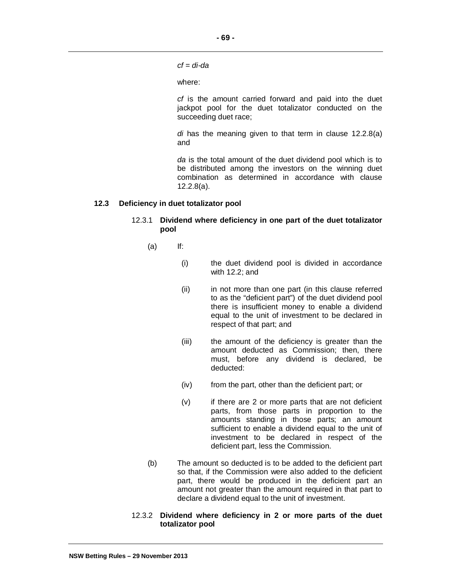**- 69 -**

*cf = di-da* 

where:

*cf* is the amount carried forward and paid into the duet jackpot pool for the duet totalizator conducted on the succeeding duet race;

*di* has the meaning given to that term in clause 12.2.8(a) and

*da* is the total amount of the duet dividend pool which is to be distributed among the investors on the winning duet combination as determined in accordance with clause 12.2.8(a).

## **12.3 Deficiency in duet totalizator pool**

## 12.3.1 **Dividend where deficiency in one part of the duet totalizator pool**

- $(a)$  If:
	- (i) the duet dividend pool is divided in accordance with 12.2; and
	- (ii) in not more than one part (in this clause referred to as the "deficient part") of the duet dividend pool there is insufficient money to enable a dividend equal to the unit of investment to be declared in respect of that part; and
	- (iii) the amount of the deficiency is greater than the amount deducted as Commission; then, there must, before any dividend is declared, be deducted:
	- (iv) from the part, other than the deficient part; or
	- (v) if there are 2 or more parts that are not deficient parts, from those parts in proportion to the amounts standing in those parts; an amount sufficient to enable a dividend equal to the unit of investment to be declared in respect of the deficient part, less the Commission.
- (b) The amount so deducted is to be added to the deficient part so that, if the Commission were also added to the deficient part, there would be produced in the deficient part an amount not greater than the amount required in that part to declare a dividend equal to the unit of investment.
- 12.3.2 **Dividend where deficiency in 2 or more parts of the duet totalizator pool**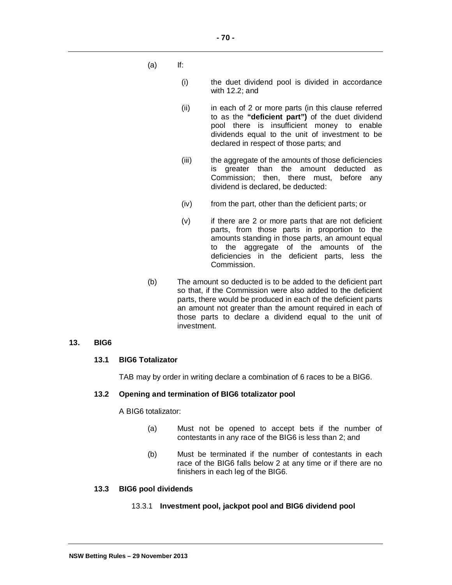- (a) If:
	- (i) the duet dividend pool is divided in accordance with 12.2; and
	- (ii) in each of 2 or more parts (in this clause referred to as the **"deficient part")** of the duet dividend pool there is insufficient money to enable dividends equal to the unit of investment to be declared in respect of those parts; and
	- (iii) the aggregate of the amounts of those deficiencies is greater than the amount deducted as Commission; then, there must, before any dividend is declared, be deducted:
	- (iv) from the part, other than the deficient parts; or
	- (v) if there are 2 or more parts that are not deficient parts, from those parts in proportion to the amounts standing in those parts, an amount equal to the aggregate of the amounts of the deficiencies in the deficient parts, less the Commission.
- (b) The amount so deducted is to be added to the deficient part so that, if the Commission were also added to the deficient parts, there would be produced in each of the deficient parts an amount not greater than the amount required in each of those parts to declare a dividend equal to the unit of investment.

#### **13. BIG6**

## **13.1 BIG6 Totalizator**

TAB may by order in writing declare a combination of 6 races to be a BIG6.

#### **13.2 Opening and termination of BIG6 totalizator pool**

A BIG6 totalizator:

- (a) Must not be opened to accept bets if the number of contestants in any race of the BIG6 is less than 2; and
- (b) Must be terminated if the number of contestants in each race of the BIG6 falls below 2 at any time or if there are no finishers in each leg of the BIG6.

#### **13.3 BIG6 pool dividends**

## 13.3.1 **Investment pool, jackpot pool and BIG6 dividend pool**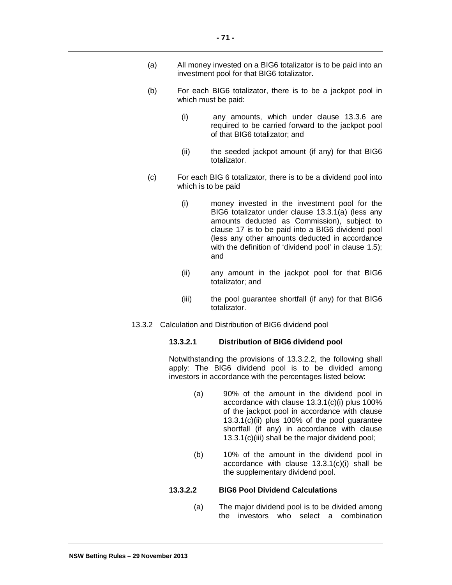- (a) All money invested on a BIG6 totalizator is to be paid into an investment pool for that BIG6 totalizator.
- (b) For each BIG6 totalizator, there is to be a jackpot pool in which must be paid:
	- (i) any amounts, which under clause 13.3.6 are required to be carried forward to the jackpot pool of that BIG6 totalizator; and
	- (ii) the seeded jackpot amount (if any) for that BIG6 totalizator.
- (c) For each BIG 6 totalizator, there is to be a dividend pool into which is to be paid
	- (i) money invested in the investment pool for the BIG6 totalizator under clause 13.3.1(a) (less any amounts deducted as Commission), subject to clause 17 is to be paid into a BIG6 dividend pool (less any other amounts deducted in accordance with the definition of 'dividend pool' in clause 1.5); and
	- (ii) any amount in the jackpot pool for that BIG6 totalizator; and
	- (iii) the pool guarantee shortfall (if any) for that BIG6 totalizator.
- 13.3.2 Calculation and Distribution of BIG6 dividend pool

#### **13.3.2.1 Distribution of BIG6 dividend pool**

Notwithstanding the provisions of 13.3.2.2, the following shall apply: The BIG6 dividend pool is to be divided among investors in accordance with the percentages listed below:

- (a) 90% of the amount in the dividend pool in accordance with clause 13.3.1(c)(i) plus 100% of the jackpot pool in accordance with clause 13.3.1(c)(ii) plus 100% of the pool guarantee shortfall (if any) in accordance with clause 13.3.1(c)(iii) shall be the major dividend pool;
- (b) 10% of the amount in the dividend pool in accordance with clause 13.3.1(c)(i) shall be the supplementary dividend pool.

#### **13.3.2.2 BIG6 Pool Dividend Calculations**

(a) The major dividend pool is to be divided among the investors who select a combination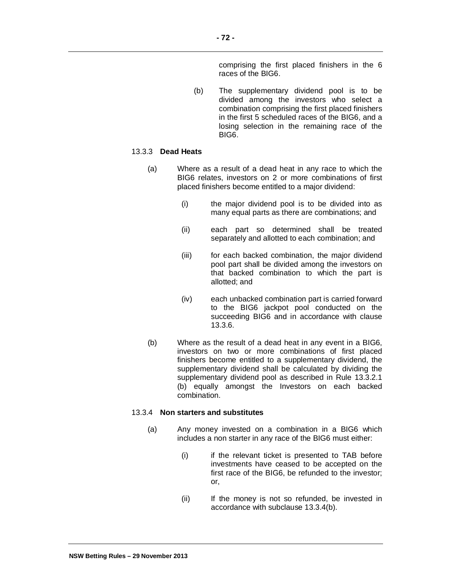comprising the first placed finishers in the 6 races of the BIG6.

(b) The supplementary dividend pool is to be divided among the investors who select a combination comprising the first placed finishers in the first 5 scheduled races of the BIG6, and a losing selection in the remaining race of the BIG6.

## 13.3.3 **Dead Heats**

- (a) Where as a result of a dead heat in any race to which the BIG6 relates, investors on 2 or more combinations of first placed finishers become entitled to a major dividend:
	- (i) the major dividend pool is to be divided into as many equal parts as there are combinations; and
	- (ii) each part so determined shall be treated separately and allotted to each combination; and
	- (iii) for each backed combination, the major dividend pool part shall be divided among the investors on that backed combination to which the part is allotted; and
	- (iv) each unbacked combination part is carried forward to the BIG6 jackpot pool conducted on the succeeding BIG6 and in accordance with clause 13.3.6.
- (b) Where as the result of a dead heat in any event in a BIG6, investors on two or more combinations of first placed finishers become entitled to a supplementary dividend, the supplementary dividend shall be calculated by dividing the supplementary dividend pool as described in Rule 13.3.2.1 (b) equally amongst the Investors on each backed combination.

#### 13.3.4 **Non starters and substitutes**

- (a) Any money invested on a combination in a BIG6 which includes a non starter in any race of the BIG6 must either:
	- (i) if the relevant ticket is presented to TAB before investments have ceased to be accepted on the first race of the BIG6, be refunded to the investor; or,
	- (ii) If the money is not so refunded, be invested in accordance with subclause 13.3.4(b).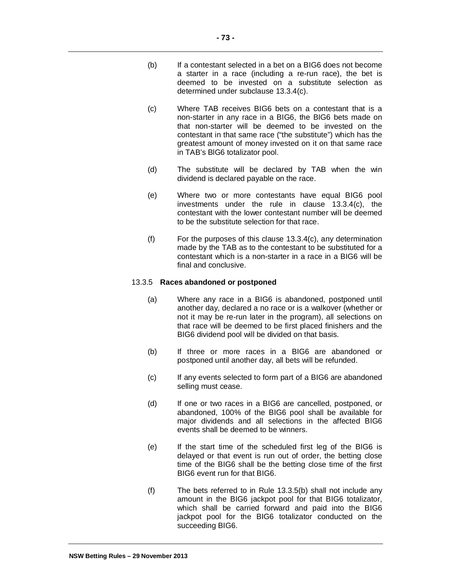- (b) If a contestant selected in a bet on a BIG6 does not become a starter in a race (including a re-run race), the bet is deemed to be invested on a substitute selection as determined under subclause 13.3.4(c).
- (c) Where TAB receives BIG6 bets on a contestant that is a non-starter in any race in a BIG6, the BIG6 bets made on that non-starter will be deemed to be invested on the contestant in that same race ("the substitute") which has the greatest amount of money invested on it on that same race in TAB's BlG6 totalizator pool.
- (d) The substitute will be declared by TAB when the win dividend is declared payable on the race.
- (e) Where two or more contestants have equal BIG6 pool investments under the rule in clause 13.3.4(c), the contestant with the lower contestant number will be deemed to be the substitute selection for that race.
- (f) For the purposes of this clause 13.3.4(c), any determination made by the TAB as to the contestant to be substituted for a contestant which is a non-starter in a race in a BIG6 will be final and conclusive.

## 13.3.5 **Races abandoned or postponed**

- (a) Where any race in a BIG6 is abandoned, postponed until another day, declared a no race or is a walkover (whether or not it may be re-run later in the program), all selections on that race will be deemed to be first placed finishers and the BIG6 dividend pool will be divided on that basis.
- (b) If three or more races in a BIG6 are abandoned or postponed until another day, all bets will be refunded.
- (c) If any events selected to form part of a BIG6 are abandoned selling must cease.
- (d) If one or two races in a BIG6 are cancelled, postponed, or abandoned, 100% of the BIG6 pool shall be available for major dividends and all selections in the affected BIG6 events shall be deemed to be winners.
- (e) If the start time of the scheduled first leg of the BIG6 is delayed or that event is run out of order, the betting close time of the BIG6 shall be the betting close time of the first BIG6 event run for that BIG6.
- (f) The bets referred to in Rule 13.3.5(b) shall not include any amount in the BIG6 jackpot pool for that BIG6 totalizator, which shall be carried forward and paid into the BIG6 jackpot pool for the BIG6 totalizator conducted on the succeeding BIG6.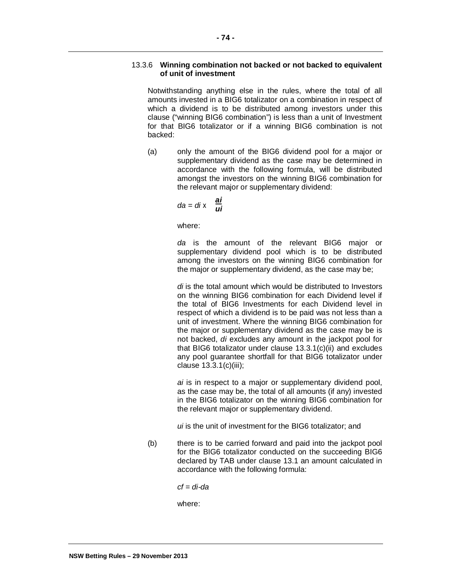## 13.3.6 **Winning combination not backed or not backed to equivalent of unit of investment**

Notwithstanding anything else in the rules, where the total of all amounts invested in a BIG6 totalizator on a combination in respect of which a dividend is to be distributed among investors under this clause ("winning BIG6 combination") is less than a unit of Investment for that BIG6 totalizator or if a winning BIG6 combination is not backed:

(a) only the amount of the BIG6 dividend pool for a major or supplementary dividend as the case may be determined in accordance with the following formula, will be distributed amongst the investors on the winning BIG6 combination for the relevant major or supplementary dividend:

$$
da = di \times \frac{ai}{ui}
$$

where:

*da* is the amount of the relevant BIG6 major or supplementary dividend pool which is to be distributed among the investors on the winning BIG6 combination for the major or supplementary dividend, as the case may be;

*di* is the total amount which would be distributed to Investors on the winning BIG6 combination for each Dividend level if the total of BIG6 Investments for each Dividend level in respect of which a dividend is to be paid was not less than a unit of investment. Where the winning BIG6 combination for the major or supplementary dividend as the case may be is not backed, *di* excludes any amount in the jackpot pool for that BIG6 totalizator under clause 13.3.1(c)(ii) and excludes any pool guarantee shortfall for that BIG6 totalizator under clause 13.3.1(c)(iii);

*ai* is in respect to a major or supplementary dividend pool, as the case may be, the total of all amounts (if any) invested in the BIG6 totalizator on the winning BIG6 combination for the relevant major or supplementary dividend.

*ui* is the unit of investment for the BIG6 totalizator; and

(b) there is to be carried forward and paid into the jackpot pool for the BIG6 totalizator conducted on the succeeding BIG6 declared by TAB under clause 13.1 an amount calculated in accordance with the following formula:

*cf = di-da* 

where: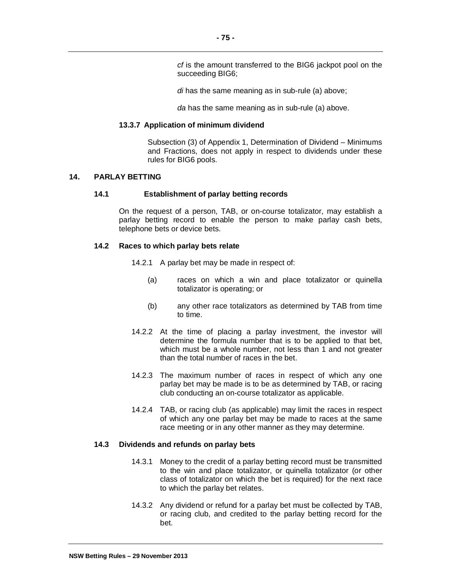*cf* is the amount transferred to the BIG6 jackpot pool on the succeeding BIG6;

*di* has the same meaning as in sub-rule (a) above;

*da* has the same meaning as in sub-rule (a) above.

#### **13.3.7 Application of minimum dividend**

Subsection (3) of Appendix 1, Determination of Dividend – Minimums and Fractions, does not apply in respect to dividends under these rules for BIG6 pools.

## **14. PARLAY BETTING**

#### **14.1 Establishment of parlay betting records**

On the request of a person, TAB, or on-course totalizator, may establish a parlay betting record to enable the person to make parlay cash bets, telephone bets or device bets.

#### **14.2 Races to which parlay bets relate**

14.2.1 A parlay bet may be made in respect of:

- (a) races on which a win and place totalizator or quinella totalizator is operating; or
- (b) any other race totalizators as determined by TAB from time to time.
- 14.2.2 At the time of placing a parlay investment, the investor will determine the formula number that is to be applied to that bet, which must be a whole number, not less than 1 and not greater than the total number of races in the bet.
- 14.2.3 The maximum number of races in respect of which any one parlay bet may be made is to be as determined by TAB, or racing club conducting an on-course totalizator as applicable.
- 14.2.4 TAB, or racing club (as applicable) may limit the races in respect of which any one parlay bet may be made to races at the same race meeting or in any other manner as they may determine.

#### **14.3 Dividends and refunds on parlay bets**

- 14.3.1 Money to the credit of a parlay betting record must be transmitted to the win and place totalizator, or quinella totalizator (or other class of totalizator on which the bet is required) for the next race to which the parlay bet relates.
- 14.3.2 Any dividend or refund for a parlay bet must be collected by TAB, or racing club, and credited to the parlay betting record for the bet.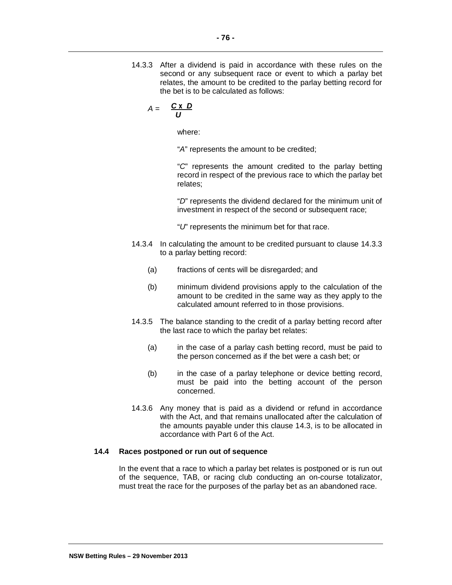14.3.3 After a dividend is paid in accordance with these rules on the second or any subsequent race or event to which a parlay bet relates, the amount to be credited to the parlay betting record for the bet is to be calculated as follows:

$$
A = \frac{C \times D}{U}
$$

where:

"*A*" represents the amount to be credited;

"*C*" represents the amount credited to the parlay betting record in respect of the previous race to which the parlay bet relates;

"*D*" represents the dividend declared for the minimum unit of investment in respect of the second or subsequent race;

"*U*" represents the minimum bet for that race.

- 14.3.4 In calculating the amount to be credited pursuant to clause 14.3.3 to a parlay betting record:
	- (a) fractions of cents will be disregarded; and
	- (b) minimum dividend provisions apply to the calculation of the amount to be credited in the same way as they apply to the calculated amount referred to in those provisions.
- 14.3.5 The balance standing to the credit of a parlay betting record after the last race to which the parlay bet relates:
	- (a) in the case of a parlay cash betting record, must be paid to the person concerned as if the bet were a cash bet; or
	- (b) in the case of a parlay telephone or device betting record, must be paid into the betting account of the person concerned.
- 14.3.6 Any money that is paid as a dividend or refund in accordance with the Act, and that remains unallocated after the calculation of the amounts payable under this clause 14.3, is to be allocated in accordance with Part 6 of the Act.

## **14.4 Races postponed or run out of sequence**

In the event that a race to which a parlay bet relates is postponed or is run out of the sequence, TAB, or racing club conducting an on-course totalizator, must treat the race for the purposes of the parlay bet as an abandoned race.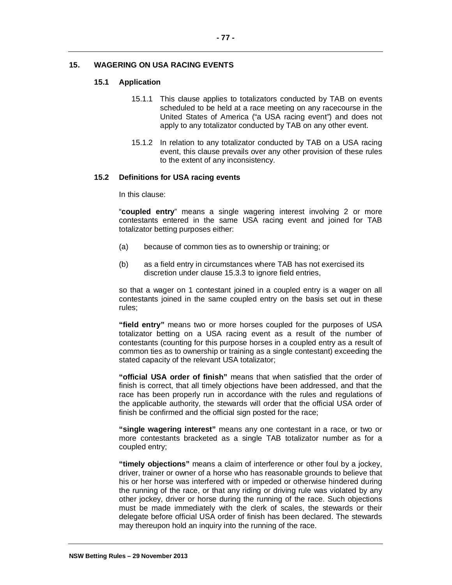# **15. WAGERING ON USA RACING EVENTS**

## **15.1 Application**

- 15.1.1 This clause applies to totalizators conducted by TAB on events scheduled to be held at a race meeting on any racecourse in the United States of America ("a USA racing event") and does not apply to any totalizator conducted by TAB on any other event.
- 15.1.2 In relation to any totalizator conducted by TAB on a USA racing event, this clause prevails over any other provision of these rules to the extent of any inconsistency.

## **15.2 Definitions for USA racing events**

In this clause:

"**coupled entry**" means a single wagering interest involving 2 or more contestants entered in the same USA racing event and joined for TAB totalizator betting purposes either:

- (a) because of common ties as to ownership or training; or
- (b) as a field entry in circumstances where TAB has not exercised its discretion under clause 15.3.3 to ignore field entries,

so that a wager on 1 contestant joined in a coupled entry is a wager on all contestants joined in the same coupled entry on the basis set out in these rules;

**"field entry"** means two or more horses coupled for the purposes of USA totalizator betting on a USA racing event as a result of the number of contestants (counting for this purpose horses in a coupled entry as a result of common ties as to ownership or training as a single contestant) exceeding the stated capacity of the relevant USA totalizator;

**"official USA order of finish"** means that when satisfied that the order of finish is correct, that all timely objections have been addressed, and that the race has been properly run in accordance with the rules and regulations of the applicable authority, the stewards will order that the official USA order of finish be confirmed and the official sign posted for the race;

**"single wagering interest"** means any one contestant in a race, or two or more contestants bracketed as a single TAB totalizator number as for a coupled entry;

**"timely objections"** means a claim of interference or other foul by a jockey, driver, trainer or owner of a horse who has reasonable grounds to believe that his or her horse was interfered with or impeded or otherwise hindered during the running of the race, or that any riding or driving rule was violated by any other jockey, driver or horse during the running of the race. Such objections must be made immediately with the clerk of scales, the stewards or their delegate before official USA order of finish has been declared. The stewards may thereupon hold an inquiry into the running of the race.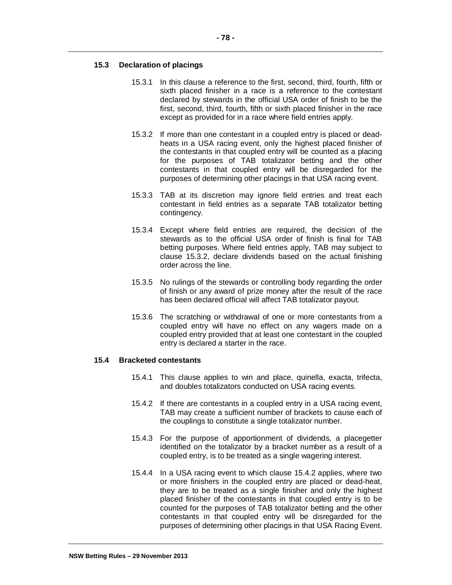## **15.3 Declaration of placings**

- 15.3.1 In this clause a reference to the first, second, third, fourth, fifth or sixth placed finisher in a race is a reference to the contestant declared by stewards in the official USA order of finish to be the first, second, third, fourth, fifth or sixth placed finisher in the race except as provided for in a race where field entries apply.
- 15.3.2 If more than one contestant in a coupled entry is placed or deadheats in a USA racing event, only the highest placed finisher of the contestants in that coupled entry will be counted as a placing for the purposes of TAB totalizator betting and the other contestants in that coupled entry will be disregarded for the purposes of determining other placings in that USA racing event.
- 15.3.3 TAB at its discretion may ignore field entries and treat each contestant in field entries as a separate TAB totalizator betting contingency.
- 15.3.4 Except where field entries are required, the decision of the stewards as to the official USA order of finish is final for TAB betting purposes. Where field entries apply, TAB may subject to clause 15.3.2, declare dividends based on the actual finishing order across the line.
- 15.3.5 No rulings of the stewards or controlling body regarding the order of finish or any award of prize money after the result of the race has been declared official will affect TAB totalizator payout.
- 15.3.6 The scratching or withdrawal of one or more contestants from a coupled entry will have no effect on any wagers made on a coupled entry provided that at least one contestant in the coupled entry is declared a starter in the race.

#### **15.4 Bracketed contestants**

- 15.4.1 This clause applies to win and place, quinella, exacta, trifecta, and doubles totalizators conducted on USA racing events.
- 15.4.2 If there are contestants in a coupled entry in a USA racing event, TAB may create a sufficient number of brackets to cause each of the couplings to constitute a single totalizator number.
- 15.4.3 For the purpose of apportionment of dividends, a placegetter identified on the totalizator by a bracket number as a result of a coupled entry, is to be treated as a single wagering interest.
- 15.4.4 In a USA racing event to which clause 15.4.2 applies, where two or more finishers in the coupled entry are placed or dead-heat, they are to be treated as a single finisher and only the highest placed finisher of the contestants in that coupled entry is to be counted for the purposes of TAB totalizator betting and the other contestants in that coupled entry will be disregarded for the purposes of determining other placings in that USA Racing Event.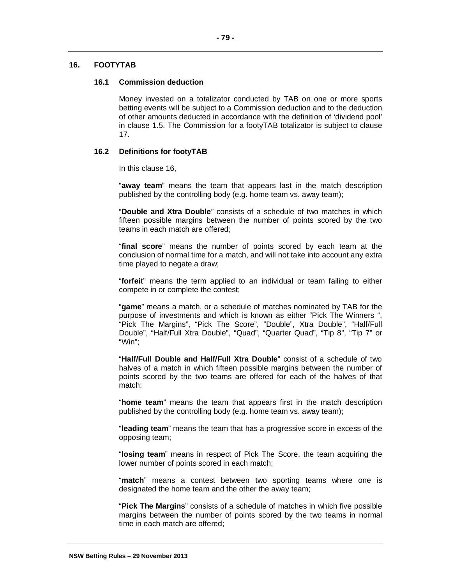# **16. FOOTYTAB**

## **16.1 Commission deduction**

Money invested on a totalizator conducted by TAB on one or more sports betting events will be subject to a Commission deduction and to the deduction of other amounts deducted in accordance with the definition of 'dividend pool' in clause 1.5. The Commission for a footyTAB totalizator is subject to clause 17.

## **16.2 Definitions for footyTAB**

In this clause 16,

"**away team**" means the team that appears last in the match description published by the controlling body (e.g. home team vs. away team);

"**Double and Xtra Double**" consists of a schedule of two matches in which fifteen possible margins between the number of points scored by the two teams in each match are offered;

"**final score**" means the number of points scored by each team at the conclusion of normal time for a match, and will not take into account any extra time played to negate a draw;

"**forfeit**" means the term applied to an individual or team failing to either compete in or complete the contest;

"**game**" means a match, or a schedule of matches nominated by TAB for the purpose of investments and which is known as either "Pick The Winners ", "Pick The Margins", "Pick The Score", "Double", Xtra Double", "Half/Full Double", "Half/Full Xtra Double", "Quad", "Quarter Quad", "Tip 8", "Tip 7" or "Win";

"**Half/Full Double and Half/Full Xtra Double**" consist of a schedule of two halves of a match in which fifteen possible margins between the number of points scored by the two teams are offered for each of the halves of that match;

"**home team**" means the team that appears first in the match description published by the controlling body (e.g. home team vs. away team);

"**leading team**" means the team that has a progressive score in excess of the opposing team;

"**losing team**" means in respect of Pick The Score, the team acquiring the lower number of points scored in each match;

"**match**" means a contest between two sporting teams where one is designated the home team and the other the away team;

"**Pick The Margins**" consists of a schedule of matches in which five possible margins between the number of points scored by the two teams in normal time in each match are offered;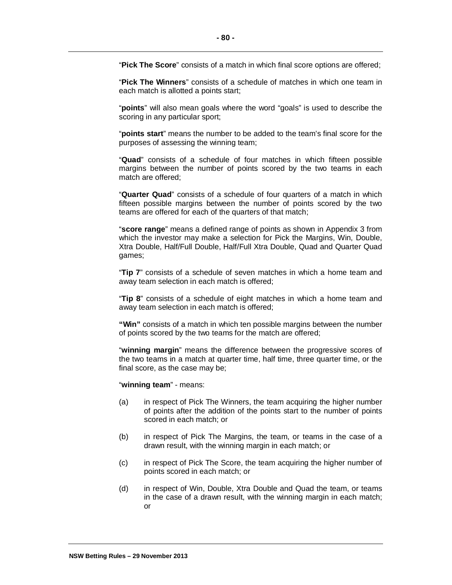"**Pick The Score**" consists of a match in which final score options are offered;

"**Pick The Winners**" consists of a schedule of matches in which one team in each match is allotted a points start;

"**points**" will also mean goals where the word "goals" is used to describe the scoring in any particular sport;

"**points start**" means the number to be added to the team's final score for the purposes of assessing the winning team;

"**Quad**" consists of a schedule of four matches in which fifteen possible margins between the number of points scored by the two teams in each match are offered;

"**Quarter Quad**" consists of a schedule of four quarters of a match in which fifteen possible margins between the number of points scored by the two teams are offered for each of the quarters of that match;

"**score range**" means a defined range of points as shown in Appendix 3 from which the investor may make a selection for Pick the Margins, Win, Double, Xtra Double, Half/Full Double, Half/Full Xtra Double, Quad and Quarter Quad games;

"**Tip 7**" consists of a schedule of seven matches in which a home team and away team selection in each match is offered;

"**Tip 8**" consists of a schedule of eight matches in which a home team and away team selection in each match is offered;

**"Win"** consists of a match in which ten possible margins between the number of points scored by the two teams for the match are offered;

"**winning margin**" means the difference between the progressive scores of the two teams in a match at quarter time, half time, three quarter time, or the final score, as the case may be;

"**winning team**" - means:

- (a) in respect of Pick The Winners, the team acquiring the higher number of points after the addition of the points start to the number of points scored in each match; or
- (b) in respect of Pick The Margins, the team, or teams in the case of a drawn result, with the winning margin in each match; or
- (c) in respect of Pick The Score, the team acquiring the higher number of points scored in each match; or
- (d) in respect of Win, Double, Xtra Double and Quad the team, or teams in the case of a drawn result, with the winning margin in each match; or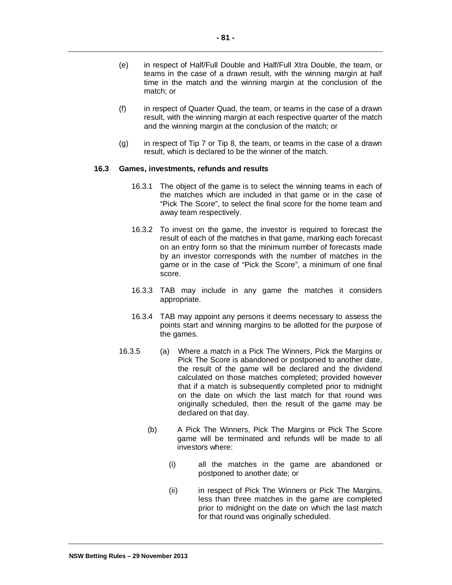- (e) in respect of Half/Full Double and Half/Full Xtra Double, the team, or teams in the case of a drawn result, with the winning margin at half time in the match and the winning margin at the conclusion of the match; or
- (f) in respect of Quarter Quad, the team, or teams in the case of a drawn result, with the winning margin at each respective quarter of the match and the winning margin at the conclusion of the match; or
- (g) in respect of Tip 7 or Tip 8, the team, or teams in the case of a drawn result, which is declared to be the winner of the match.

#### **16.3 Games, investments, refunds and results**

- 16.3.1 The object of the game is to select the winning teams in each of the matches which are included in that game or in the case of "Pick The Score", to select the final score for the home team and away team respectively.
- 16.3.2 To invest on the game, the investor is required to forecast the result of each of the matches in that game, marking each forecast on an entry form so that the minimum number of forecasts made by an investor corresponds with the number of matches in the game or in the case of "Pick the Score", a minimum of one final score.
- 16.3.3 TAB may include in any game the matches it considers appropriate.
- 16.3.4 TAB may appoint any persons it deems necessary to assess the points start and winning margins to be allotted for the purpose of the games.
- 16.3.5 (a) Where a match in a Pick The Winners, Pick the Margins or Pick The Score is abandoned or postponed to another date, the result of the game will be declared and the dividend calculated on those matches completed; provided however that if a match is subsequently completed prior to midnight on the date on which the last match for that round was originally scheduled, then the result of the game may be declared on that day.
	- (b) A Pick The Winners, Pick The Margins or Pick The Score game will be terminated and refunds will be made to all investors where:
		- (i) all the matches in the game are abandoned or postponed to another date; or
		- (ii) in respect of Pick The Winners or Pick The Margins, less than three matches in the game are completed prior to midnight on the date on which the last match for that round was originally scheduled.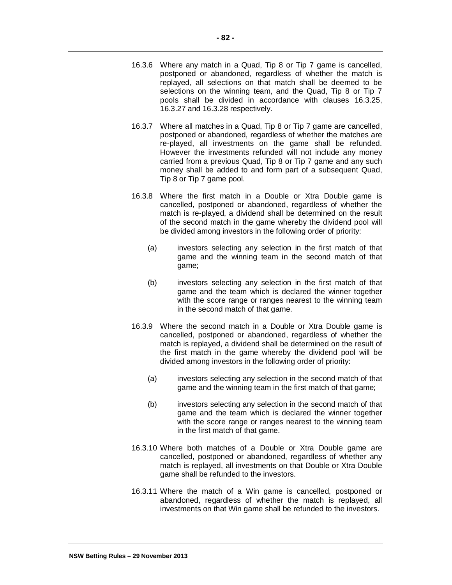- 16.3.6 Where any match in a Quad, Tip 8 or Tip 7 game is cancelled, postponed or abandoned, regardless of whether the match is replayed, all selections on that match shall be deemed to be selections on the winning team, and the Quad, Tip 8 or Tip 7 pools shall be divided in accordance with clauses 16.3.25, 16.3.27 and 16.3.28 respectively.
- 16.3.7 Where all matches in a Quad, Tip 8 or Tip 7 game are cancelled, postponed or abandoned, regardless of whether the matches are re-played, all investments on the game shall be refunded. However the investments refunded will not include any money carried from a previous Quad, Tip 8 or Tip 7 game and any such money shall be added to and form part of a subsequent Quad, Tip 8 or Tip 7 game pool.
- 16.3.8 Where the first match in a Double or Xtra Double game is cancelled, postponed or abandoned, regardless of whether the match is re-played, a dividend shall be determined on the result of the second match in the game whereby the dividend pool will be divided among investors in the following order of priority:
	- (a) investors selecting any selection in the first match of that game and the winning team in the second match of that game;
	- (b) investors selecting any selection in the first match of that game and the team which is declared the winner together with the score range or ranges nearest to the winning team in the second match of that game.
- 16.3.9 Where the second match in a Double or Xtra Double game is cancelled, postponed or abandoned, regardless of whether the match is replayed, a dividend shall be determined on the result of the first match in the game whereby the dividend pool will be divided among investors in the following order of priority:
	- (a) investors selecting any selection in the second match of that game and the winning team in the first match of that game;
	- (b) investors selecting any selection in the second match of that game and the team which is declared the winner together with the score range or ranges nearest to the winning team in the first match of that game.
- 16.3.10 Where both matches of a Double or Xtra Double game are cancelled, postponed or abandoned, regardless of whether any match is replayed, all investments on that Double or Xtra Double game shall be refunded to the investors.
- 16.3.11 Where the match of a Win game is cancelled, postponed or abandoned, regardless of whether the match is replayed, all investments on that Win game shall be refunded to the investors.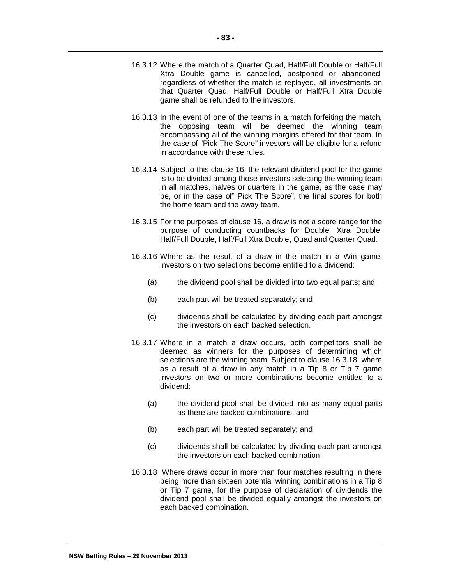- 16.3.12 Where the match of a Quarter Quad, Half/Full Double or Half/Full Xtra Double game is cancelled, postponed or abandoned, regardless of whether the match is replayed, all investments on that Quarter Quad, Half/Full Double or Half/Full Xtra Double game shall be refunded to the investors.
- 16.3.13 In the event of one of the teams in a match forfeiting the match, the opposing team will be deemed the winning team encompassing all of the winning margins offered for that team. In the case of "Pick The Score" investors will be eligible for a refund in accordance with these rules.
- 16.3.14 Subject to this clause 16, the relevant dividend pool for the game is to be divided among those investors selecting the winning team in all matches, halves or quarters in the game, as the case may be, or in the case of" Pick The Score", the final scores for both the home team and the away team.
- 16.3.15 For the purposes of clause 16, a draw is not a score range for the purpose of conducting countbacks for Double, Xtra Double, Half/Full Double, Half/Full Xtra Double, Quad and Quarter Quad.
- 16.3.16 Where as the result of a draw in the match in a Win game, investors on two selections become entitled to a dividend:
	- (a) the dividend pool shall be divided into two equal parts; and
	- (b) each part will be treated separately; and
	- (c) dividends shall be calculated by dividing each part amongst the investors on each backed selection.
- 16.3.17 Where in a match a draw occurs, both competitors shall be deemed as winners for the purposes of determining which selections are the winning team. Subject to clause 16.3.18, where as a result of a draw in any match in a Tip 8 or Tip 7 game investors on two or more combinations become entitled to a dividend:
	- (a) the dividend pool shall be divided into as many equal parts as there are backed combinations; and
	- (b) each part will be treated separately; and
	- (c) dividends shall be calculated by dividing each part amongst the investors on each backed combination.
- 16.3.18 Where draws occur in more than four matches resulting in there being more than sixteen potential winning combinations in a Tip 8 or Tip 7 game, for the purpose of declaration of dividends the dividend pool shall be divided equally amongst the investors on each backed combination.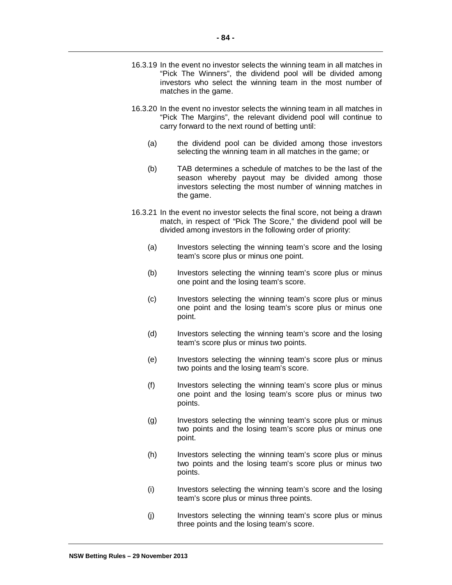- 16.3.19 In the event no investor selects the winning team in all matches in "Pick The Winners", the dividend pool will be divided among investors who select the winning team in the most number of matches in the game.
- 16.3.20 In the event no investor selects the winning team in all matches in "Pick The Margins", the relevant dividend pool will continue to carry forward to the next round of betting until:
	- (a) the dividend pool can be divided among those investors selecting the winning team in all matches in the game; or
	- (b) TAB determines a schedule of matches to be the last of the season whereby payout may be divided among those investors selecting the most number of winning matches in the game.
- 16.3.21 In the event no investor selects the final score, not being a drawn match, in respect of "Pick The Score," the dividend pool will be divided among investors in the following order of priority:
	- (a) Investors selecting the winning team's score and the losing team's score plus or minus one point.
	- (b) Investors selecting the winning team's score plus or minus one point and the losing team's score.
	- (c) Investors selecting the winning team's score plus or minus one point and the losing team's score plus or minus one point.
	- (d) Investors selecting the winning team's score and the losing team's score plus or minus two points.
	- (e) Investors selecting the winning team's score plus or minus two points and the losing team's score.
	- (f) Investors selecting the winning team's score plus or minus one point and the losing team's score plus or minus two points.
	- (g) Investors selecting the winning team's score plus or minus two points and the losing team's score plus or minus one point.
	- (h) Investors selecting the winning team's score plus or minus two points and the losing team's score plus or minus two points.
	- (i) Investors selecting the winning team's score and the losing team's score plus or minus three points.
	- (j) Investors selecting the winning team's score plus or minus three points and the losing team's score.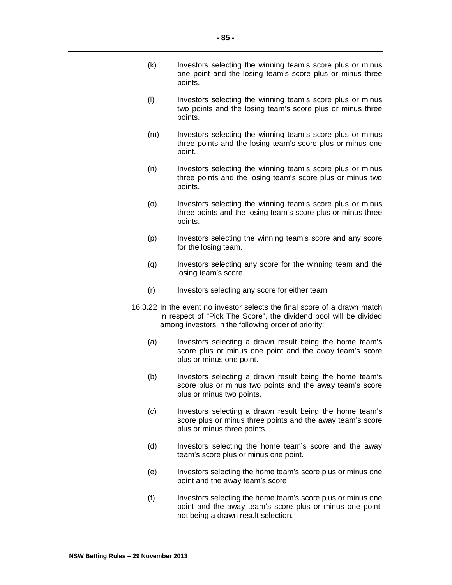- (k) Investors selecting the winning team's score plus or minus one point and the losing team's score plus or minus three points.
- (l) Investors selecting the winning team's score plus or minus two points and the losing team's score plus or minus three points.
- (m) Investors selecting the winning team's score plus or minus three points and the losing team's score plus or minus one point.
- (n) Investors selecting the winning team's score plus or minus three points and the losing team's score plus or minus two points.
- (o) Investors selecting the winning team's score plus or minus three points and the losing team's score plus or minus three points.
- (p) Investors selecting the winning team's score and any score for the losing team.
- (q) Investors selecting any score for the winning team and the losing team's score.
- (r) Investors selecting any score for either team.
- 16.3.22 In the event no investor selects the final score of a drawn match in respect of "Pick The Score", the dividend pool will be divided among investors in the following order of priority:
	- (a) Investors selecting a drawn result being the home team's score plus or minus one point and the away team's score plus or minus one point.
	- (b) Investors selecting a drawn result being the home team's score plus or minus two points and the away team's score plus or minus two points.
	- (c) Investors selecting a drawn result being the home team's score plus or minus three points and the away team's score plus or minus three points.
	- (d) Investors selecting the home team's score and the away team's score plus or minus one point.
	- (e) Investors selecting the home team's score plus or minus one point and the away team's score.
	- (f) Investors selecting the home team's score plus or minus one point and the away team's score plus or minus one point, not being a drawn result selection.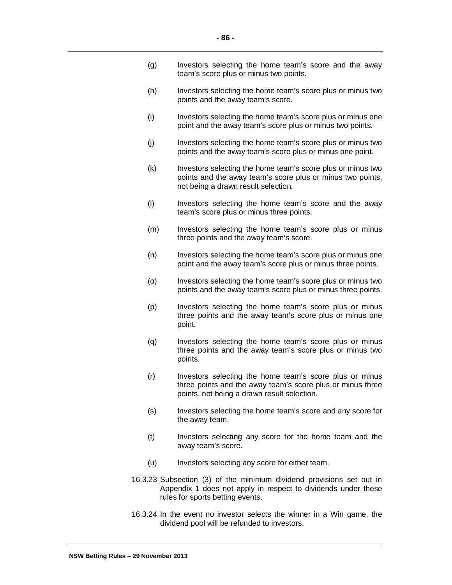- (g) Investors selecting the home team's score and the away team's score plus or minus two points.
- (h) Investors selecting the home team's score plus or minus two points and the away team's score.
- (i) Investors selecting the home team's score plus or minus one point and the away team's score plus or minus two points.
- (j) Investors selecting the home team's score plus or minus two points and the away team's score plus or minus one point.
- (k) Investors selecting the home team's score plus or minus two points and the away team's score plus or minus two points, not being a drawn result selection.
- (l) Investors selecting the home team's score and the away team's score plus or minus three points.
- (m) Investors selecting the home team's score plus or minus three points and the away team's score.
- (n) Investors selecting the home team's score plus or minus one point and the away team's score plus or minus three points.
- (o) Investors selecting the home team's score plus or minus two points and the away team's score plus or minus three points.
- (p) Investors selecting the home team's score plus or minus three points and the away team's score plus or minus one point.
- (q) Investors selecting the home team's score plus or minus three points and the away team's score plus or minus two points.
- (r) Investors selecting the home team's score plus or minus three points and the away team's score plus or minus three points, not being a drawn result selection.
- (s) Investors selecting the home team's score and any score for the away team.
- (t) Investors selecting any score for the home team and the away team's score.
- (u) Investors selecting any score for either team.
- 16.3.23 Subsection (3) of the minimum dividend provisions set out in Appendix 1 does not apply in respect to dividends under these rules for sports betting events.
- 16.3.24 In the event no investor selects the winner in a Win game, the dividend pool will be refunded to investors.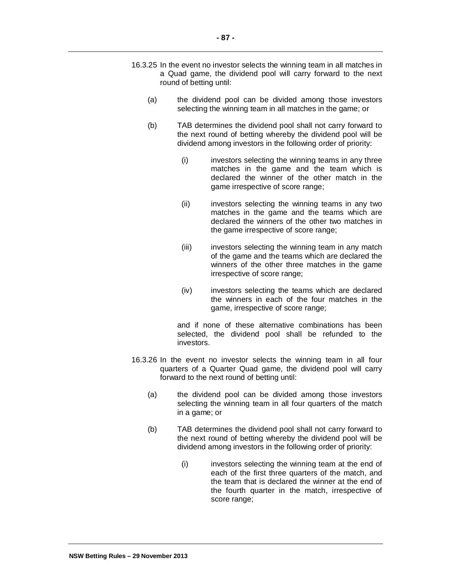- 16.3.25 In the event no investor selects the winning team in all matches in a Quad game, the dividend pool will carry forward to the next round of betting until:
	- (a) the dividend pool can be divided among those investors selecting the winning team in all matches in the game; or
	- (b) TAB determines the dividend pool shall not carry forward to the next round of betting whereby the dividend pool will be dividend among investors in the following order of priority:
		- (i) investors selecting the winning teams in any three matches in the game and the team which is declared the winner of the other match in the game irrespective of score range;
		- (ii) investors selecting the winning teams in any two matches in the game and the teams which are declared the winners of the other two matches in the game irrespective of score range;
		- (iii) investors selecting the winning team in any match of the game and the teams which are declared the winners of the other three matches in the game irrespective of score range;
		- (iv) investors selecting the teams which are declared the winners in each of the four matches in the game, irrespective of score range;

and if none of these alternative combinations has been selected, the dividend pool shall be refunded to the investors.

- 16.3.26 In the event no investor selects the winning team in all four quarters of a Quarter Quad game, the dividend pool will carry forward to the next round of betting until:
	- (a) the dividend pool can be divided among those investors selecting the winning team in all four quarters of the match in a game; or
	- (b) TAB determines the dividend pool shall not carry forward to the next round of betting whereby the dividend pool will be dividend among investors in the following order of priority:
		- (i) investors selecting the winning team at the end of each of the first three quarters of the match, and the team that is declared the winner at the end of the fourth quarter in the match, irrespective of score range;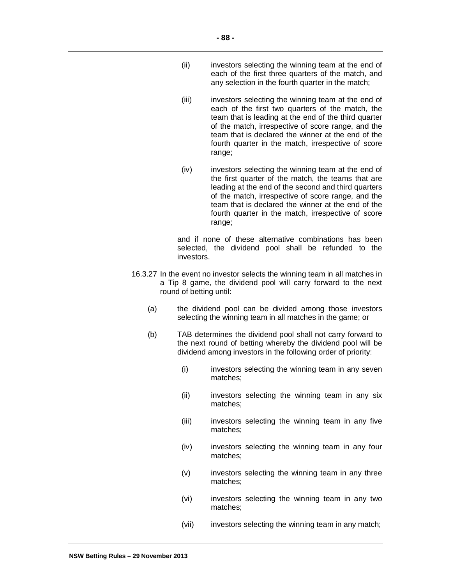- (ii) investors selecting the winning team at the end of each of the first three quarters of the match, and any selection in the fourth quarter in the match;
- (iii) investors selecting the winning team at the end of each of the first two quarters of the match, the team that is leading at the end of the third quarter of the match, irrespective of score range, and the team that is declared the winner at the end of the fourth quarter in the match, irrespective of score range;
- (iv) investors selecting the winning team at the end of the first quarter of the match, the teams that are leading at the end of the second and third quarters of the match, irrespective of score range, and the team that is declared the winner at the end of the fourth quarter in the match, irrespective of score range;

and if none of these alternative combinations has been selected, the dividend pool shall be refunded to the investors.

- 16.3.27 In the event no investor selects the winning team in all matches in a Tip 8 game, the dividend pool will carry forward to the next round of betting until:
	- (a) the dividend pool can be divided among those investors selecting the winning team in all matches in the game; or
	- (b) TAB determines the dividend pool shall not carry forward to the next round of betting whereby the dividend pool will be dividend among investors in the following order of priority:
		- (i) investors selecting the winning team in any seven matches;
		- (ii) investors selecting the winning team in any six matches;
		- (iii) investors selecting the winning team in any five matches;
		- (iv) investors selecting the winning team in any four matches;
		- (v) investors selecting the winning team in any three matches;
		- (vi) investors selecting the winning team in any two matches;
		- (vii) investors selecting the winning team in any match;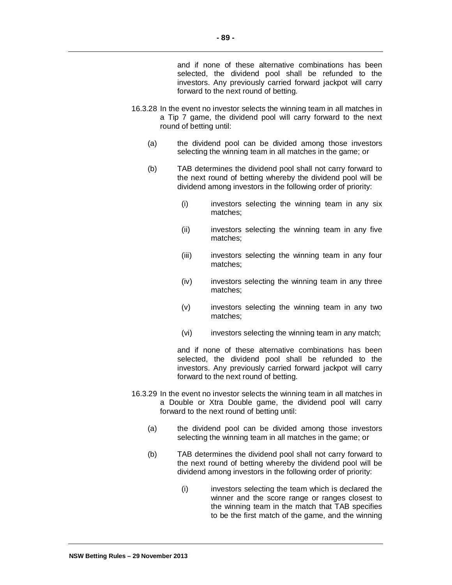and if none of these alternative combinations has been selected, the dividend pool shall be refunded to the investors. Any previously carried forward jackpot will carry forward to the next round of betting.

- 16.3.28 In the event no investor selects the winning team in all matches in a Tip 7 game, the dividend pool will carry forward to the next round of betting until:
	- (a) the dividend pool can be divided among those investors selecting the winning team in all matches in the game; or
	- (b) TAB determines the dividend pool shall not carry forward to the next round of betting whereby the dividend pool will be dividend among investors in the following order of priority:
		- (i) investors selecting the winning team in any six matches;
		- (ii) investors selecting the winning team in any five matches;
		- (iii) investors selecting the winning team in any four matches;
		- (iv) investors selecting the winning team in any three matches;
		- (v) investors selecting the winning team in any two matches;
		- (vi) investors selecting the winning team in any match;

and if none of these alternative combinations has been selected, the dividend pool shall be refunded to the investors. Any previously carried forward jackpot will carry forward to the next round of betting.

- 16.3.29 In the event no investor selects the winning team in all matches in a Double or Xtra Double game, the dividend pool will carry forward to the next round of betting until:
	- (a) the dividend pool can be divided among those investors selecting the winning team in all matches in the game; or
	- (b) TAB determines the dividend pool shall not carry forward to the next round of betting whereby the dividend pool will be dividend among investors in the following order of priority:
		- (i) investors selecting the team which is declared the winner and the score range or ranges closest to the winning team in the match that TAB specifies to be the first match of the game, and the winning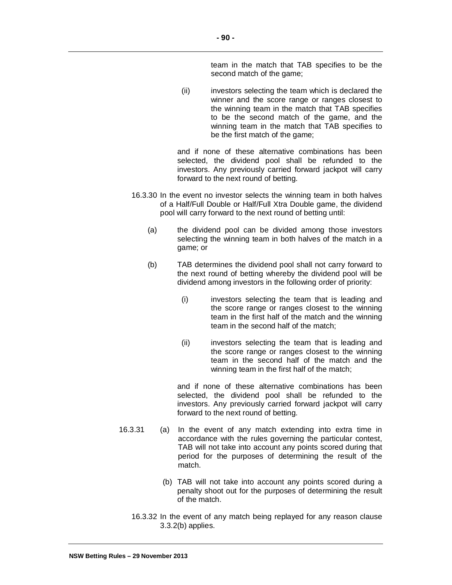team in the match that TAB specifies to be the second match of the game;

(ii) investors selecting the team which is declared the winner and the score range or ranges closest to the winning team in the match that TAB specifies to be the second match of the game, and the winning team in the match that TAB specifies to be the first match of the game;

and if none of these alternative combinations has been selected, the dividend pool shall be refunded to the investors. Any previously carried forward jackpot will carry forward to the next round of betting.

- 16.3.30 In the event no investor selects the winning team in both halves of a Half/Full Double or Half/Full Xtra Double game, the dividend pool will carry forward to the next round of betting until:
	- (a) the dividend pool can be divided among those investors selecting the winning team in both halves of the match in a game; or
	- (b) TAB determines the dividend pool shall not carry forward to the next round of betting whereby the dividend pool will be dividend among investors in the following order of priority:
		- (i) investors selecting the team that is leading and the score range or ranges closest to the winning team in the first half of the match and the winning team in the second half of the match;
		- (ii) investors selecting the team that is leading and the score range or ranges closest to the winning team in the second half of the match and the winning team in the first half of the match;

and if none of these alternative combinations has been selected, the dividend pool shall be refunded to the investors. Any previously carried forward jackpot will carry forward to the next round of betting.

- 16.3.31 (a) In the event of any match extending into extra time in accordance with the rules governing the particular contest, TAB will not take into account any points scored during that period for the purposes of determining the result of the match.
	- (b) TAB will not take into account any points scored during a penalty shoot out for the purposes of determining the result of the match.
	- 16.3.32 In the event of any match being replayed for any reason clause 3.3.2(b) applies.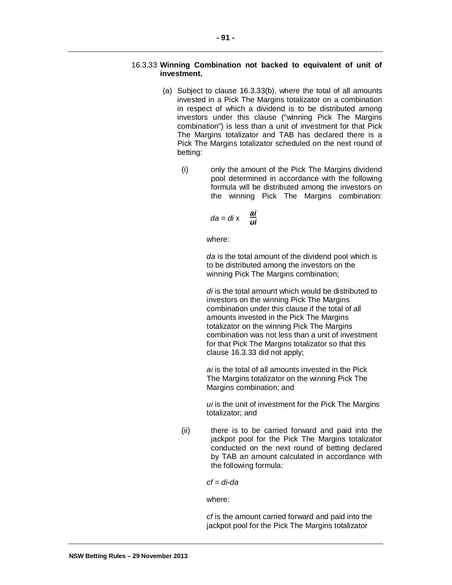## 16.3.33 **Winning Combination not backed to equivalent of unit of investment.**

- (a) Subject to clause 16.3.33(b), where the total of all amounts invested in a Pick The Margins totalizator on a combination in respect of which a dividend is to be distributed among investors under this clause ("winning Pick The Margins combination") is less than a unit of investment for that Pick The Margins totalizator and TAB has declared there is a Pick The Margins totalizator scheduled on the next round of betting:
	- (i) only the amount of the Pick The Margins dividend pool determined in accordance with the following formula will be distributed among the investors on the winning Pick The Margins combination:

$$
da = di \times \frac{ai}{ui}
$$

where:

*da* is the total amount of the dividend pool which is to be distributed among the investors on the winning Pick The Margins combination;

*di* is the total amount which would be distributed to investors on the winning Pick The Margins combination under this clause if the total of all amounts invested in the Pick The Margins totalizator on the winning Pick The Margins combination was not less than a unit of investment for that Pick The Margins totalizator so that this clause 16.3.33 did not apply;

*ai* is the total of all amounts invested in the Pick The Margins totalizator on the winning Pick The Margins combination; and

*ui* is the unit of investment for the Pick The Margins totalizator; and

(ii) there is to be carried forward and paid into the jackpot pool for the Pick The Margins totalizator conducted on the next round of betting declared by TAB an amount calculated in accordance with the following formula:

*cf* = *di*-*da*

where:

*cf* is the amount carried forward and paid into the jackpot pool for the Pick The Margins totalizator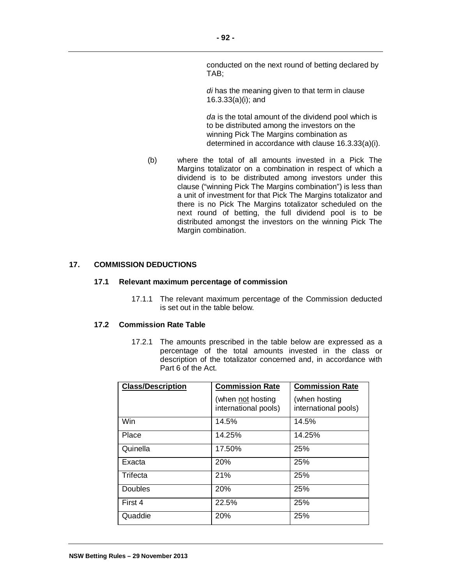conducted on the next round of betting declared by TAB;

*di* has the meaning given to that term in clause 16.3.33(a)(i); and

*da* is the total amount of the dividend pool which is to be distributed among the investors on the winning Pick The Margins combination as determined in accordance with clause 16.3.33(a)(i).

(b) where the total of all amounts invested in a Pick The Margins totalizator on a combination in respect of which a dividend is to be distributed among investors under this clause ("winning Pick The Margins combination") is less than a unit of investment for that Pick The Margins totalizator and there is no Pick The Margins totalizator scheduled on the next round of betting, the full dividend pool is to be distributed amongst the investors on the winning Pick The Margin combination.

#### **17. COMMISSION DEDUCTIONS**

#### **17.1 Relevant maximum percentage of commission**

17.1.1 The relevant maximum percentage of the Commission deducted is set out in the table below.

#### **17.2 Commission Rate Table**

17.2.1 The amounts prescribed in the table below are expressed as a percentage of the total amounts invested in the class or description of the totalizator concerned and, in accordance with Part 6 of the Act.

| <b>Class/Description</b> | <b>Commission Rate</b>                    | <b>Commission Rate</b>                |
|--------------------------|-------------------------------------------|---------------------------------------|
|                          | (when not hosting<br>international pools) | (when hosting<br>international pools) |
| Win                      | 14.5%                                     | 14.5%                                 |
| Place                    | 14.25%                                    | 14.25%                                |
| Quinella                 | 17.50%                                    | 25%                                   |
| Exacta                   | 20%                                       | 25%                                   |
| Trifecta                 | 21%                                       | 25%                                   |
| Doubles                  | 20%                                       | 25%                                   |
| First 4                  | 22.5%                                     | 25%                                   |
| Quaddie                  | 20%                                       | 25%                                   |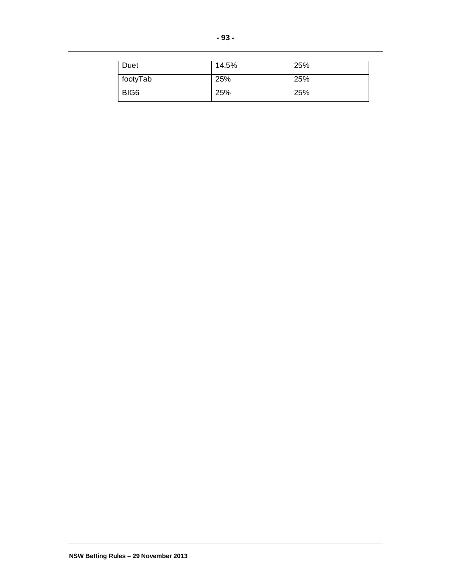| Duet             | 14.5% | 25% |
|------------------|-------|-----|
| footyTab         | 25%   | 25% |
| BIG <sub>6</sub> | 25%   | 25% |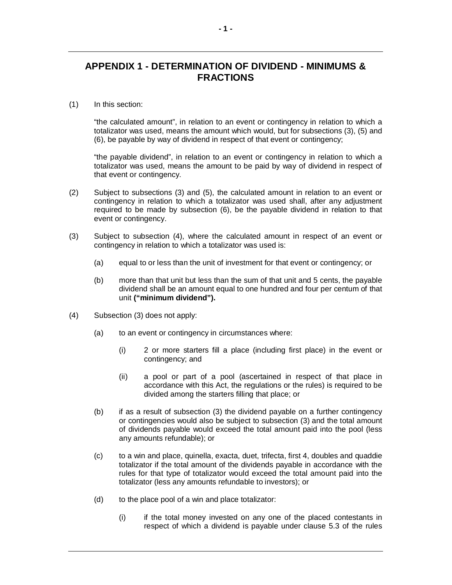# **APPENDIX 1 - DETERMINATION OF DIVIDEND - MINIMUMS & FRACTIONS**

## (1) In this section:

"the calculated amount", in relation to an event or contingency in relation to which a totalizator was used, means the amount which would, but for subsections (3), (5) and (6), be payable by way of dividend in respect of that event or contingency;

"the payable dividend", in relation to an event or contingency in relation to which a totalizator was used, means the amount to be paid by way of dividend in respect of that event or contingency.

- (2) Subject to subsections (3) and (5), the calculated amount in relation to an event or contingency in relation to which a totalizator was used shall, after any adjustment required to be made by subsection (6), be the payable dividend in relation to that event or contingency.
- (3) Subject to subsection (4), where the calculated amount in respect of an event or contingency in relation to which a totalizator was used is:
	- (a) equal to or less than the unit of investment for that event or contingency; or
	- (b) more than that unit but less than the sum of that unit and 5 cents, the payable dividend shall be an amount equal to one hundred and four per centum of that unit **("minimum dividend").**
- (4) Subsection (3) does not apply:
	- (a) to an event or contingency in circumstances where:
		- (i) 2 or more starters fill a place (including first place) in the event or contingency; and
		- (ii) a pool or part of a pool (ascertained in respect of that place in accordance with this Act, the regulations or the rules) is required to be divided among the starters filling that place; or
	- (b) if as a result of subsection (3) the dividend payable on a further contingency or contingencies would also be subject to subsection (3) and the total amount of dividends payable would exceed the total amount paid into the pool (less any amounts refundable); or
	- (c) to a win and place, quinella, exacta, duet, trifecta, first 4, doubles and quaddie totalizator if the total amount of the dividends payable in accordance with the rules for that type of totalizator would exceed the total amount paid into the totalizator (less any amounts refundable to investors); or
	- (d) to the place pool of a win and place totalizator:
		- (i) if the total money invested on any one of the placed contestants in respect of which a dividend is payable under clause 5.3 of the rules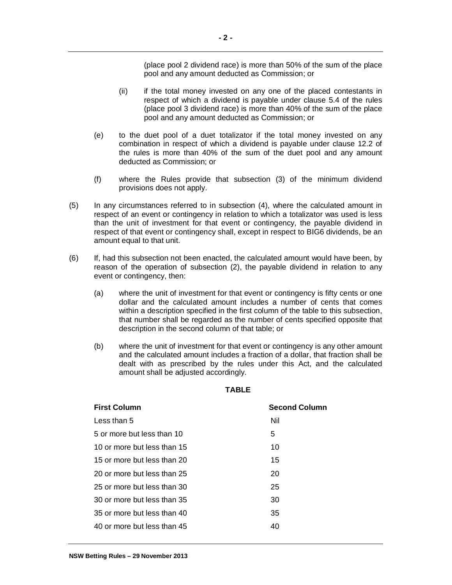(place pool 2 dividend race) is more than 50% of the sum of the place pool and any amount deducted as Commission; or

- (ii) if the total money invested on any one of the placed contestants in respect of which a dividend is payable under clause 5.4 of the rules (place pool 3 dividend race) is more than 40% of the sum of the place pool and any amount deducted as Commission; or
- (e) to the duet pool of a duet totalizator if the total money invested on any combination in respect of which a dividend is payable under clause 12.2 of the rules is more than 40% of the sum of the duet pool and any amount deducted as Commission; or
- (f) where the Rules provide that subsection (3) of the minimum dividend provisions does not apply.
- (5) In any circumstances referred to in subsection (4), where the calculated amount in respect of an event or contingency in relation to which a totalizator was used is less than the unit of investment for that event or contingency, the payable dividend in respect of that event or contingency shall, except in respect to BIG6 dividends, be an amount equal to that unit.
- (6) If, had this subsection not been enacted, the calculated amount would have been, by reason of the operation of subsection (2), the payable dividend in relation to any event or contingency, then:
	- (a) where the unit of investment for that event or contingency is fifty cents or one dollar and the calculated amount includes a number of cents that comes within a description specified in the first column of the table to this subsection, that number shall be regarded as the number of cents specified opposite that description in the second column of that table; or
	- (b) where the unit of investment for that event or contingency is any other amount and the calculated amount includes a fraction of a dollar, that fraction shall be dealt with as prescribed by the rules under this Act, and the calculated amount shall be adjusted accordingly.

| <b>First Column</b>         | <b>Second Column</b> |
|-----------------------------|----------------------|
| Less than 5                 | Nil                  |
| 5 or more but less than 10  | 5                    |
| 10 or more but less than 15 | 10                   |
| 15 or more but less than 20 | 15                   |
| 20 or more but less than 25 | 20                   |
| 25 or more but less than 30 | 25                   |
| 30 or more but less than 35 | 30                   |
| 35 or more but less than 40 | 35                   |
| 40 or more but less than 45 | 40                   |

#### **TABLE**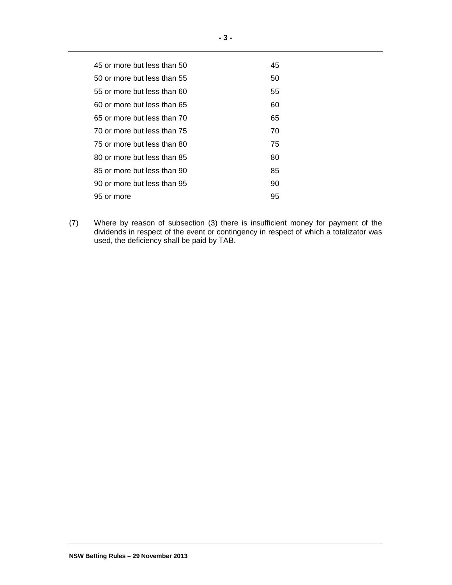| 45 or more but less than 50 | 45 |
|-----------------------------|----|
| 50 or more but less than 55 | 50 |
| 55 or more but less than 60 | 55 |
| 60 or more but less than 65 | 60 |
| 65 or more but less than 70 | 65 |
| 70 or more but less than 75 | 70 |
| 75 or more but less than 80 | 75 |
| 80 or more but less than 85 | 80 |
| 85 or more but less than 90 | 85 |
| 90 or more but less than 95 | 90 |
| 95 or more                  | 95 |
|                             |    |

(7) Where by reason of subsection (3) there is insufficient money for payment of the dividends in respect of the event or contingency in respect of which a totalizator was used, the deficiency shall be paid by TAB.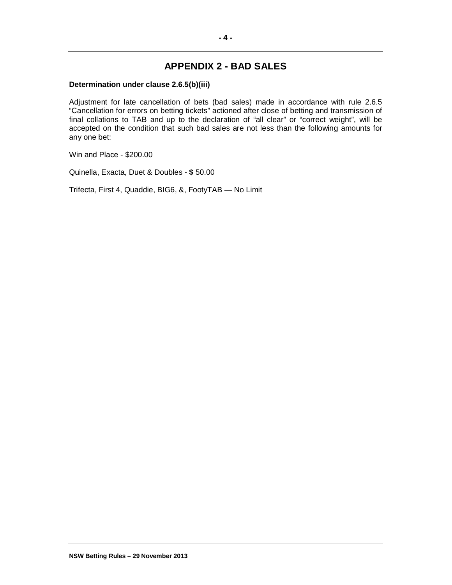# **APPENDIX 2 - BAD SALES**

## **Determination under clause 2.6.5(b)(iii)**

Adjustment for late cancellation of bets (bad sales) made in accordance with rule 2.6.5 "Cancellation for errors on betting tickets" actioned after close of betting and transmission of final collations to TAB and up to the declaration of "all clear" or "correct weight", will be accepted on the condition that such bad sales are not less than the following amounts for any one bet:

Win and Place - \$200.00

Quinella, Exacta, Duet & Doubles - **\$** 50.00

Trifecta, First 4, Quaddie, BIG6, &, FootyTAB — No Limit